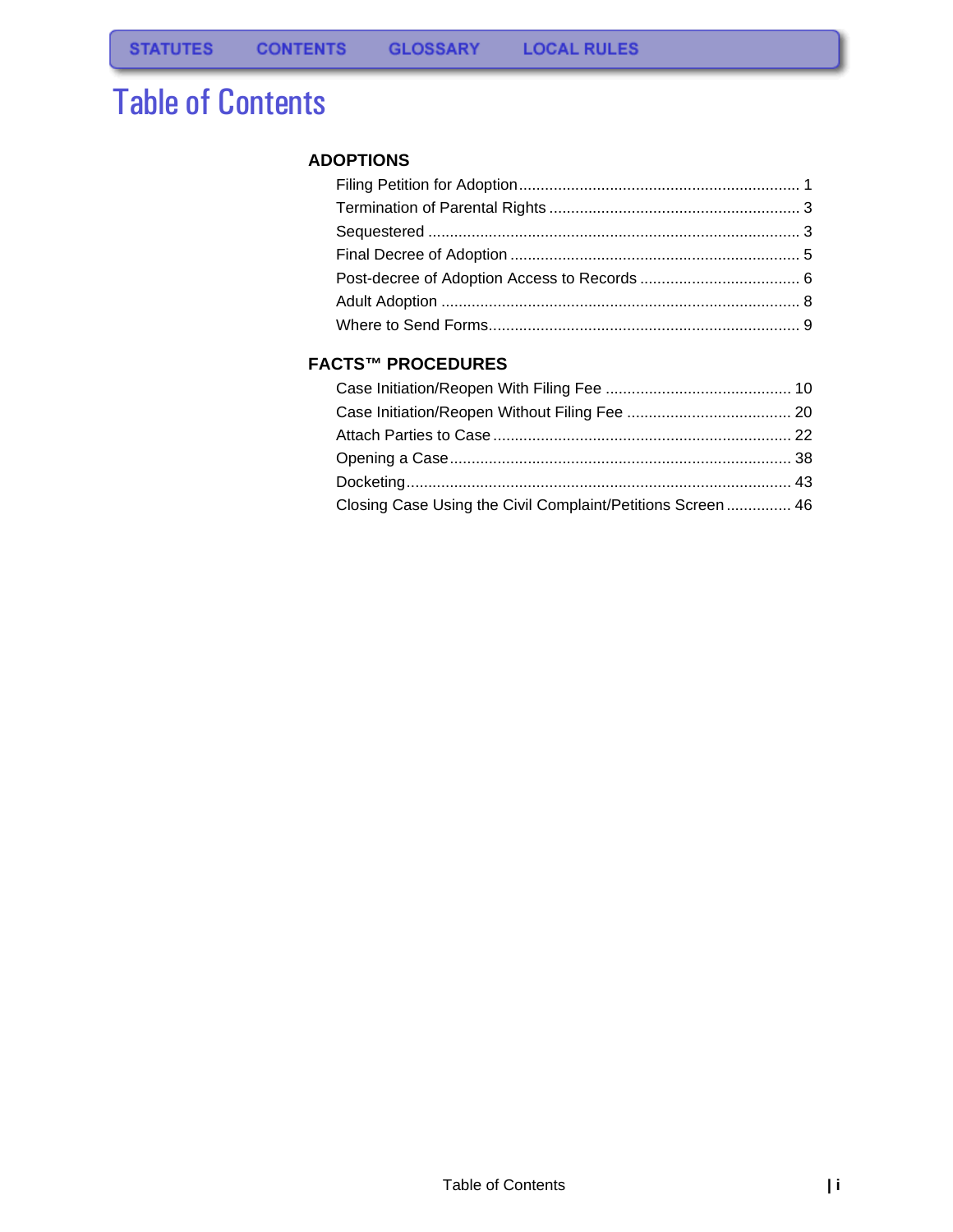# Table of Contents

#### **[ADOPTIONS](#page-1-0)**

### **[FACTS™ PROCEDURES](#page-10-0)**

| Closing Case Using the Civil Complaint/Petitions Screen  46 |  |
|-------------------------------------------------------------|--|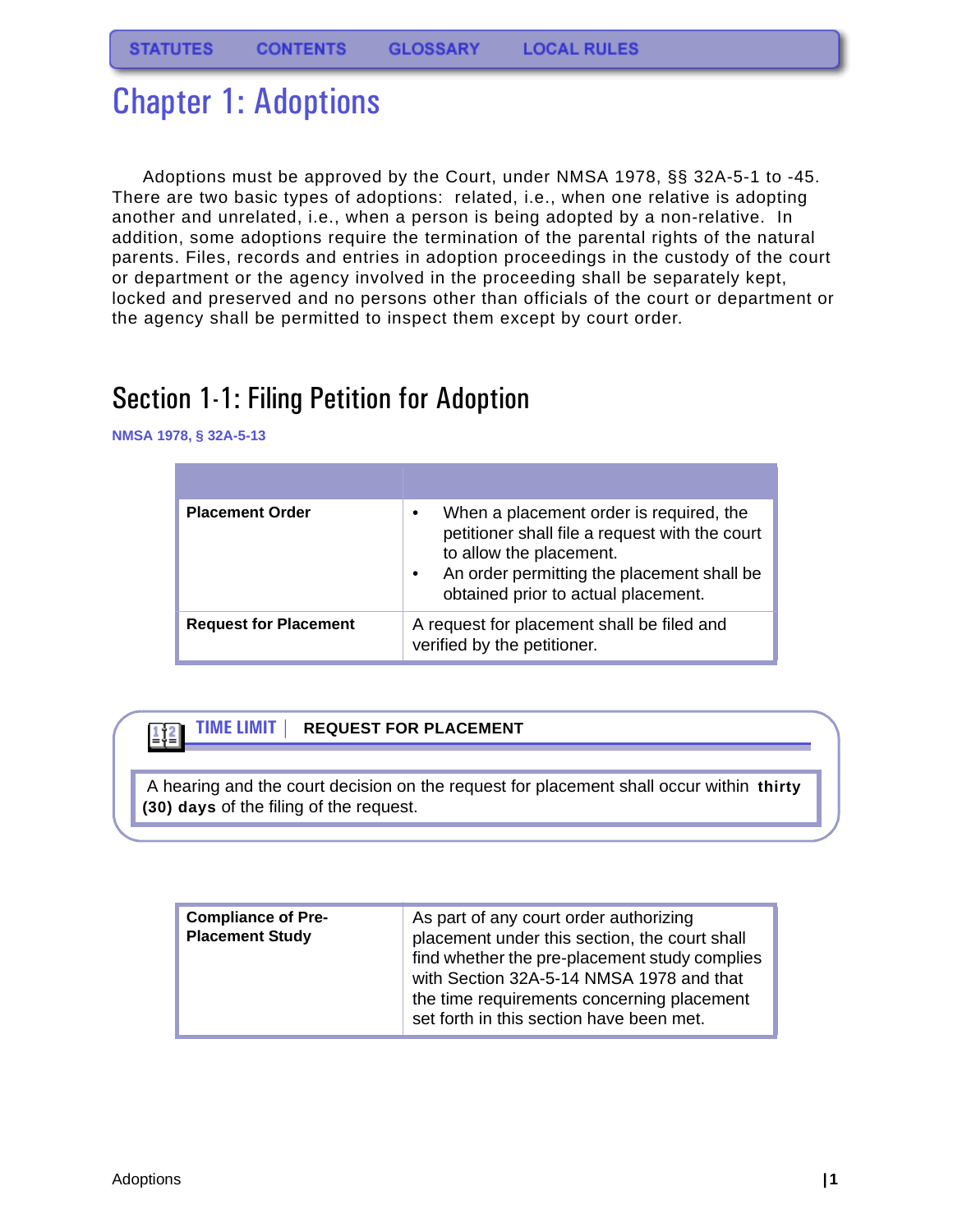# <span id="page-1-0"></span>Chapter 1: Adoptions

Adoptions must be approved by the Court, under NMSA 1978, §§ 32A-5-1 to -45. There are two basic types of adoptions: related, i.e., when one relative is adopting another and unrelated, i.e., when a person is being adopted by a non-relative. In addition, some adoptions require the termination of the parental rights of the natural parents. Files, records and entries in adoption proceedings in the custody of the court or department or the agency involved in the proceeding shall be separately kept, locked and preserved and no persons other than officials of the court or department or the agency shall be permitted to inspect them except by court order.

## <span id="page-1-1"></span>Section 1-1: Filing Petition for Adoption

**NMSA 1978, § 32A-5-13**

112

| <b>Placement Order</b>       | When a placement order is required, the<br>petitioner shall file a request with the court<br>to allow the placement.<br>An order permitting the placement shall be<br>obtained prior to actual placement. |
|------------------------------|-----------------------------------------------------------------------------------------------------------------------------------------------------------------------------------------------------------|
| <b>Request for Placement</b> | A request for placement shall be filed and<br>verified by the petitioner.                                                                                                                                 |

### **TIME LIMIT | REQUEST FOR PLACEMENT**

 A hearing and the court decision on the request for placement shall occur within **thirty (30) days** of the filing of the request.

| <b>Compliance of Pre-</b><br><b>Placement Study</b> | As part of any court order authorizing<br>placement under this section, the court shall<br>find whether the pre-placement study complies<br>with Section 32A-5-14 NMSA 1978 and that<br>the time requirements concerning placement |
|-----------------------------------------------------|------------------------------------------------------------------------------------------------------------------------------------------------------------------------------------------------------------------------------------|
|                                                     | set forth in this section have been met.                                                                                                                                                                                           |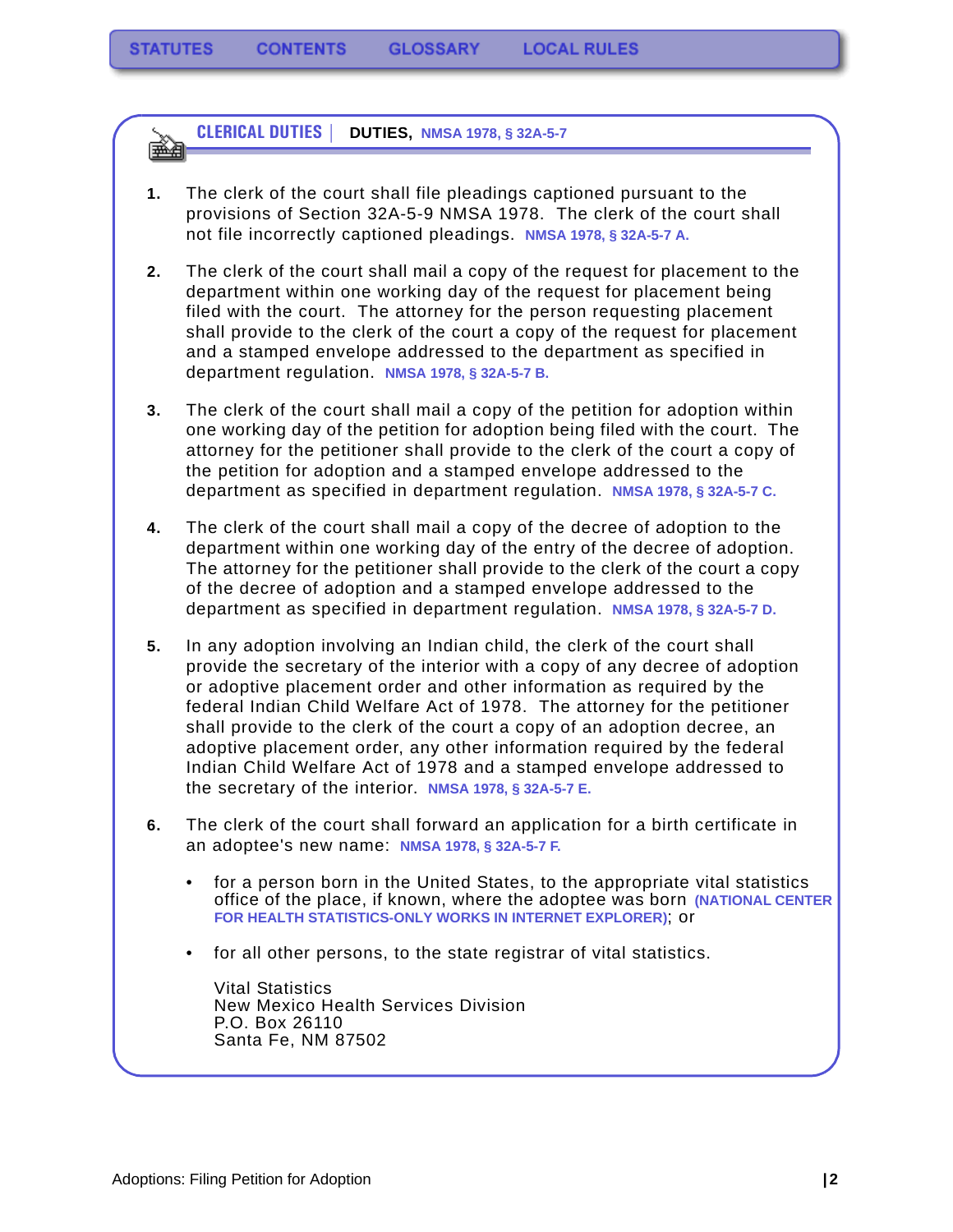**CLERICAL DUTIES | DUTIES, NMSA 1978, § 32A-5-7** 飋

- **1.** The clerk of the court shall file pleadings captioned pursuant to the provisions of Section 32A-5-9 NMSA 1978. The clerk of the court shall not file incorrectly captioned pleadings. **NMSA 1978, § 32A-5-7 A.**
- **2.** The clerk of the court shall mail a copy of the request for placement to the department within one working day of the request for placement being filed with the court. The attorney for the person requesting placement shall provide to the clerk of the court a copy of the request for placement and a stamped envelope addressed to the department as specified in department regulation. **NMSA 1978, § 32A-5-7 B.**
- **3.** The clerk of the court shall mail a copy of the petition for adoption within one working day of the petition for adoption being filed with the court. The attorney for the petitioner shall provide to the clerk of the court a copy of the petition for adoption and a stamped envelope addressed to the department as specified in department regulation. **NMSA 1978, § 32A-5-7 C.**
- **4.** The clerk of the court shall mail a copy of the decree of adoption to the department within one working day of the entry of the decree of adoption. The attorney for the petitioner shall provide to the clerk of the court a copy of the decree of adoption and a stamped envelope addressed to the department as specified in department regulation. **NMSA 1978, § 32A-5-7 D.**
- **5.** In any adoption involving an Indian child, the clerk of the court shall provide the secretary of the interior with a copy of any decree of adoption or adoptive placement order and other information as required by the federal Indian Child Welfare Act of 1978. The attorney for the petitioner shall provide to the clerk of the court a copy of an adoption decree, an adoptive placement order, any other information required by the federal Indian Child Welfare Act of 1978 and a stamped envelope addressed to the secretary of the interior. **NMSA 1978, § 32A-5-7 E.**
- **6.** The clerk of the court shall forward an application for a birth certificate in an adoptee's new name: **NMSA 1978, § 32A-5-7 F.**
	- for a person born in the United States, to the appropriate vital statistics office of the place, if known, where the adoptee was born **(NATIONAL CENTER FOR HEALTH STATISTICS-ONLY WORKS IN INTERNET EXPLORER)**; or
	- for all other persons, to the state registrar of vital statistics.

Vital Statistics New Mexico Health Services Division P.O. Box 26110 Santa Fe, NM 87502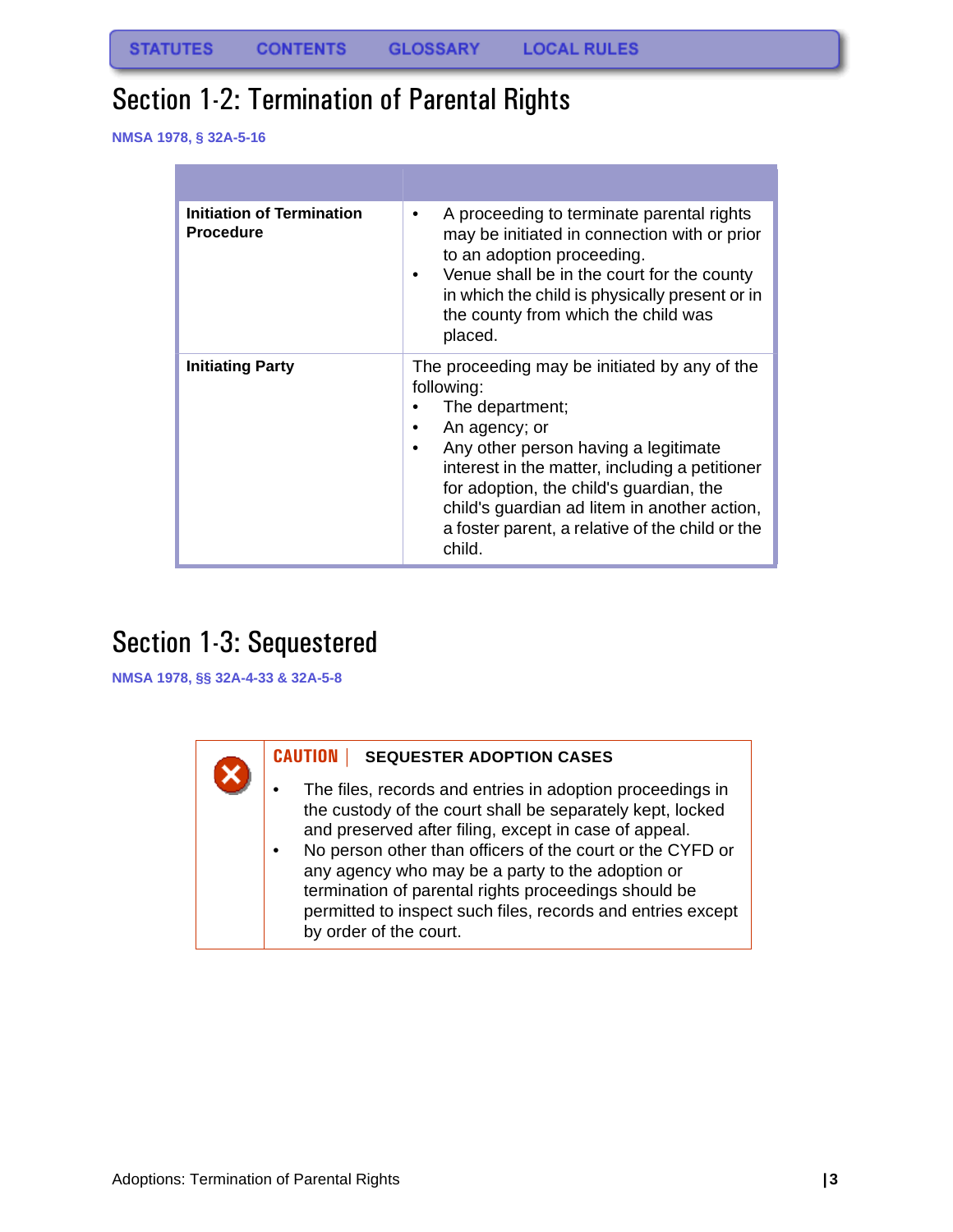## <span id="page-3-0"></span>Section 1-2: Termination of Parental Rights

**NMSA 1978, § 32A-5-16**

| <b>Initiation of Termination</b><br><b>Procedure</b> | A proceeding to terminate parental rights<br>$\bullet$<br>may be initiated in connection with or prior<br>to an adoption proceeding.<br>Venue shall be in the court for the county<br>٠<br>in which the child is physically present or in<br>the county from which the child was<br>placed.                                                                         |  |  |  |  |
|------------------------------------------------------|---------------------------------------------------------------------------------------------------------------------------------------------------------------------------------------------------------------------------------------------------------------------------------------------------------------------------------------------------------------------|--|--|--|--|
| Initiating Party                                     | The proceeding may be initiated by any of the<br>following:<br>The department;<br>An agency; or<br>٠<br>Any other person having a legitimate<br>$\bullet$<br>interest in the matter, including a petitioner<br>for adoption, the child's guardian, the<br>child's guardian ad litem in another action,<br>a foster parent, a relative of the child or the<br>child. |  |  |  |  |

### <span id="page-3-1"></span>Section 1-3: Sequestered

**NMSA 1978, §§ 32A-4-33 & 32A-5-8**

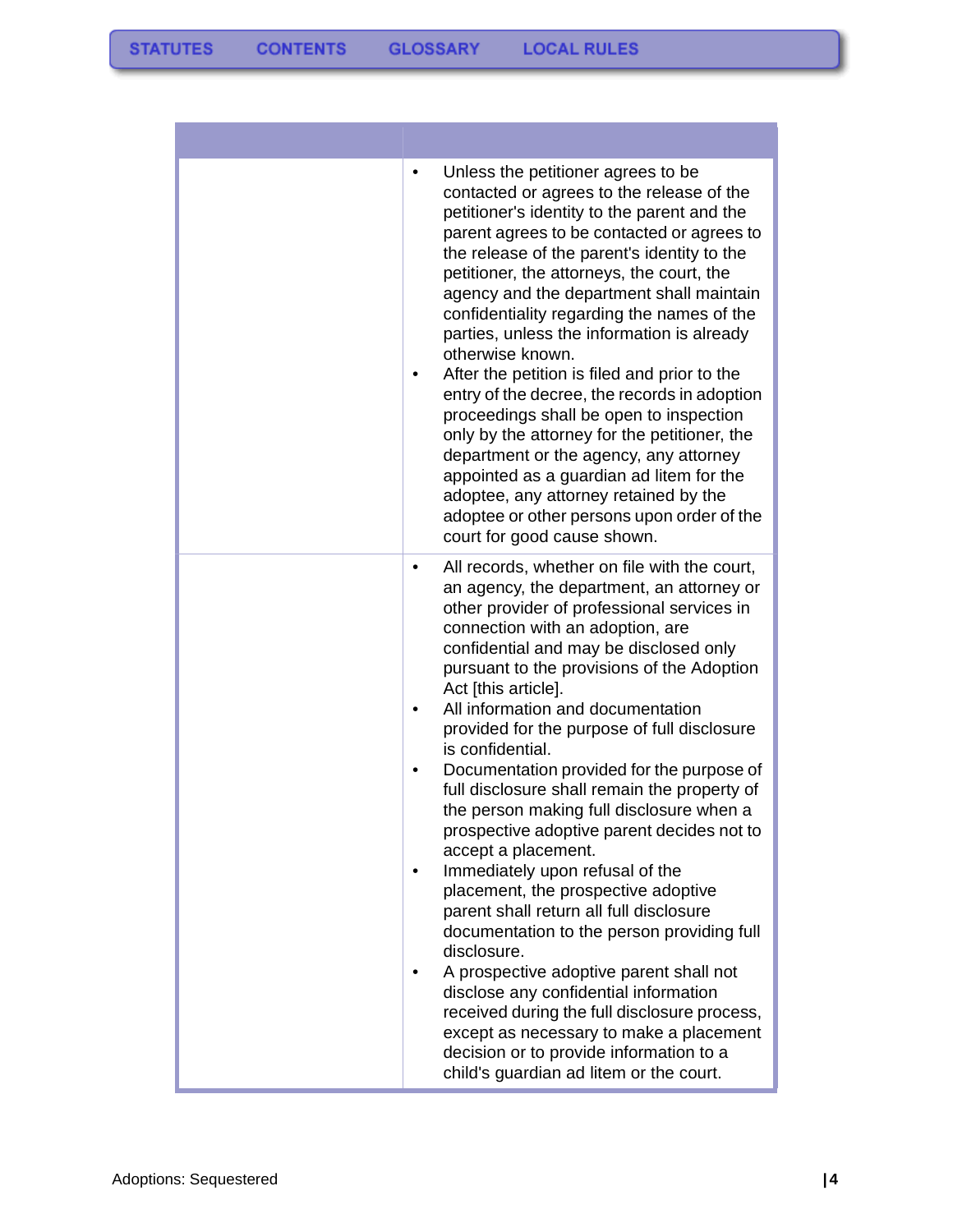| Unless the petitioner agrees to be<br>٠<br>contacted or agrees to the release of the<br>petitioner's identity to the parent and the<br>parent agrees to be contacted or agrees to<br>the release of the parent's identity to the<br>petitioner, the attorneys, the court, the<br>agency and the department shall maintain<br>confidentiality regarding the names of the<br>parties, unless the information is already<br>otherwise known.<br>After the petition is filed and prior to the<br>٠<br>entry of the decree, the records in adoption<br>proceedings shall be open to inspection<br>only by the attorney for the petitioner, the<br>department or the agency, any attorney<br>appointed as a guardian ad litem for the<br>adoptee, any attorney retained by the<br>adoptee or other persons upon order of the<br>court for good cause shown.                                                                                                                                                                                                                                     |
|-------------------------------------------------------------------------------------------------------------------------------------------------------------------------------------------------------------------------------------------------------------------------------------------------------------------------------------------------------------------------------------------------------------------------------------------------------------------------------------------------------------------------------------------------------------------------------------------------------------------------------------------------------------------------------------------------------------------------------------------------------------------------------------------------------------------------------------------------------------------------------------------------------------------------------------------------------------------------------------------------------------------------------------------------------------------------------------------|
| All records, whether on file with the court,<br>$\bullet$<br>an agency, the department, an attorney or<br>other provider of professional services in<br>connection with an adoption, are<br>confidential and may be disclosed only<br>pursuant to the provisions of the Adoption<br>Act [this article].<br>All information and documentation<br>٠<br>provided for the purpose of full disclosure<br>is confidential.<br>Documentation provided for the purpose of<br>full disclosure shall remain the property of<br>the person making full disclosure when a<br>prospective adoptive parent decides not to<br>accept a placement.<br>Immediately upon refusal of the<br>placement, the prospective adoptive<br>parent shall return all full disclosure<br>documentation to the person providing full<br>disclosure.<br>A prospective adoptive parent shall not<br>disclose any confidential information<br>received during the full disclosure process,<br>except as necessary to make a placement<br>decision or to provide information to a<br>child's guardian ad litem or the court. |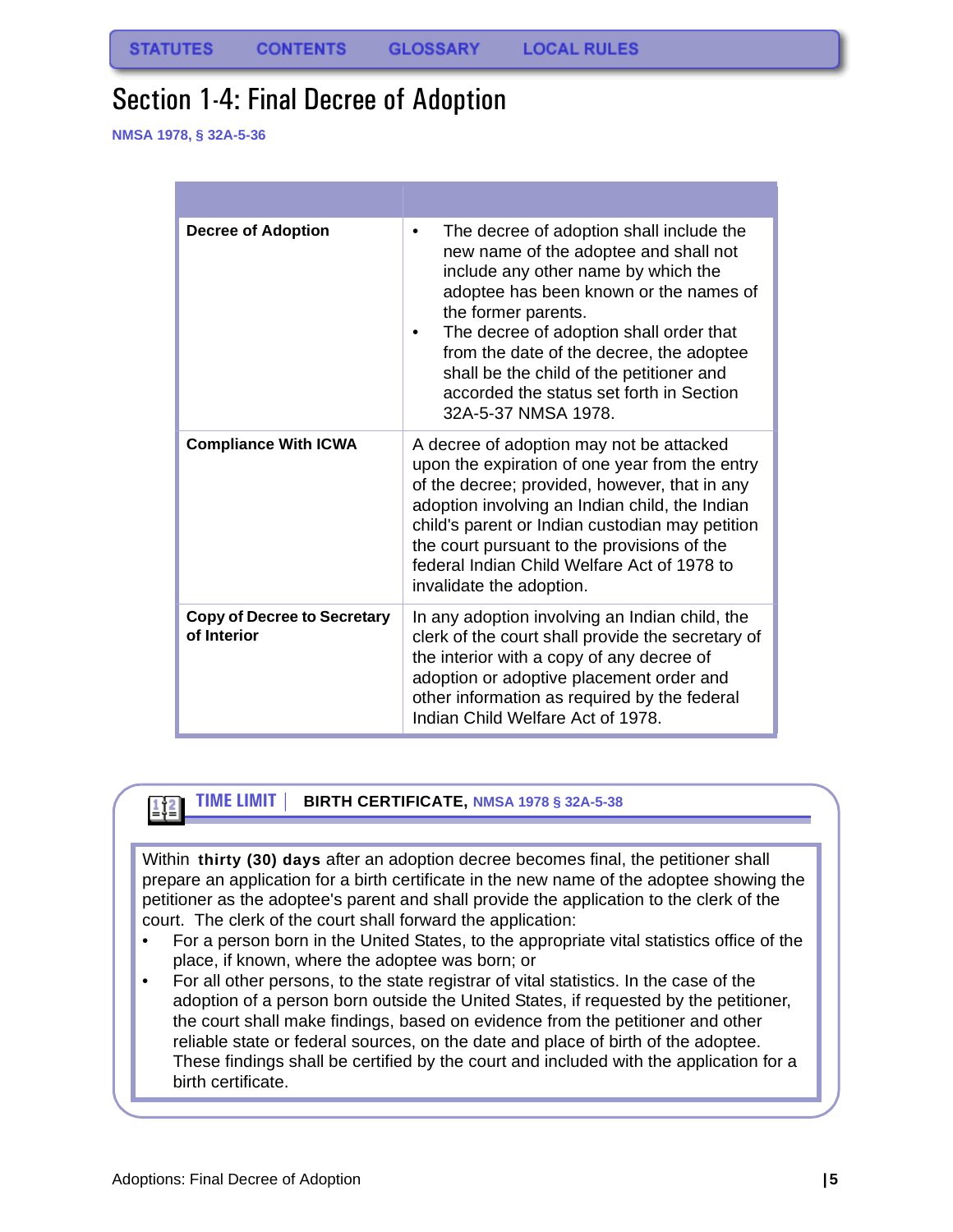### <span id="page-5-0"></span>Section 1-4: Final Decree of Adoption

**NMSA 1978, § 32A-5-36**

| <b>Decree of Adoption</b>                         | The decree of adoption shall include the<br>$\bullet$<br>new name of the adoptee and shall not<br>include any other name by which the<br>adoptee has been known or the names of<br>the former parents.<br>The decree of adoption shall order that<br>from the date of the decree, the adoptee<br>shall be the child of the petitioner and<br>accorded the status set forth in Section<br>32A-5-37 NMSA 1978. |
|---------------------------------------------------|--------------------------------------------------------------------------------------------------------------------------------------------------------------------------------------------------------------------------------------------------------------------------------------------------------------------------------------------------------------------------------------------------------------|
| <b>Compliance With ICWA</b>                       | A decree of adoption may not be attacked<br>upon the expiration of one year from the entry<br>of the decree; provided, however, that in any<br>adoption involving an Indian child, the Indian<br>child's parent or Indian custodian may petition<br>the court pursuant to the provisions of the<br>federal Indian Child Welfare Act of 1978 to<br>invalidate the adoption.                                   |
| <b>Copy of Decree to Secretary</b><br>of Interior | In any adoption involving an Indian child, the<br>clerk of the court shall provide the secretary of<br>the interior with a copy of any decree of<br>adoption or adoptive placement order and<br>other information as required by the federal<br>Indian Child Welfare Act of 1978.                                                                                                                            |

#### **TIME LIMIT | BIRTH CERTIFICATE, NMSA 1978 § 32A-5-38**   $\left\lbrack \frac{1}{n} \right\rbrack^2$

Within **thirty (30) days** after an adoption decree becomes final, the petitioner shall prepare an application for a birth certificate in the new name of the adoptee showing the petitioner as the adoptee's parent and shall provide the application to the clerk of the court. The clerk of the court shall forward the application:

- For a person born in the United States, to the appropriate vital statistics office of the place, if known, where the adoptee was born; or
- For all other persons, to the state registrar of vital statistics. In the case of the adoption of a person born outside the United States, if requested by the petitioner, the court shall make findings, based on evidence from the petitioner and other reliable state or federal sources, on the date and place of birth of the adoptee. These findings shall be certified by the court and included with the application for a birth certificate.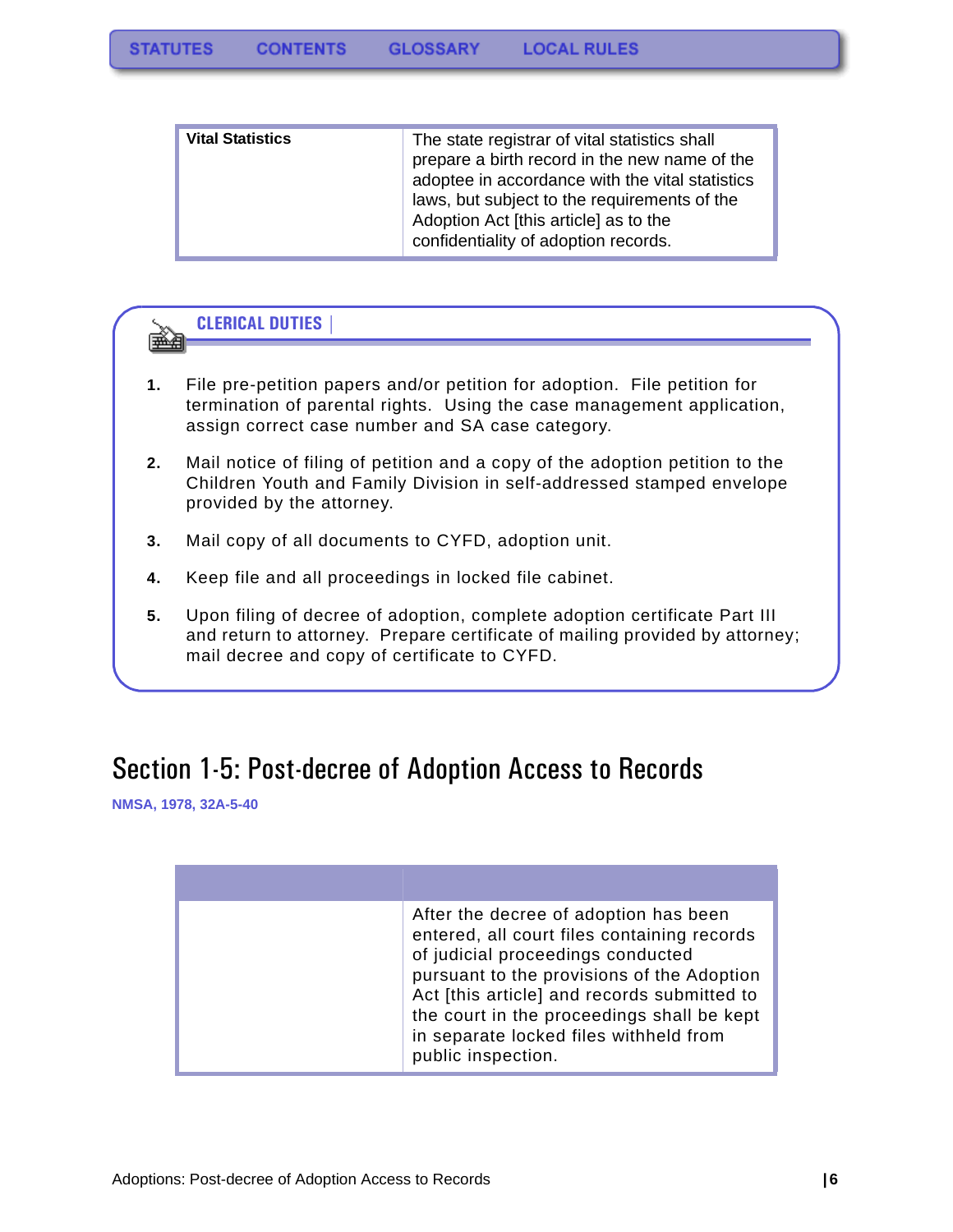| <b>Vital Statistics</b> | The state registrar of vital statistics shall<br>prepare a birth record in the new name of the<br>adoptee in accordance with the vital statistics<br>laws, but subject to the requirements of the<br>Adoption Act [this article] as to the<br>confidentiality of adoption records. |
|-------------------------|------------------------------------------------------------------------------------------------------------------------------------------------------------------------------------------------------------------------------------------------------------------------------------|
|-------------------------|------------------------------------------------------------------------------------------------------------------------------------------------------------------------------------------------------------------------------------------------------------------------------------|



- **1.** File pre-petition papers and/or petition for adoption. File petition for termination of parental rights. Using the case management application, assign correct case number and SA case category.
- **2.** Mail notice of filing of petition and a copy of the adoption petition to the Children Youth and Family Division in self-addressed stamped envelope provided by the attorney.
- **3.** Mail copy of all documents to CYFD, adoption unit.
- **4.** Keep file and all proceedings in locked file cabinet.
- **5.** Upon filing of decree of adoption, complete adoption certificate Part III and return to attorney. Prepare certificate of mailing provided by attorney; mail decree and copy of certificate to CYFD.

### <span id="page-6-0"></span>Section 1-5: Post-decree of Adoption Access to Records

**NMSA, 1978, 32A-5-40**

| After the decree of adoption has been<br>entered, all court files containing records<br>of judicial proceedings conducted<br>pursuant to the provisions of the Adoption<br>Act [this article] and records submitted to<br>the court in the proceedings shall be kept<br>in separate locked files withheld from<br>public inspection. |
|--------------------------------------------------------------------------------------------------------------------------------------------------------------------------------------------------------------------------------------------------------------------------------------------------------------------------------------|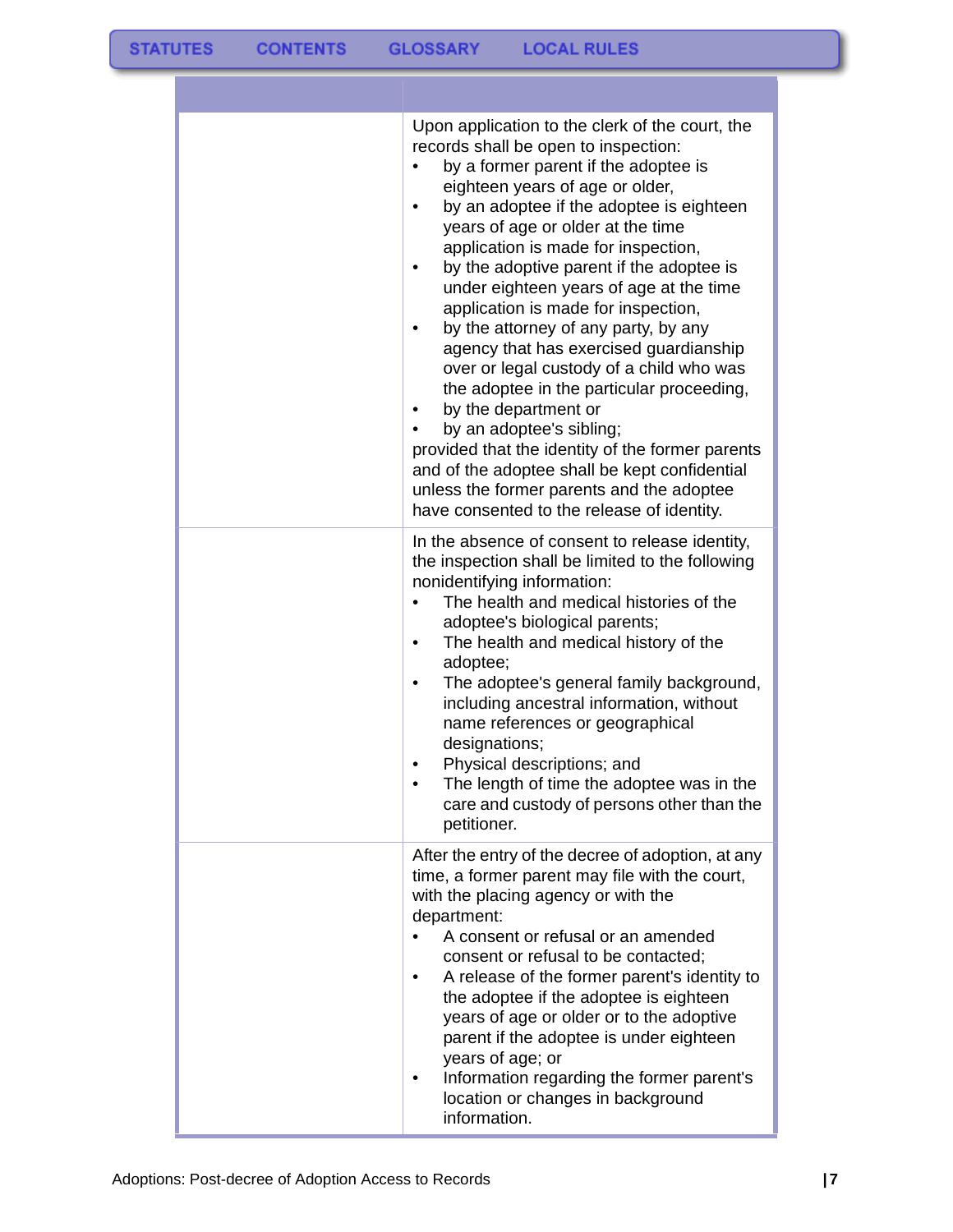| Upon application to the clerk of the court, the<br>records shall be open to inspection:<br>by a former parent if the adoptee is<br>eighteen years of age or older,<br>by an adoptee if the adoptee is eighteen<br>٠<br>years of age or older at the time<br>application is made for inspection,<br>by the adoptive parent if the adoptee is<br>٠<br>under eighteen years of age at the time<br>application is made for inspection,<br>by the attorney of any party, by any<br>agency that has exercised guardianship<br>over or legal custody of a child who was<br>the adoptee in the particular proceeding,<br>by the department or<br>by an adoptee's sibling;<br>provided that the identity of the former parents<br>and of the adoptee shall be kept confidential<br>unless the former parents and the adoptee<br>have consented to the release of identity. |
|-------------------------------------------------------------------------------------------------------------------------------------------------------------------------------------------------------------------------------------------------------------------------------------------------------------------------------------------------------------------------------------------------------------------------------------------------------------------------------------------------------------------------------------------------------------------------------------------------------------------------------------------------------------------------------------------------------------------------------------------------------------------------------------------------------------------------------------------------------------------|
| In the absence of consent to release identity,<br>the inspection shall be limited to the following<br>nonidentifying information:<br>The health and medical histories of the<br>adoptee's biological parents;<br>The health and medical history of the<br>$\bullet$<br>adoptee;<br>The adoptee's general family background,<br>including ancestral information, without<br>name references or geographical<br>designations;<br>Physical descriptions; and<br>The length of time the adoptee was in the<br>care and custody of persons other than the<br>petitioner.                                                                                                                                                                                                                                                                                               |
| After the entry of the decree of adoption, at any<br>time, a former parent may file with the court,<br>with the placing agency or with the<br>department:<br>A consent or refusal or an amended<br>consent or refusal to be contacted;<br>A release of the former parent's identity to<br>the adoptee if the adoptee is eighteen<br>years of age or older or to the adoptive<br>parent if the adoptee is under eighteen<br>years of age; or<br>Information regarding the former parent's<br>location or changes in background<br>information.                                                                                                                                                                                                                                                                                                                     |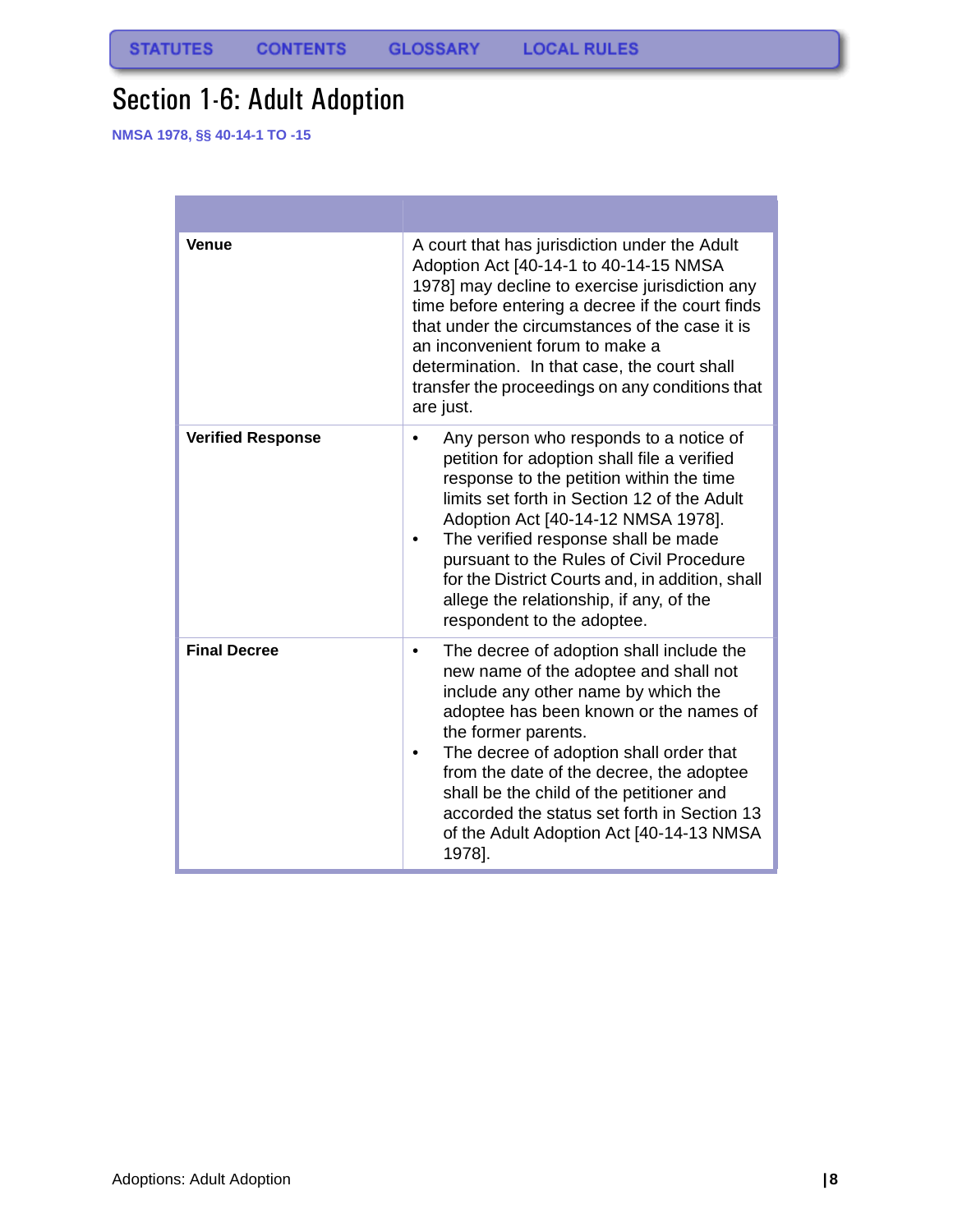# <span id="page-8-0"></span>Section 1-6: Adult Adoption

**NMSA 1978, §§ 40-14-1 TO -15**

| <b>Venue</b>             | A court that has jurisdiction under the Adult<br>Adoption Act [40-14-1 to 40-14-15 NMSA<br>1978] may decline to exercise jurisdiction any<br>time before entering a decree if the court finds<br>that under the circumstances of the case it is<br>an inconvenient forum to make a<br>determination. In that case, the court shall<br>transfer the proceedings on any conditions that<br>are just.                                      |  |  |  |  |  |
|--------------------------|-----------------------------------------------------------------------------------------------------------------------------------------------------------------------------------------------------------------------------------------------------------------------------------------------------------------------------------------------------------------------------------------------------------------------------------------|--|--|--|--|--|
| <b>Verified Response</b> | Any person who responds to a notice of<br>petition for adoption shall file a verified<br>response to the petition within the time<br>limits set forth in Section 12 of the Adult<br>Adoption Act [40-14-12 NMSA 1978].<br>The verified response shall be made<br>pursuant to the Rules of Civil Procedure<br>for the District Courts and, in addition, shall<br>allege the relationship, if any, of the<br>respondent to the adoptee.   |  |  |  |  |  |
| <b>Final Decree</b>      | The decree of adoption shall include the<br>٠<br>new name of the adoptee and shall not<br>include any other name by which the<br>adoptee has been known or the names of<br>the former parents.<br>The decree of adoption shall order that<br>from the date of the decree, the adoptee<br>shall be the child of the petitioner and<br>accorded the status set forth in Section 13<br>of the Adult Adoption Act [40-14-13 NMSA]<br>1978]. |  |  |  |  |  |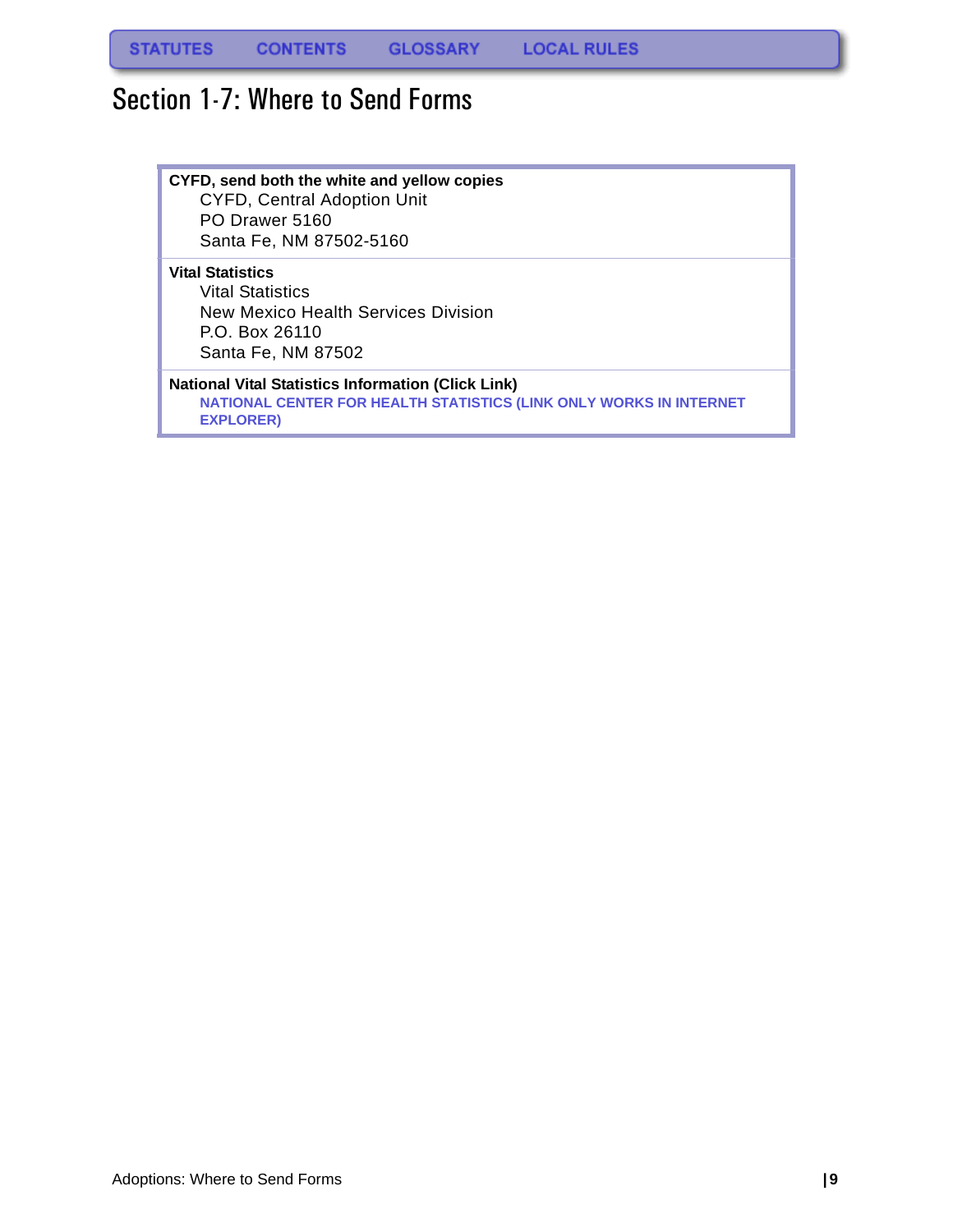### <span id="page-9-0"></span>Section 1-7: Where to Send Forms

#### **CYFD, send both the white and yellow copies** CYFD, Central Adoption Unit

PO Drawer 5160 Santa Fe, NM 87502-5160

#### **Vital Statistics**

Vital Statistics New Mexico Health Services Division P.O. Box 26110 Santa Fe, NM 87502

#### **National Vital Statistics Information (Click Link)**

**NATIONAL CENTER FOR HEALTH STATISTICS (LINK ONLY WORKS IN INTERNET EXPLORER)**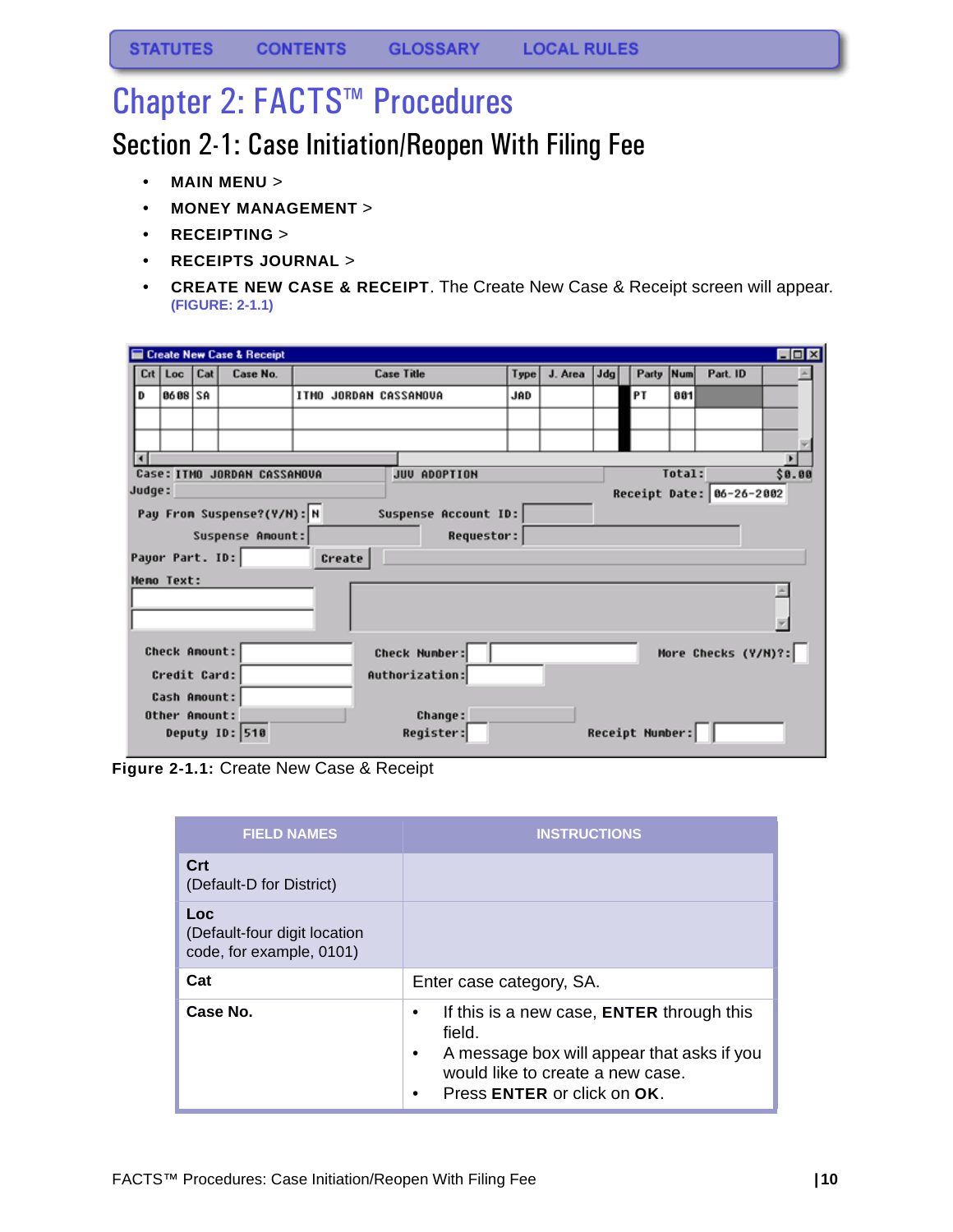# <span id="page-10-0"></span>Chapter 2: FACTS™ Procedures

# <span id="page-10-1"></span>Section 2-1: Case Initiation/Reopen With Filing Fee

- **MAIN MENU** >
- **MONEY MANAGEMENT** >
- **RECEIPTING** >
- **RECEIPTS JOURNAL** >
- **CREATE NEW CASE & RECEIPT**. The Create New Case & Receipt screen will appear. **(FIGURE: 2-1.1)**

|                                |                      |  | <b>Create New Case &amp; Receipt</b> |  |        |                       |            |      |         |     |                 |        |                          | $\blacksquare$ $\blacksquare$ |
|--------------------------------|----------------------|--|--------------------------------------|--|--------|-----------------------|------------|------|---------|-----|-----------------|--------|--------------------------|-------------------------------|
| Crt                            | $Loc$ $Cat$          |  | Case No.                             |  |        | <b>Case Title</b>     |            | Type | J. Area | Jda | Party Num       |        | Part. ID                 |                               |
| D                              | 8688 SA              |  |                                      |  |        | ITMO JORDAN CASSANOVA |            | JAD  |         |     | PΤ              | 881    |                          |                               |
|                                |                      |  |                                      |  |        |                       |            |      |         |     |                 |        |                          |                               |
|                                |                      |  |                                      |  |        |                       |            |      |         |     |                 |        |                          |                               |
| $\left  \cdot \right $         |                      |  |                                      |  |        |                       |            |      |         |     |                 |        |                          |                               |
|                                |                      |  | Case: ITMO JORDAN CASSAMOUA          |  |        | JUU ADOPTION          |            |      |         |     |                 | Total: |                          | \$0.00                        |
| Judge:                         |                      |  |                                      |  |        |                       |            |      |         |     |                 |        | Receipt Date: 06-26-2002 |                               |
|                                |                      |  | Pay From Suspense?(Y/N): N           |  |        | Suspense Account ID:  |            |      |         |     |                 |        |                          |                               |
|                                |                      |  | Suspense Amount:                     |  |        |                       | Requestor: |      |         |     |                 |        |                          |                               |
|                                | Payor Part. ID:      |  |                                      |  | Create |                       |            |      |         |     |                 |        |                          |                               |
|                                | <b>Heno Text:</b>    |  |                                      |  |        |                       |            |      |         |     |                 |        |                          |                               |
|                                |                      |  |                                      |  |        |                       |            |      |         |     |                 |        |                          |                               |
|                                |                      |  |                                      |  |        |                       |            |      |         |     |                 |        |                          |                               |
|                                |                      |  |                                      |  |        |                       |            |      |         |     |                 |        |                          |                               |
|                                | <b>Check Amount:</b> |  |                                      |  |        | <b>Check Number:</b>  |            |      |         |     |                 |        | More Checks (Y/M)?:      |                               |
| Credit Card:<br>Authorization: |                      |  |                                      |  |        |                       |            |      |         |     |                 |        |                          |                               |
|                                | Cash Anount:         |  |                                      |  |        |                       |            |      |         |     |                 |        |                          |                               |
|                                | Other Amount:        |  |                                      |  |        | <b>Change:</b>        |            |      |         |     |                 |        |                          |                               |
|                                |                      |  | <b>Deputy ID: 510</b>                |  |        | Register:             |            |      |         |     | Receipt Number: |        |                          |                               |
|                                |                      |  |                                      |  |        |                       |            |      |         |     |                 |        |                          |                               |

**Figure 2-1.1:** Create New Case & Receipt

| <b>FIELD NAMES</b>                                              | <b>INSTRUCTIONS</b>                                                                                                                                                  |
|-----------------------------------------------------------------|----------------------------------------------------------------------------------------------------------------------------------------------------------------------|
| Crt<br>(Default-D for District)                                 |                                                                                                                                                                      |
| Loc<br>(Default-four digit location<br>code, for example, 0101) |                                                                                                                                                                      |
| Cat                                                             | Enter case category, SA.                                                                                                                                             |
| Case No.                                                        | If this is a new case, ENTER through this<br>field.<br>A message box will appear that asks if you<br>would like to create a new case.<br>Press ENTER or click on OK. |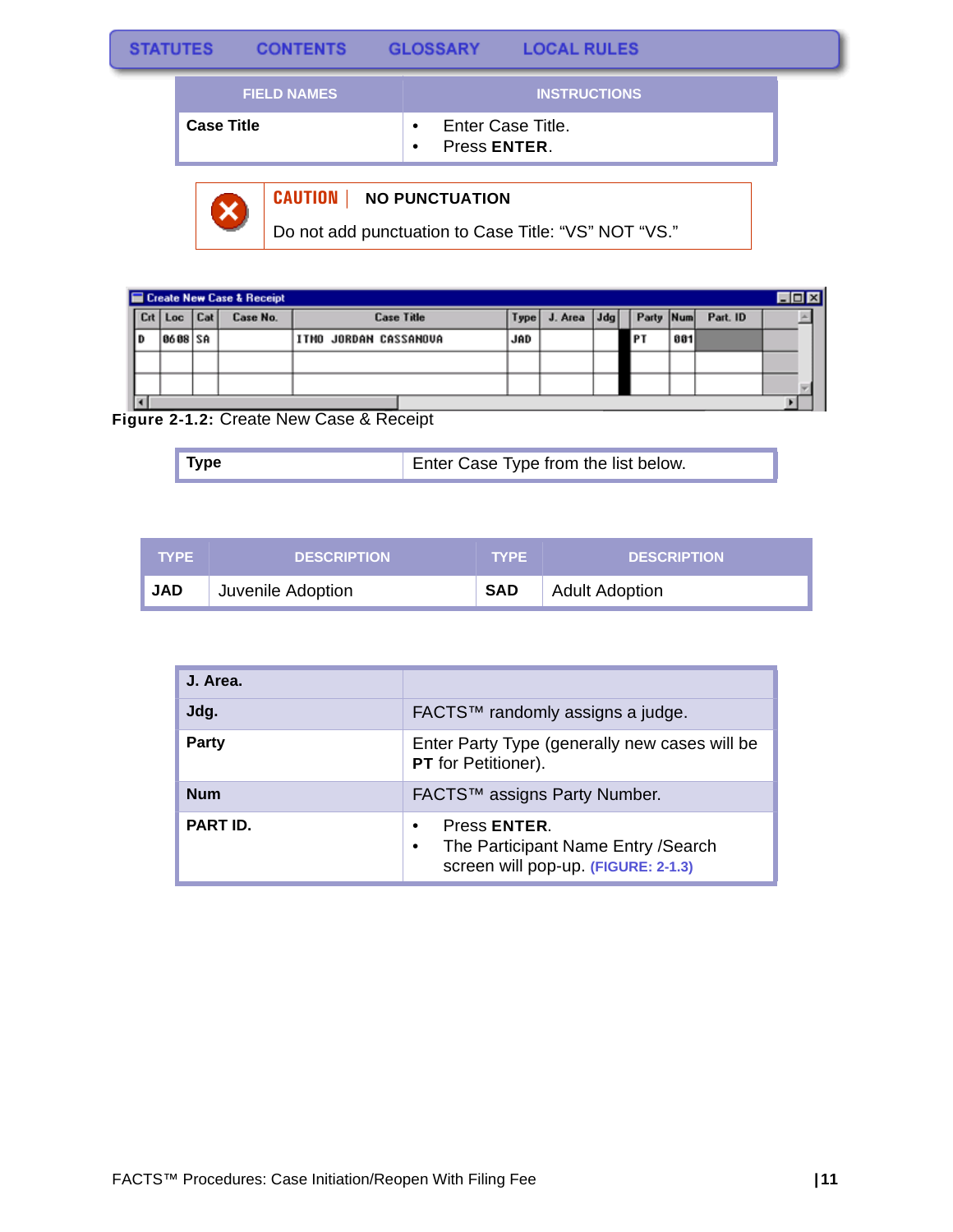| <b>STATUTES</b> |                   | <b>CONTENTS</b>    | <b>GLOSSARY</b>           | <b>LOCAL RULES</b>  |  |
|-----------------|-------------------|--------------------|---------------------------|---------------------|--|
|                 |                   | <b>FIELD NAMES</b> |                           | <b>INSTRUCTIONS</b> |  |
|                 | <b>Case Title</b> |                    | Press ENTER.<br>$\bullet$ | Enter Case Title.   |  |
|                 |                   |                    |                           |                     |  |



### **CAUTION | NO PUNCTUATION**

Do not add punctuation to Case Title: "VS" NOT "VS."

|     |         |     | Create New Case & Receipt |                       |            |         |     |           |     |          | $\Box$ o $\times$ |
|-----|---------|-----|---------------------------|-----------------------|------------|---------|-----|-----------|-----|----------|-------------------|
| Crt | Loc     | Cat | Case No.                  | <b>Case Title</b>     | Type       | J. Area | Jda | Party Num |     | Part. ID |                   |
| D   | 8688 SA |     |                           | ITMO JORDAN CASSANOVA | <b>JAD</b> |         |     | <b>PT</b> | 881 |          |                   |
|     |         |     |                           |                       |            |         |     |           |     |          |                   |
|     |         |     |                           |                       |            |         |     |           |     |          |                   |
|     |         |     |                           |                       |            |         |     |           |     |          |                   |

### **Figure 2-1.2:** Create New Case & Receipt

| $\blacksquare$ Type | Enter Case Type from the list below. |
|---------------------|--------------------------------------|
|---------------------|--------------------------------------|

| <b>TYPE</b> | <b>DESCRIPTION</b> | <b>TYPE</b> | <b>DESCRIPTION</b>    |
|-------------|--------------------|-------------|-----------------------|
| <b>JAD</b>  | Juvenile Adoption  | <b>SAD</b>  | <b>Adult Adoption</b> |

| J. Area.        |                                                                                                 |
|-----------------|-------------------------------------------------------------------------------------------------|
| Jdg.            | FACTS™ randomly assigns a judge.                                                                |
| Party           | Enter Party Type (generally new cases will be<br><b>PT</b> for Petitioner).                     |
| <b>Num</b>      | FACTS™ assigns Party Number.                                                                    |
| <b>PART ID.</b> | Press ENTER.<br>The Participant Name Entry / Search<br>٠<br>screen will pop-up. (FIGURE: 2-1.3) |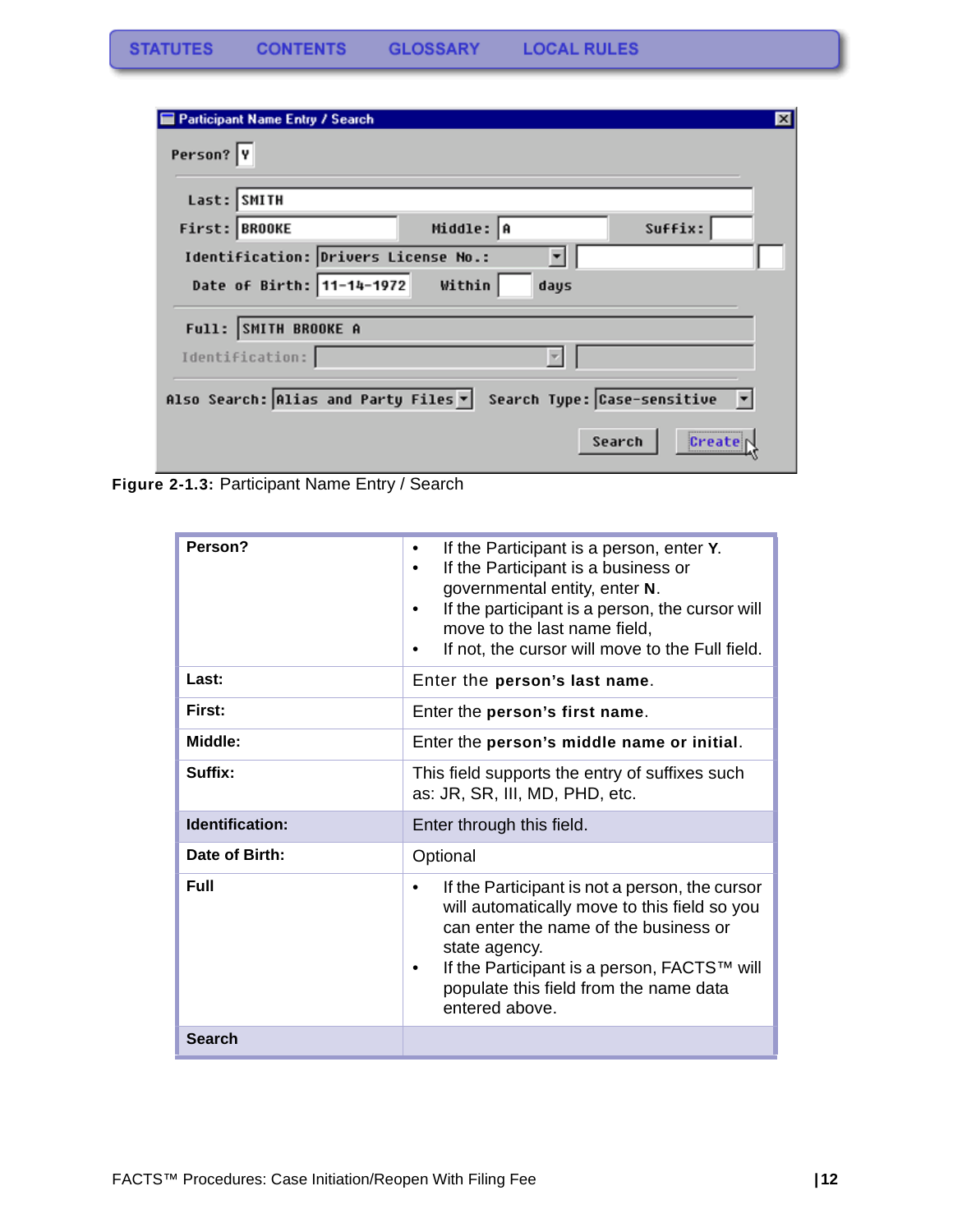| <b>Participant Name Entry / Search</b>                              | $\vert x \vert$ |
|---------------------------------------------------------------------|-----------------|
| Person?  Y                                                          |                 |
| Last: SMITH                                                         |                 |
| Middle: A<br>Suffix:<br>First: BROOKE                               |                 |
| Identification: Drivers License No.:                                |                 |
| Date of Birth: 11-14-1972<br>Within<br>days                         |                 |
| Full: SMITH BROOKE A                                                |                 |
| Identification:                                                     |                 |
| Also Search: Alias and Party Files ▼<br>Search Type: Case-sensitive |                 |
| Search<br>Create                                                    |                 |

**Figure 2-1.3:** Participant Name Entry / Search

| Person?         | If the Participant is a person, enter Y.<br>$\bullet$<br>If the Participant is a business or<br>governmental entity, enter N.<br>If the participant is a person, the cursor will<br>move to the last name field,<br>If not, the cursor will move to the Full field.      |
|-----------------|--------------------------------------------------------------------------------------------------------------------------------------------------------------------------------------------------------------------------------------------------------------------------|
| Last:           | Enter the person's last name.                                                                                                                                                                                                                                            |
| First:          | Enter the person's first name.                                                                                                                                                                                                                                           |
| Middle:         | Enter the person's middle name or initial.                                                                                                                                                                                                                               |
| Suffix:         | This field supports the entry of suffixes such<br>as: JR, SR, III, MD, PHD, etc.                                                                                                                                                                                         |
| Identification: | Enter through this field.                                                                                                                                                                                                                                                |
| Date of Birth:  | Optional                                                                                                                                                                                                                                                                 |
| <b>Full</b>     | If the Participant is not a person, the cursor<br>٠<br>will automatically move to this field so you<br>can enter the name of the business or<br>state agency.<br>If the Participant is a person, FACTS™ will<br>populate this field from the name data<br>entered above. |
| <b>Search</b>   |                                                                                                                                                                                                                                                                          |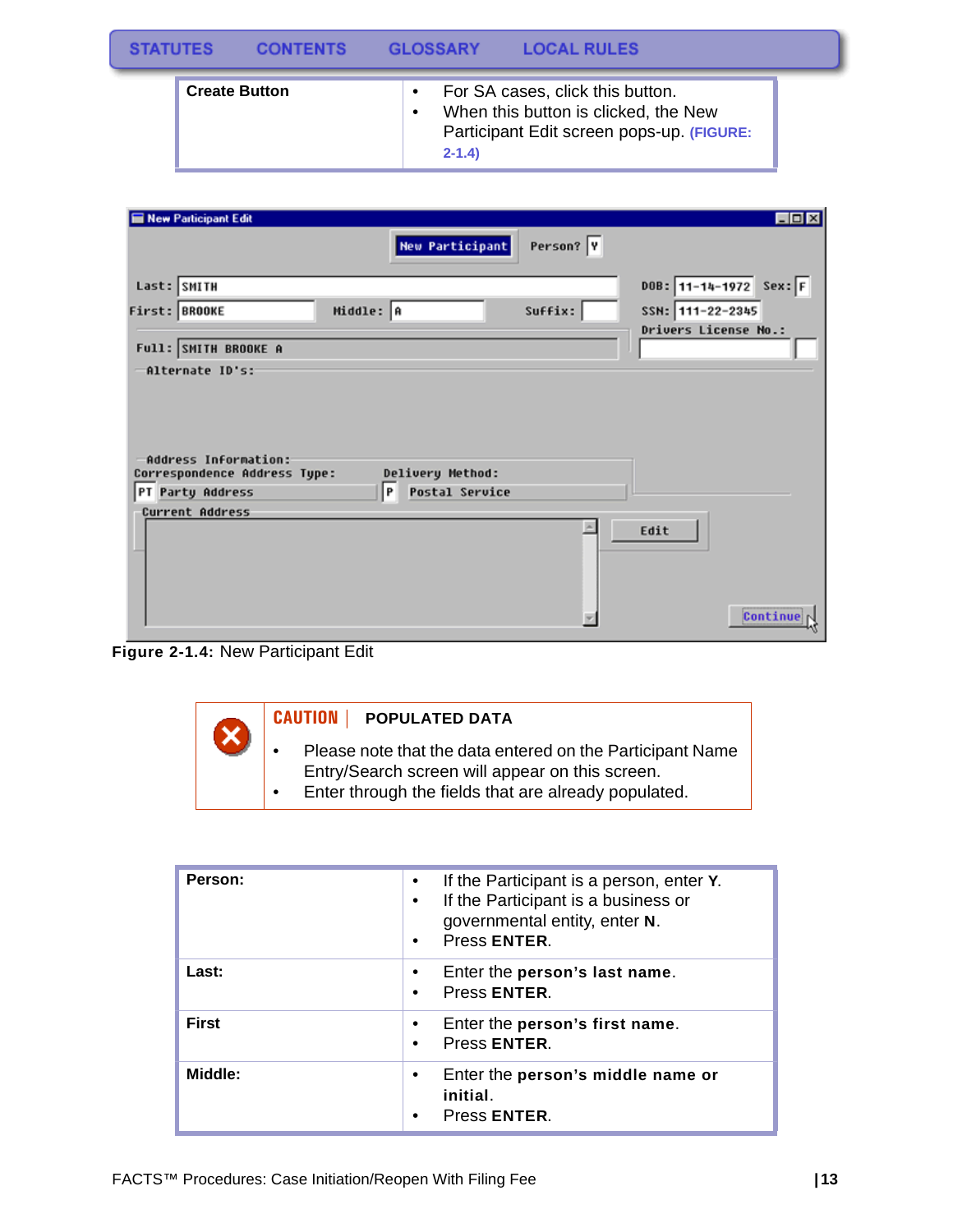| <b>STATUTES</b> |                      | CONTENTS |                        | GLOSSARY  | <b>LOCAL RULES</b>                                                                                                    |  |
|-----------------|----------------------|----------|------------------------|-----------|-----------------------------------------------------------------------------------------------------------------------|--|
|                 | <b>Create Button</b> |          | $\bullet$<br>$\bullet$ | $2 - 1.4$ | For SA cases, click this button.<br>When this button is clicked, the New<br>Participant Edit screen pops-up. (FIGURE: |  |

| New Participant Edit                                 |                            |           | $\Box$ DIX               |
|------------------------------------------------------|----------------------------|-----------|--------------------------|
|                                                      | <b>New Participant</b>     | Person? Y |                          |
| Last: SMITH                                          |                            |           | DOB: $11-14-1972$ Sex: F |
| First: BROOKE                                        | Middle: A                  | Suffix:   | SSN: 111-22-2345         |
| Full: SMITH BROOKE A                                 |                            |           | Drivers License No.:     |
| -Alternate ID's:                                     |                            |           |                          |
| Address Information:<br>Correspondence Address Type: | Delivery Method:           |           |                          |
| PT Party Address                                     | <b>Postal Service</b><br>P |           |                          |
| Current Address                                      |                            |           |                          |





| Person:      | If the Participant is a person, enter Y.<br>If the Participant is a business or<br>governmental entity, enter N.<br>Press ENTER.<br>$\bullet$ |
|--------------|-----------------------------------------------------------------------------------------------------------------------------------------------|
| Last:        | Enter the person's last name.<br>Press ENTER.                                                                                                 |
| <b>First</b> | Enter the person's first name.<br>Press ENTER.                                                                                                |
| Middle:      | Enter the person's middle name or<br>initial.<br>Press ENTER.                                                                                 |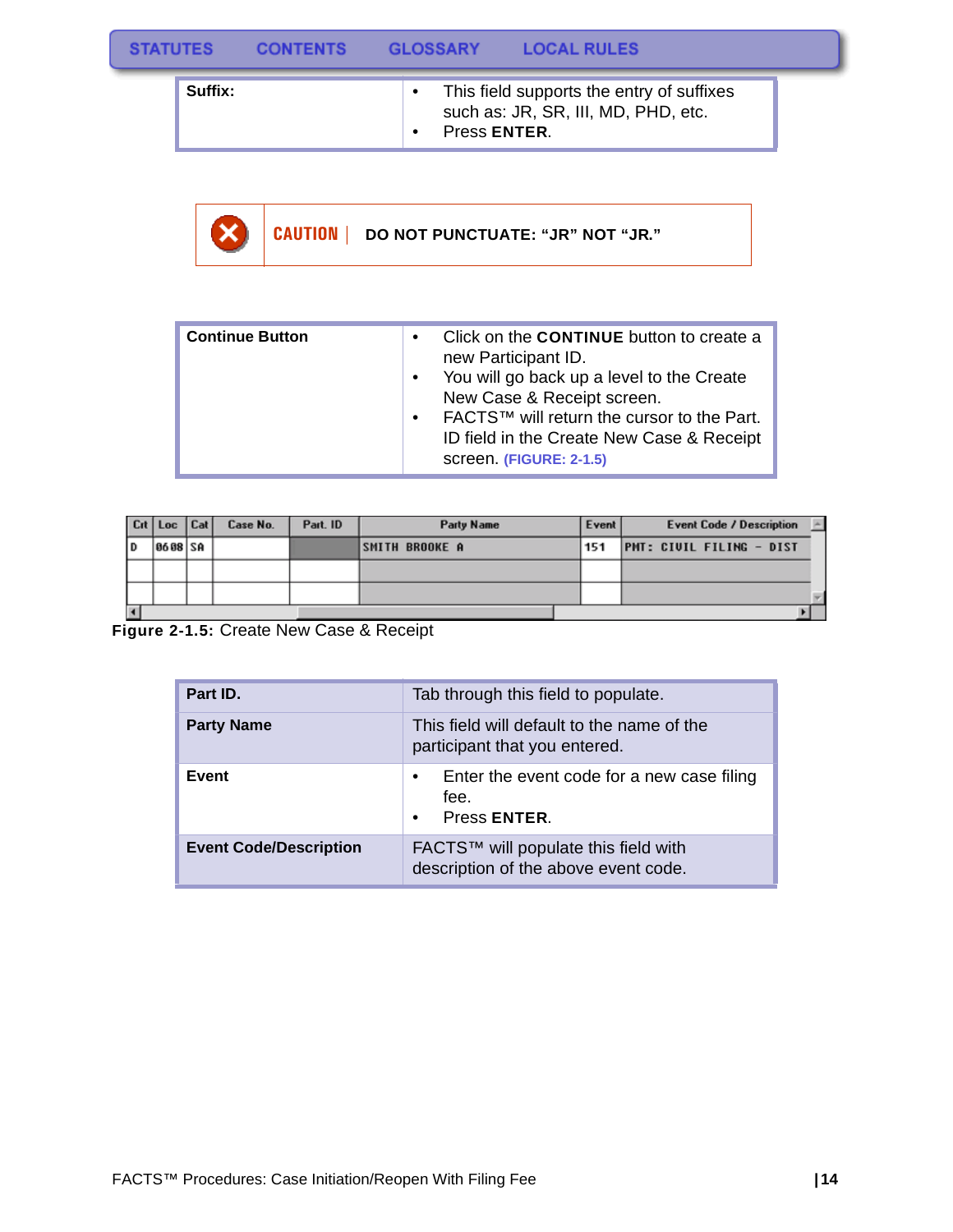| <b>STATUTES</b> |         | <b>CONTENTS</b> | <b>GLOSSARY</b> | <b>LOCAL RULES</b> |                                                                                  |  |
|-----------------|---------|-----------------|-----------------|--------------------|----------------------------------------------------------------------------------|--|
|                 | Suffix: |                 | Press ENTER.    |                    | This field supports the entry of suffixes<br>such as: JR, SR, III, MD, PHD, etc. |  |

**CAUTION | DO NOT PUNCTUATE: "JR" NOT "JR."** X)

| <b>Continue Button</b> | ٠<br>$\bullet$<br>$\bullet$ | Click on the <b>CONTINUE</b> button to create a<br>new Participant ID.<br>You will go back up a level to the Create<br>New Case & Receipt screen.<br>FACTS™ will return the cursor to the Part.<br>ID field in the Create New Case & Receipt<br>screen. (FIGURE: 2-1.5) |
|------------------------|-----------------------------|-------------------------------------------------------------------------------------------------------------------------------------------------------------------------------------------------------------------------------------------------------------------------|

|    | Cit   Loc | Cat | Case No. | Part. ID | <b>Party Name</b>     | Event | <b>Event Code / Description</b> |
|----|-----------|-----|----------|----------|-----------------------|-------|---------------------------------|
| ١D | 8688 SA   |     |          |          | <b>SMITH BROOKE A</b> | 151   | <b>PMT: CIVIL FILING - DIST</b> |
|    |           |     |          |          |                       |       |                                 |
|    |           |     |          |          |                       |       |                                 |
| ∣◀ |           |     |          |          |                       |       |                                 |

**Figure 2-1.5:** Create New Case & Receipt

| Part ID.                      | Tab through this field to populate.                                                  |
|-------------------------------|--------------------------------------------------------------------------------------|
| <b>Party Name</b>             | This field will default to the name of the<br>participant that you entered.          |
| Event                         | Enter the event code for a new case filing<br>٠<br>fee.<br>Press ENTER.<br>$\bullet$ |
| <b>Event Code/Description</b> | FACTS™ will populate this field with<br>description of the above event code.         |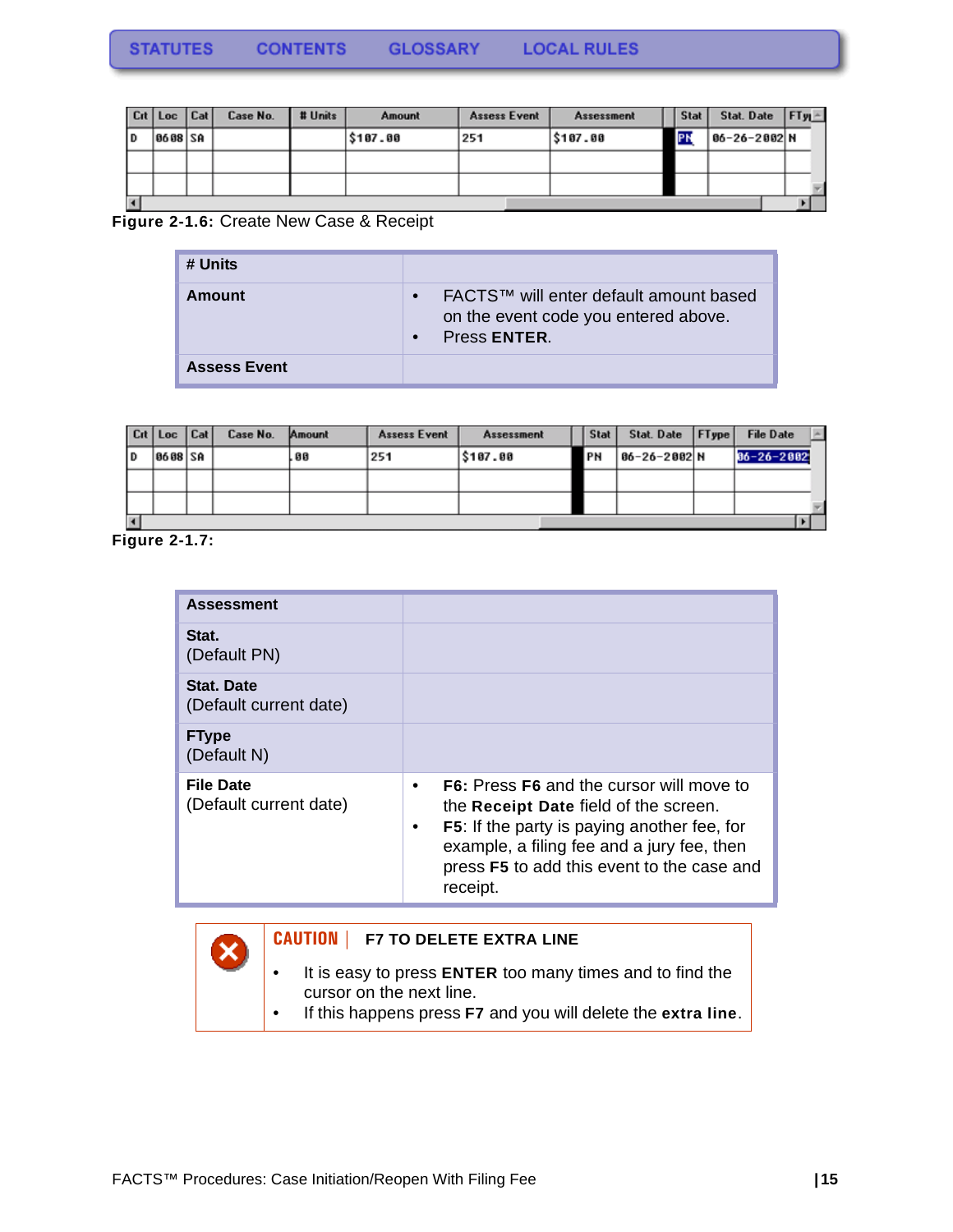|    | $ $ Crt   Loc   Cat |  | Case No. | # Units | Amount   | Assess Event | <b>Assessment</b> |  | <b>Stat</b> | Stat. Date $ FTy $ |  |
|----|---------------------|--|----------|---------|----------|--------------|-------------------|--|-------------|--------------------|--|
| ID | 8688 SA             |  |          |         | \$187.00 | 251          | <b>S187.88</b>    |  | I۴۱         | 06-26-2002 N       |  |
|    |                     |  |          |         |          |              |                   |  |             |                    |  |
|    |                     |  |          |         |          |              |                   |  |             |                    |  |
|    |                     |  |          |         |          |              |                   |  |             |                    |  |

### **Figure 2-1.6:** Create New Case & Receipt

| # Units             |                                                                                                |
|---------------------|------------------------------------------------------------------------------------------------|
| Amount              | FACTS™ will enter default amount based<br>on the event code you entered above.<br>Press ENTER. |
| <b>Assess Event</b> |                                                                                                |

|    | Cit   Loc   Cat |  | Case No. | Amount | <b>Assess Event</b> | <b>Assessment</b> |  | <b>Stat</b> | Stat. Date   FType | <b>File Date</b> |  |
|----|-----------------|--|----------|--------|---------------------|-------------------|--|-------------|--------------------|------------------|--|
| ID | 8688 SA         |  |          | . 88   | 251                 | \$107.00          |  | PN          | 86-26-2002 N       | $86 - 26 - 2882$ |  |
|    |                 |  |          |        |                     |                   |  |             |                    |                  |  |
|    |                 |  |          |        |                     |                   |  |             |                    |                  |  |
|    |                 |  |          |        |                     |                   |  |             |                    |                  |  |

**Figure 2-1.7:** 

| <b>Assessment</b>                          |                                                                                                                                                                                                                                                               |
|--------------------------------------------|---------------------------------------------------------------------------------------------------------------------------------------------------------------------------------------------------------------------------------------------------------------|
| Stat.<br>(Default PN)                      |                                                                                                                                                                                                                                                               |
| Stat. Date<br>(Default current date)       |                                                                                                                                                                                                                                                               |
| <b>FType</b><br>(Default N)                |                                                                                                                                                                                                                                                               |
| <b>File Date</b><br>(Default current date) | <b>F6:</b> Press <b>F6</b> and the cursor will move to<br>the Receipt Date field of the screen.<br><b>F5:</b> If the party is paying another fee, for<br>example, a filing fee and a jury fee, then<br>press F5 to add this event to the case and<br>receipt. |

### **CAUTION | F7 TO DELETE EXTRA LINE**

- It is easy to press **ENTER** too many times and to find the cursor on the next line.
- If this happens press **F7** and you will delete the **extra line**.

X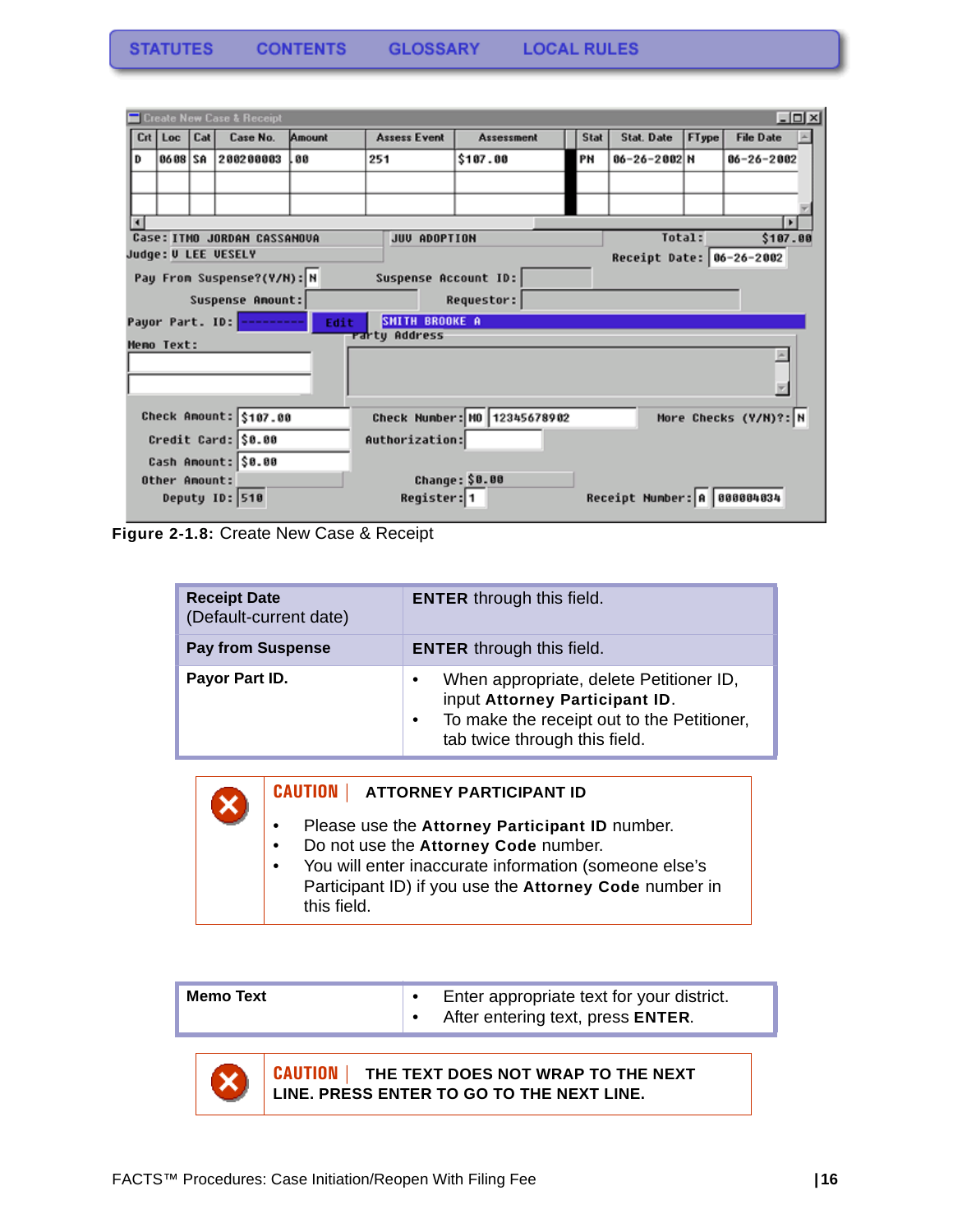|                                       | $-12x$<br><b>Execute New Case &amp; Receipt</b> |     |                                       |        |                      |                              |             |                             |       |                       |  |
|---------------------------------------|-------------------------------------------------|-----|---------------------------------------|--------|----------------------|------------------------------|-------------|-----------------------------|-------|-----------------------|--|
|                                       | Crt   Loc                                       | Cat | Case No.                              | Amount | <b>Assess Event</b>  | <b>Assessment</b>            | <b>Stat</b> | <b>Stat. Date</b>           | FType | <b>File Date</b>      |  |
| D                                     | 86 88 SA                                        |     | 200200003                             | .00    | 251                  | \$107.00                     | PN          | 06-26-2002 N                |       | $06 - 26 - 2002$      |  |
|                                       |                                                 |     |                                       |        |                      |                              |             |                             |       |                       |  |
|                                       |                                                 |     |                                       |        |                      |                              |             |                             |       |                       |  |
|                                       |                                                 |     |                                       |        |                      |                              |             |                             |       | $\mathbf{E}$          |  |
|                                       |                                                 |     | Case: ITMO JORDAN CASSAMOUA           |        | JUV ADOPTION         |                              |             | Total:                      |       | \$107.00              |  |
|                                       |                                                 |     | Judge: U LEE UESELY                   |        |                      |                              |             | Receipt Date: 06-26-2002    |       |                       |  |
|                                       |                                                 |     | Pay From Suspense?(Y/N): N            |        | Suspense Account ID: |                              |             |                             |       |                       |  |
|                                       |                                                 |     | Suspense Anount:                      |        |                      | Requestor:                   |             |                             |       |                       |  |
|                                       |                                                 |     | Payor Part. ID: <mark>--------</mark> | Edit   | SMITH BROOKE A       |                              |             |                             |       |                       |  |
|                                       | <b>Memo Text:</b>                               |     |                                       |        | rartų Address        |                              |             |                             |       |                       |  |
|                                       |                                                 |     |                                       |        |                      |                              |             |                             |       |                       |  |
|                                       |                                                 |     |                                       |        |                      |                              |             |                             |       |                       |  |
|                                       |                                                 |     |                                       |        |                      |                              |             |                             |       |                       |  |
|                                       |                                                 |     | Check Amount: \$107.00                |        |                      | Check Number: 10 12345678902 |             |                             |       | More Checks (Y/N)?: N |  |
| Credit Card: \$0.00<br>Authorization: |                                                 |     |                                       |        |                      |                              |             |                             |       |                       |  |
|                                       |                                                 |     | Cash Amount: \$0.00                   |        |                      |                              |             |                             |       |                       |  |
|                                       | Other Amount:                                   |     |                                       |        |                      | Change: \$0.00               |             |                             |       |                       |  |
|                                       |                                                 |     | Deputy ID: 510                        |        | Register: 1          |                              |             | Receipt Number: 8 888884834 |       |                       |  |

**Figure 2-1.8:** Create New Case & Receipt

| <b>Receipt Date</b><br>(Default-current date) | <b>ENTER</b> through this field.                                                                                                                                           |
|-----------------------------------------------|----------------------------------------------------------------------------------------------------------------------------------------------------------------------------|
| <b>Pay from Suspense</b>                      | <b>ENTER</b> through this field.                                                                                                                                           |
| Payor Part ID.                                | When appropriate, delete Petitioner ID,<br>٠<br>input Attorney Participant ID.<br>To make the receipt out to the Petitioner,<br>$\bullet$<br>tab twice through this field. |



#### **CAUTION | ATTORNEY PARTICIPANT ID**

- Please use the **Attorney Participant ID** number.
- Do not use the **Attorney Code** number.
- You will enter inaccurate information (someone else's Participant ID) if you use the **Attorney Code** number in this field.



**CAUTION | THE TEXT DOES NOT WRAP TO THE NEXT LINE. PRESS ENTER TO GO TO THE NEXT LINE.**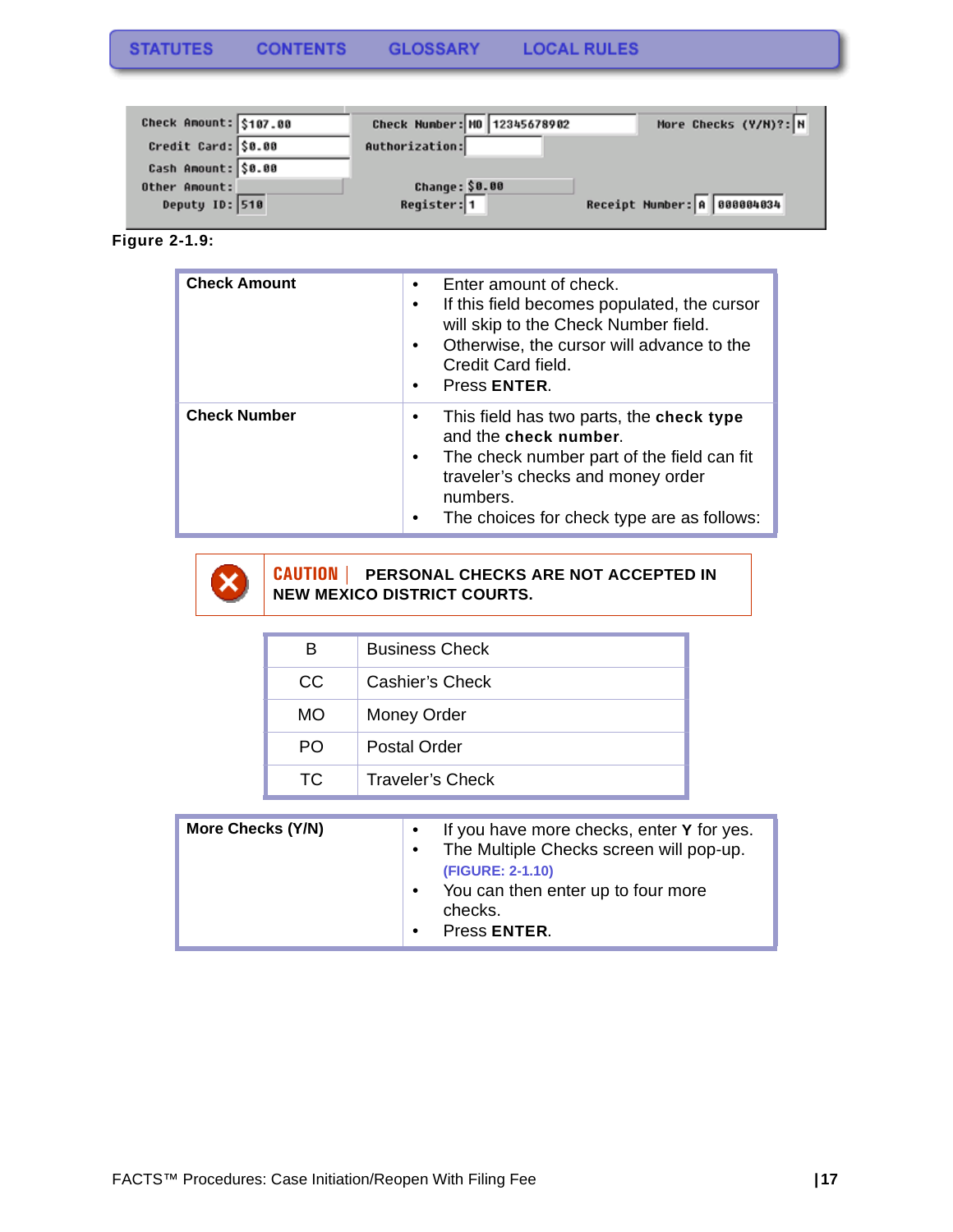| Check Amount: \$107.00 | Check Number: NO 12345678902 | More Checks (Y/H)?: N       |
|------------------------|------------------------------|-----------------------------|
| Credit Card: \$0.00    | Authorization:               |                             |
| Cash Amount: \$0.00    |                              |                             |
| Other Amount:          | Change: \$0.00               |                             |
| Deputy ID: 510         | Register: 1                  | Receipt Number: A 888884834 |

**Figure 2-1.9:** 

| <b>Check Amount</b> | Enter amount of check.<br>٠<br>If this field becomes populated, the cursor<br>٠<br>will skip to the Check Number field.<br>Otherwise, the cursor will advance to the<br>$\bullet$<br>Credit Card field.<br>Press ENTER.<br>٠          |
|---------------------|---------------------------------------------------------------------------------------------------------------------------------------------------------------------------------------------------------------------------------------|
| <b>Check Number</b> | This field has two parts, the check type<br>٠<br>and the check number.<br>The check number part of the field can fit<br>$\bullet$<br>traveler's checks and money order<br>numbers.<br>The choices for check type are as follows:<br>٠ |



### **CAUTION | PERSONAL CHECKS ARE NOT ACCEPTED IN NEW MEXICO DISTRICT COURTS.**

| в         | <b>Business Check</b> |
|-----------|-----------------------|
| CC        | Cashier's Check       |
| <b>MO</b> | Money Order           |
| PO.       | Postal Order          |
| TC.       | Traveler's Check      |

| More Checks (Y/N)<br>$\bullet$ | If you have more checks, enter Y for yes.<br>The Multiple Checks screen will pop-up.<br>(FIGURE: 2-1.10)<br>You can then enter up to four more<br>checks.<br>Press ENTER. |
|--------------------------------|---------------------------------------------------------------------------------------------------------------------------------------------------------------------------|
|--------------------------------|---------------------------------------------------------------------------------------------------------------------------------------------------------------------------|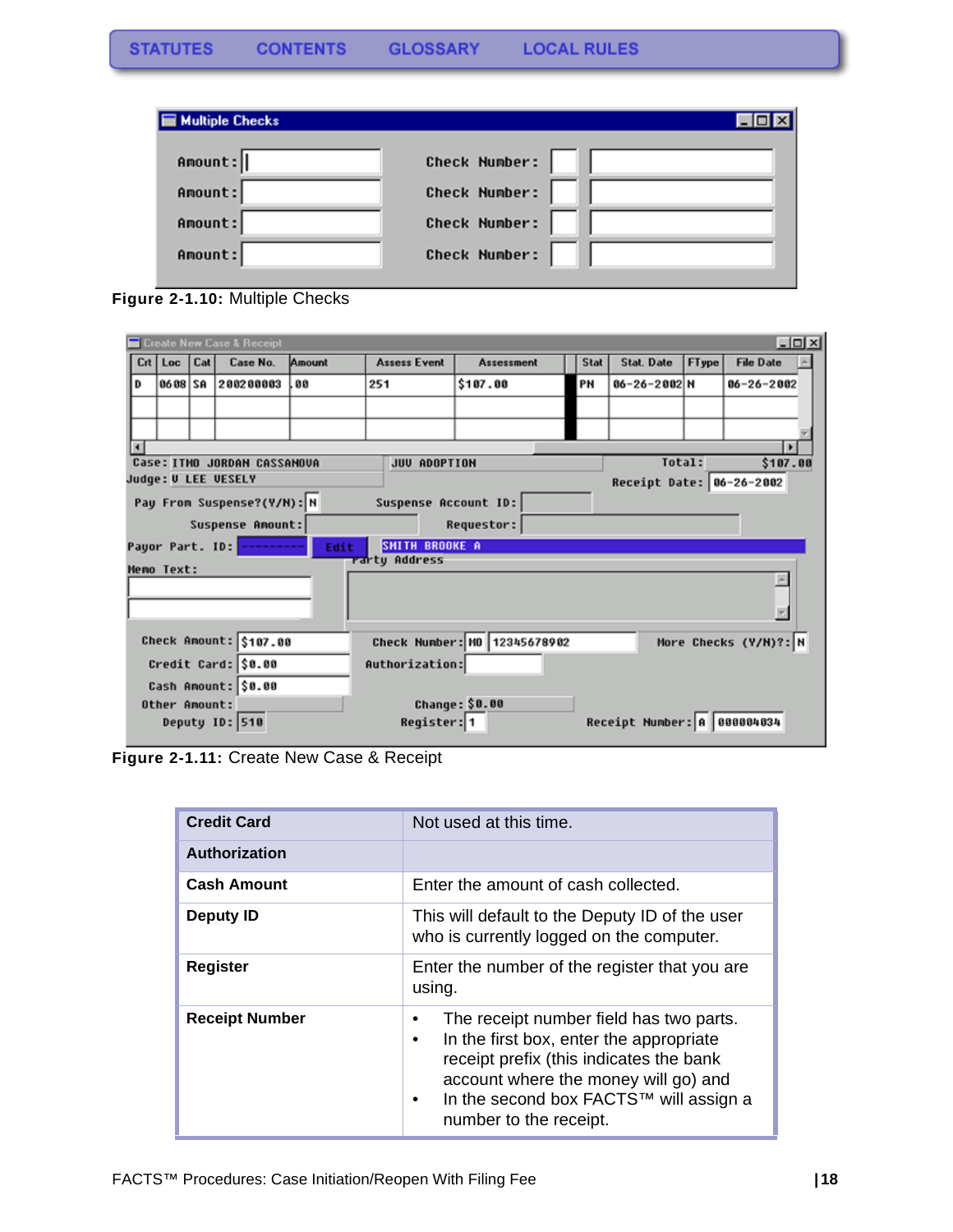| <b>Multiple Checks</b> |                      |
|------------------------|----------------------|
| Amount:                | <b>Check Number:</b> |
| Amount:                | Check Number:        |
| Amount:                | Check Number:        |
| Amount:                | <b>Check Number:</b> |

**Figure 2-1.10:** Multiple Checks

|                        | $-10x$<br>Create New Case & Receipt |     |                                        |                |                              |                   |      |                             |                       |                  |  |
|------------------------|-------------------------------------|-----|----------------------------------------|----------------|------------------------------|-------------------|------|-----------------------------|-----------------------|------------------|--|
|                        | $Crt$ Loc                           | Cat | Case No.                               | Amount         | <b>Assess Event</b>          | <b>Assessment</b> | Stat | <b>Stat. Date</b>           | FType                 | <b>File Date</b> |  |
| D                      | 86 08 SA                            |     | 200200003                              | .00            | 251                          | \$107.00          | PN   | 06-26-2002 N                |                       | $06 - 26 - 2002$ |  |
|                        |                                     |     |                                        |                |                              |                   |      |                             |                       |                  |  |
|                        |                                     |     |                                        |                |                              |                   |      |                             |                       |                  |  |
|                        |                                     |     |                                        |                |                              |                   |      |                             |                       |                  |  |
|                        |                                     |     | Case: ITMO JORDAN CASSAMOUA            |                | JUV ADOPTION                 |                   |      |                             | Total:                | \$107.00         |  |
|                        |                                     |     | Judge: U LEE UESELY                    |                |                              |                   |      | Receipt Date: 06-26-2002    |                       |                  |  |
|                        |                                     |     | Pay From Suspense?(Y/N): N             |                | Suspense Account ID:         |                   |      |                             |                       |                  |  |
|                        |                                     |     | Suspense Anount:                       |                |                              | Requestor:        |      |                             |                       |                  |  |
|                        |                                     |     | Payor Part. ID: <mark>---------</mark> | Edit           | <b>SMITH BROOKE A</b>        |                   |      |                             |                       |                  |  |
|                        | <b>Memo Text:</b>                   |     |                                        |                | rarty Address                |                   |      |                             |                       |                  |  |
|                        |                                     |     |                                        |                |                              |                   |      |                             |                       |                  |  |
|                        |                                     |     |                                        |                |                              |                   |      |                             |                       |                  |  |
|                        |                                     |     |                                        |                |                              |                   |      |                             |                       |                  |  |
| Check Amount: \$107.00 |                                     |     |                                        |                | Check Number: NO 12345678902 |                   |      |                             | More Checks (Y/N)?: N |                  |  |
| Credit Card: \$0.00    |                                     |     |                                        | Authorization: |                              |                   |      |                             |                       |                  |  |
| Cash Amount: \$0.00    |                                     |     |                                        |                |                              |                   |      |                             |                       |                  |  |
|                        | Other Amount:                       |     |                                        |                |                              | Change: \$0.00    |      |                             |                       |                  |  |
|                        |                                     |     | Deputy ID: 510                         |                | Register: 1                  |                   |      | Receipt Number: 8 888884834 |                       |                  |  |

**Figure 2-1.11:** Create New Case & Receipt

| <b>Credit Card</b>    | Not used at this time.                                                                                                                                                                                                                                              |
|-----------------------|---------------------------------------------------------------------------------------------------------------------------------------------------------------------------------------------------------------------------------------------------------------------|
| <b>Authorization</b>  |                                                                                                                                                                                                                                                                     |
| <b>Cash Amount</b>    | Enter the amount of cash collected.                                                                                                                                                                                                                                 |
| Deputy ID             | This will default to the Deputy ID of the user<br>who is currently logged on the computer.                                                                                                                                                                          |
| <b>Register</b>       | Enter the number of the register that you are<br>using.                                                                                                                                                                                                             |
| <b>Receipt Number</b> | The receipt number field has two parts.<br>In the first box, enter the appropriate<br>$\bullet$<br>receipt prefix (this indicates the bank<br>account where the money will go) and<br>In the second box FACTS™ will assign a<br>$\bullet$<br>number to the receipt. |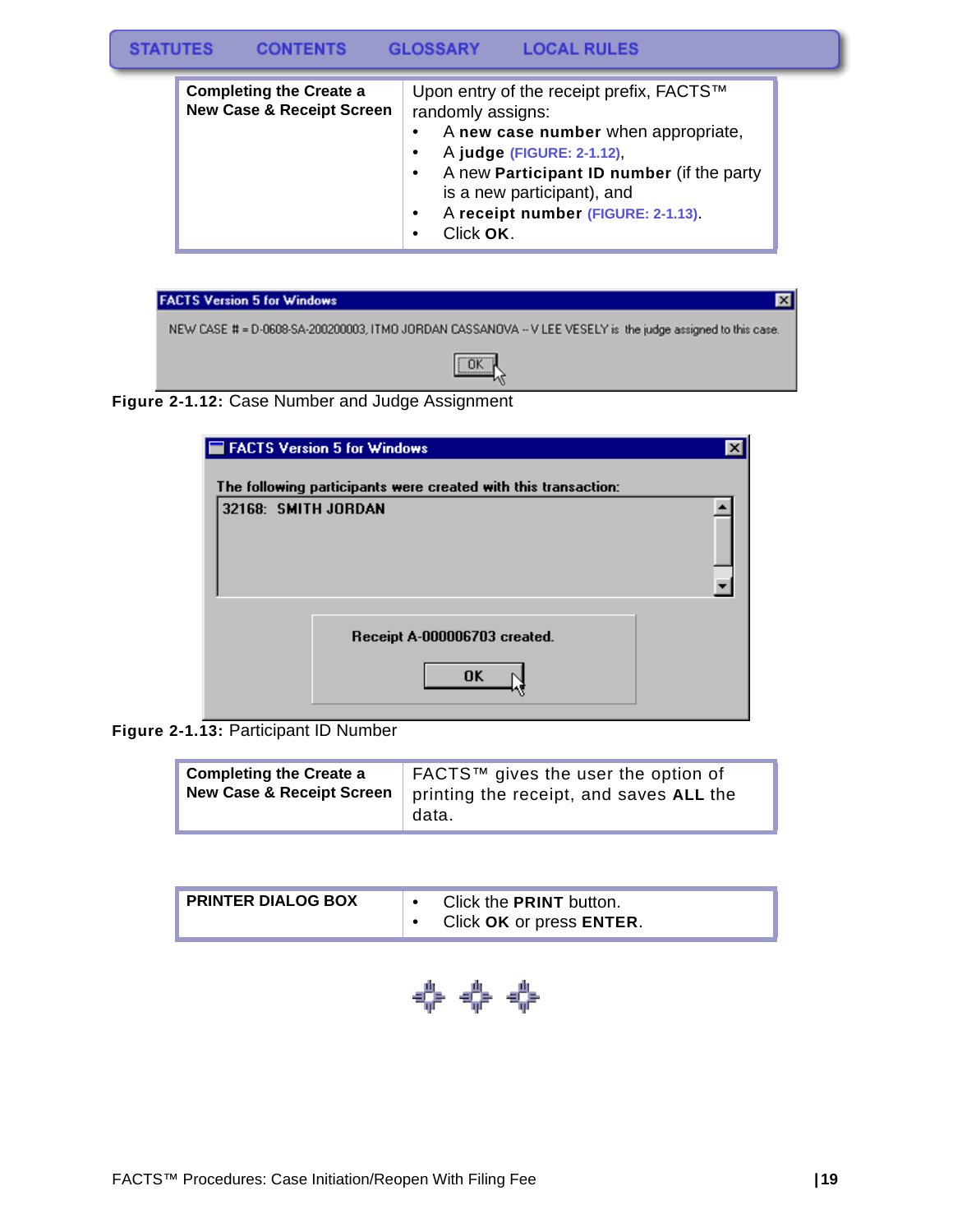#### **STATUTES CONTENTS GLOSSARY LOCAL RULES**

| <b>Completing the Create a</b><br><b>New Case &amp; Receipt Screen</b> | Upon entry of the receipt prefix, FACTS™<br>randomly assigns:<br>A new case number when appropriate,<br>٠<br>A judge (FIGURE: 2-1.12),<br>$\bullet$<br>A new Participant ID number (if the party<br>$\bullet$<br>is a new participant), and |
|------------------------------------------------------------------------|---------------------------------------------------------------------------------------------------------------------------------------------------------------------------------------------------------------------------------------------|
|                                                                        | A receipt number (FIGURE: 2-1.13).<br>$\bullet$<br>Click OK.<br>٠                                                                                                                                                                           |

| <b>FACTS Version 5 for Windows</b>                                                                          |  |
|-------------------------------------------------------------------------------------------------------------|--|
| NEW CASE # = D-0608-SA-200200003, ITMO JORDAN CASSANOVA -- V LEE VESELY is the judge assigned to this case. |  |
| $\sqrt{aK}$                                                                                                 |  |

### **Figure 2-1.12:** Case Number and Judge Assignment

| FACTS Version 5 for Windows                                    |  |
|----------------------------------------------------------------|--|
| The following participants were created with this transaction: |  |
| 32168: SMITH JORDAN                                            |  |
| Receipt A-000006703 created.<br><b>OK</b>                      |  |

**Figure 2-1.13:** Participant ID Number

| <b>PRINTER DIALOG BOX</b> | Click the <b>PRINT</b> button.<br>Click OK or press ENTER. |
|---------------------------|------------------------------------------------------------|
|                           |                                                            |

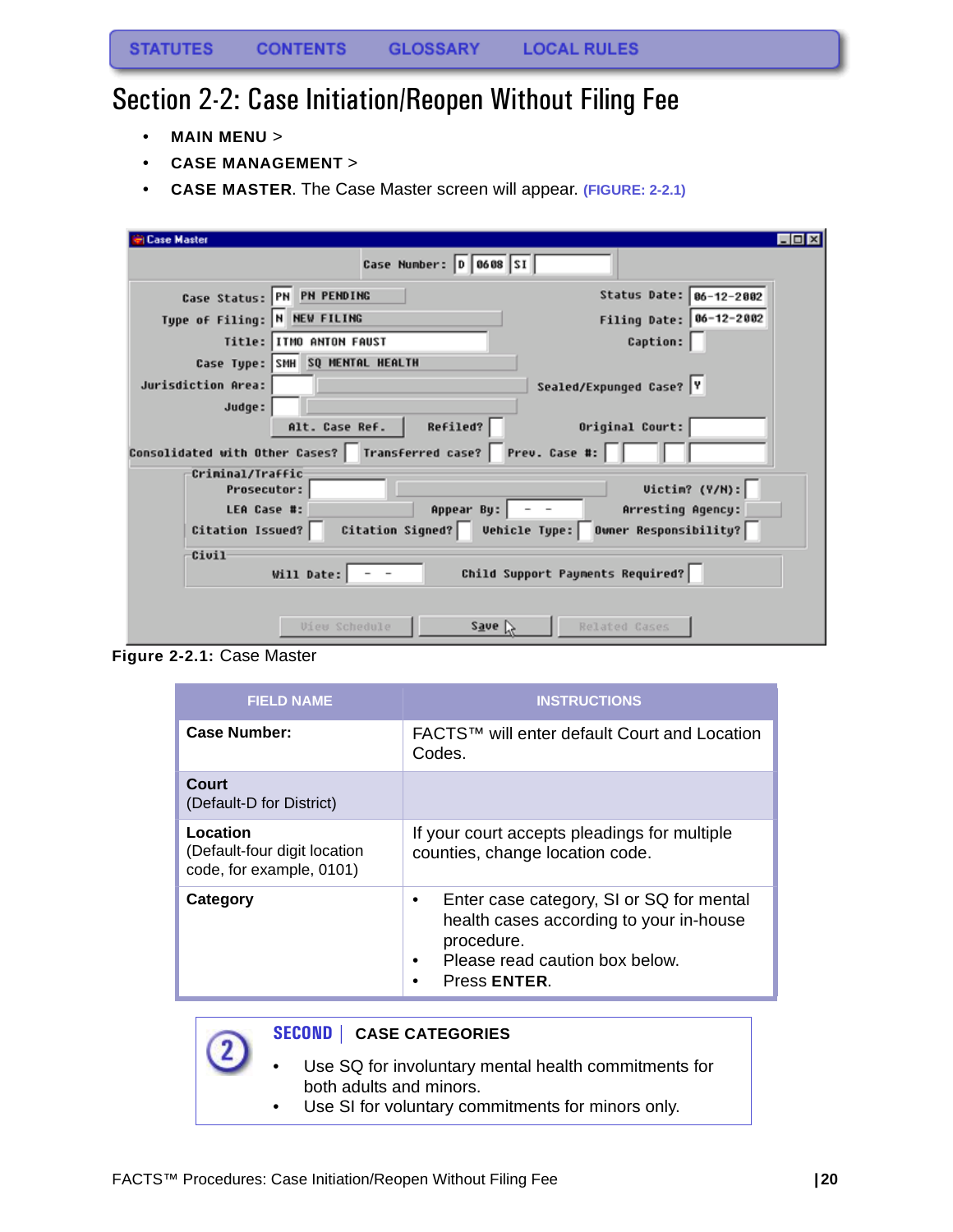### <span id="page-20-0"></span>Section 2-2: Case Initiation/Reopen Without Filing Fee

- **MAIN MENU** >
- **CASE MANAGEMENT** >
- **CASE MASTER**. The Case Master screen will appear. **(FIGURE: 2-2.1)**

| <b>Case Master</b>           |                                                                    | $\Box$ o $\times$                                        |  |
|------------------------------|--------------------------------------------------------------------|----------------------------------------------------------|--|
|                              | Case Number: 0 0608 SI                                             |                                                          |  |
|                              | Case Status: PN PN PENDING                                         | Status Date: 06-12-2002                                  |  |
| Type of Filing: N NEW FILING |                                                                    | Filing Date: 06-12-2002                                  |  |
|                              | Title: ITMO ANTON FAUST                                            | Caption:                                                 |  |
|                              | Case Type: SMH SQ MENTAL HEALTH                                    |                                                          |  |
| Jurisdiction Area:           |                                                                    | Sealed/Expunged Case?  Y                                 |  |
| Judge:                       |                                                                    |                                                          |  |
|                              | Refiled?<br>Alt. Case Ref.                                         | Original Court:                                          |  |
|                              | Consolidated with Other Cases?   Transferred case?   Prev. Case #: |                                                          |  |
| Criminal/Traffic             |                                                                    |                                                          |  |
| <b>Prosecutor:</b>           |                                                                    | Uictin? (Y/N):                                           |  |
| LEA Case #:                  | Appear By: $\vert$ - -                                             | Arresting Agency:                                        |  |
| Citation Issued?             |                                                                    | Citation Signed?   Vehicle Type:   Owner Responsibility? |  |
| Civil                        |                                                                    |                                                          |  |
|                              | Will Date:                                                         | Child Support Payments Required?                         |  |
|                              |                                                                    |                                                          |  |
|                              | Save<br>View Schedule                                              | Related Cases                                            |  |
|                              |                                                                    |                                                          |  |

**Figure 2-2.1:** Case Master

| <b>FIELD NAME</b>                                                    | <b>INSTRUCTIONS</b>                                                                                                                                      |
|----------------------------------------------------------------------|----------------------------------------------------------------------------------------------------------------------------------------------------------|
| Case Number:                                                         | FACTS™ will enter default Court and Location<br>Codes.                                                                                                   |
| Court<br>(Default-D for District)                                    |                                                                                                                                                          |
| Location<br>(Default-four digit location<br>code, for example, 0101) | If your court accepts pleadings for multiple<br>counties, change location code.                                                                          |
| Category                                                             | Enter case category, SI or SQ for mental<br>٠<br>health cases according to your in-house<br>procedure.<br>Please read caution box below.<br>Press ENTER. |

- **SECOND | CASE CATEGORIES**
- Use SQ for involuntary mental health commitments for both adults and minors.
- Use SI for voluntary commitments for minors only.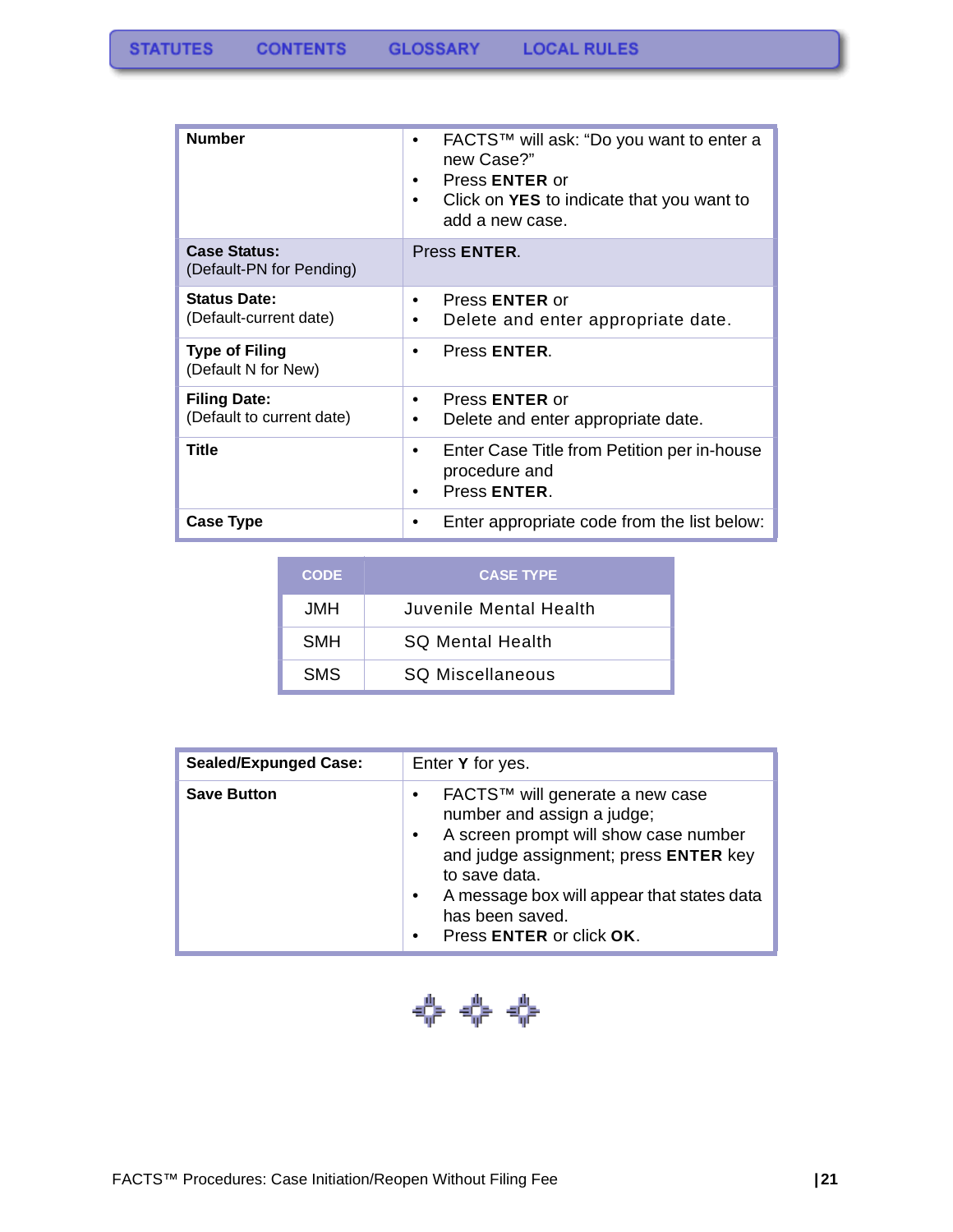| <b>Number</b>                                    | FACTS™ will ask: "Do you want to enter a<br>new Case?"<br>Press <b>ENTER</b> or<br>Click on YES to indicate that you want to<br>add a new case. |  |
|--------------------------------------------------|-------------------------------------------------------------------------------------------------------------------------------------------------|--|
| <b>Case Status:</b><br>(Default-PN for Pending)  | Press <b>ENTER</b> .                                                                                                                            |  |
| <b>Status Date:</b><br>(Default-current date)    | Press <b>ENTER</b> or<br>Delete and enter appropriate date.                                                                                     |  |
| <b>Type of Filing</b><br>(Default N for New)     | Press ENTER.                                                                                                                                    |  |
| <b>Filing Date:</b><br>(Default to current date) | Press <b>ENTER</b> or<br>٠<br>Delete and enter appropriate date.                                                                                |  |
| Title                                            | Enter Case Title from Petition per in-house<br>procedure and<br>Press ENTER.                                                                    |  |
| <b>Case Type</b>                                 | Enter appropriate code from the list below:                                                                                                     |  |

| <b>CODE</b> | <b>CASE TYPE</b>        |
|-------------|-------------------------|
| JMH.        | Juvenile Mental Health  |
| <b>SMH</b>  | <b>SQ Mental Health</b> |
| <b>SMS</b>  | <b>SQ Miscellaneous</b> |

| <b>Sealed/Expunged Case:</b> | Enter Y for yes.                                                                                                                                                                                                                                                                                                  |  |  |
|------------------------------|-------------------------------------------------------------------------------------------------------------------------------------------------------------------------------------------------------------------------------------------------------------------------------------------------------------------|--|--|
| <b>Save Button</b>           | FACTS™ will generate a new case<br>$\bullet$<br>number and assign a judge;<br>A screen prompt will show case number<br>$\bullet$<br>and judge assignment; press ENTER key<br>to save data.<br>A message box will appear that states data<br>$\bullet$<br>has been saved.<br>Press ENTER or click OK.<br>$\bullet$ |  |  |

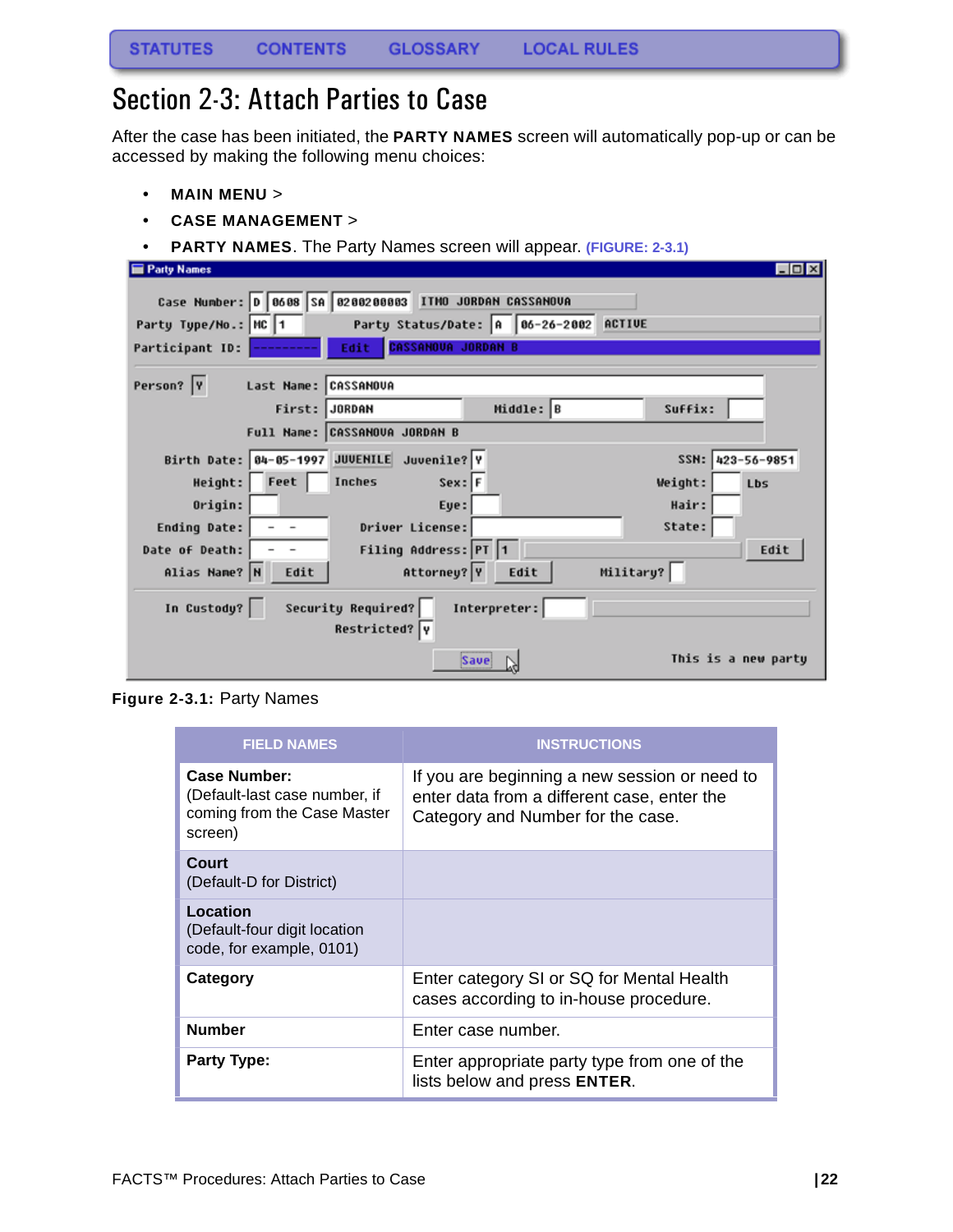# <span id="page-22-0"></span>Section 2-3: Attach Parties to Case

After the case has been initiated, the **PARTY NAMES** screen will automatically pop-up or can be accessed by making the following menu choices:

- **MAIN MENU** >
- **CASE MANAGEMENT** >
- **PARTY NAMES**. The Party Names screen will appear. **(FIGURE: 2-3.1)**

| Party Names                                                        | $\Box$ olx          |
|--------------------------------------------------------------------|---------------------|
| Case Number: D   0608   SA   0200200003   ITMO JORDAN CASSANOVA    |                     |
| Party Status/Date: A  06-26-2002 ACTIVE<br>Party Type/No.: MC 1    |                     |
| <b>CASSANOVA JORDAN B</b><br>Edit<br>Participant ID:               |                     |
| Person?  Y<br>Last Name: CASSANOUA                                 |                     |
| Middle: B<br>First: JORDAN                                         | Suffix:             |
| Full Name: CASSANOVA JORDAN B                                      |                     |
| Birth Date: 04-05-1997 JUVENILE Juvenile? Y                        | SSN: 423-56-9851    |
| Feet<br>Inches<br>Height:<br>$Sex:$ F                              | Weight:<br>Lbs      |
| Origin:<br>Eye:                                                    | Hair:               |
| Driver License:<br><b>Ending Date:</b>                             | State:              |
| Filing Address: PT 1<br>Date of Death:                             | Edit                |
| Attorney? Y<br>Military?<br>Alias Name? N<br>Edit<br>Edit          |                     |
| Security Required?<br>Interpreter:<br>In Custody?<br>Restricted? Y |                     |
| <b>Save</b>                                                        | This is a new party |

**Figure 2-3.1:** Party Names

| <b>FIELD NAMES</b>                                                                             | <b>INSTRUCTIONS</b>                                                                                                               |
|------------------------------------------------------------------------------------------------|-----------------------------------------------------------------------------------------------------------------------------------|
| <b>Case Number:</b><br>(Default-last case number, if<br>coming from the Case Master<br>screen) | If you are beginning a new session or need to<br>enter data from a different case, enter the<br>Category and Number for the case. |
| Court<br>(Default-D for District)                                                              |                                                                                                                                   |
| Location<br>(Default-four digit location<br>code, for example, 0101)                           |                                                                                                                                   |
| Category                                                                                       | Enter category SI or SQ for Mental Health<br>cases according to in-house procedure.                                               |
| <b>Number</b>                                                                                  | Enter case number.                                                                                                                |
| <b>Party Type:</b>                                                                             | Enter appropriate party type from one of the<br>lists below and press ENTER.                                                      |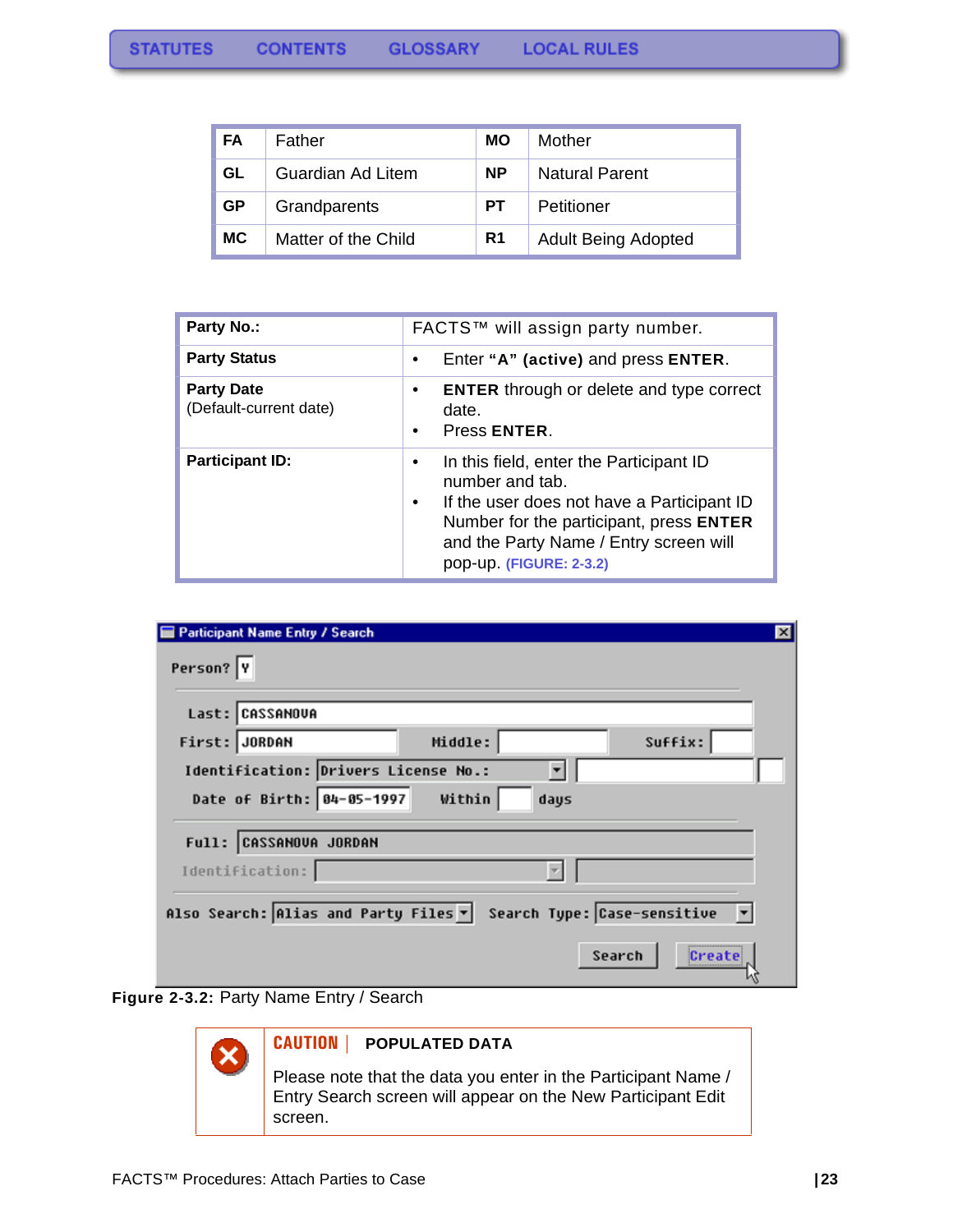| FA        | Father              | MО             | Mother                     |
|-----------|---------------------|----------------|----------------------------|
| GL        | Guardian Ad Litem   | <b>NP</b>      | <b>Natural Parent</b>      |
| <b>GP</b> | Grandparents        | PТ             | Petitioner                 |
| <b>MC</b> | Matter of the Child | R <sub>1</sub> | <b>Adult Being Adopted</b> |

| <b>Party No.:</b>                           | FACTS™ will assign party number.                                                                                                                                                                                              |  |  |
|---------------------------------------------|-------------------------------------------------------------------------------------------------------------------------------------------------------------------------------------------------------------------------------|--|--|
| <b>Party Status</b>                         | Enter "A" (active) and press ENTER.                                                                                                                                                                                           |  |  |
| <b>Party Date</b><br>(Default-current date) | <b>ENTER</b> through or delete and type correct<br>date.<br>Press ENTER.                                                                                                                                                      |  |  |
| <b>Participant ID:</b>                      | In this field, enter the Participant ID<br>number and tab.<br>If the user does not have a Participant ID<br>٠<br>Number for the participant, press ENTER<br>and the Party Name / Entry screen will<br>pop-up. (FIGURE: 2-3.2) |  |  |

| Participant Name Entry / Search                                     | $\vert x \vert$ |
|---------------------------------------------------------------------|-----------------|
| Person? Y                                                           |                 |
| Last: CASSANOVA                                                     |                 |
| Middle:<br>Suffix:<br>First: JORDAN                                 |                 |
| Identification: Drivers License No.:                                |                 |
| Date of Birth: 84-05-1997<br>Within<br>days                         |                 |
| Full: CASSANOVA JORDAN                                              |                 |
| Identification:                                                     |                 |
| Search Type: Case-sensitive<br>Also Search: Alias and Party Files v |                 |
| Search<br>Create                                                    |                 |





### **CAUTION | POPULATED DATA**

Please note that the data you enter in the Participant Name / Entry Search screen will appear on the New Participant Edit screen.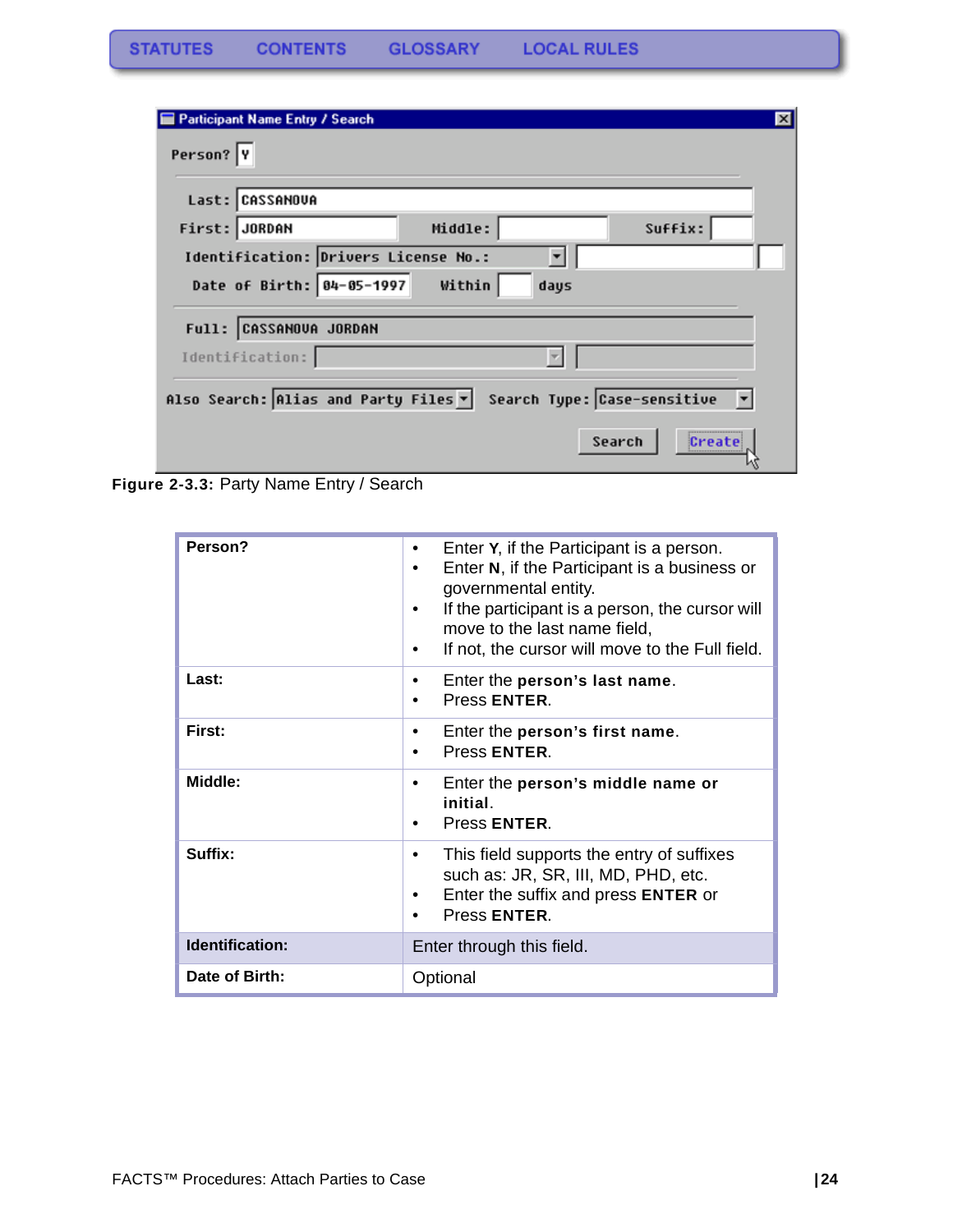| Participant Name Entry / Search                                     | $\vert x \vert$ |
|---------------------------------------------------------------------|-----------------|
| Person?  Y                                                          |                 |
| Last: CASSANOVA                                                     |                 |
| Middle:<br>Suffix:<br>First: JORDAN                                 |                 |
| Identification: Drivers License No.:<br>$\overline{\phantom{a}}$    |                 |
| Date of Birth:   04-05-1997<br>Within<br>days                       |                 |
| Full: CASSANOVA JORDAN                                              |                 |
| Identification:                                                     |                 |
| Search Type: Case-sensitive<br>Also Search: Alias and Party Files v |                 |
| Search<br>Create                                                    |                 |

**Figure 2-3.3:** Party Name Entry / Search

| Person?                | Enter Y, if the Participant is a person.<br>٠<br>Enter N, if the Participant is a business or<br>٠<br>governmental entity.<br>If the participant is a person, the cursor will<br>move to the last name field,<br>If not, the cursor will move to the Full field. |  |  |
|------------------------|------------------------------------------------------------------------------------------------------------------------------------------------------------------------------------------------------------------------------------------------------------------|--|--|
| Last:                  | Enter the person's last name.<br>Press ENTER.                                                                                                                                                                                                                    |  |  |
| First:                 | Enter the person's first name.<br>٠<br>Press ENTER.<br>٠                                                                                                                                                                                                         |  |  |
| Middle:                | Enter the person's middle name or<br>٠<br>initial.<br>Press ENTER.                                                                                                                                                                                               |  |  |
| Suffix:                | This field supports the entry of suffixes<br>٠<br>such as: JR, SR, III, MD, PHD, etc.<br>Enter the suffix and press ENTER or<br>٠<br>Press <b>ENTER</b><br>٠                                                                                                     |  |  |
| <b>Identification:</b> | Enter through this field.                                                                                                                                                                                                                                        |  |  |
| Date of Birth:         | Optional                                                                                                                                                                                                                                                         |  |  |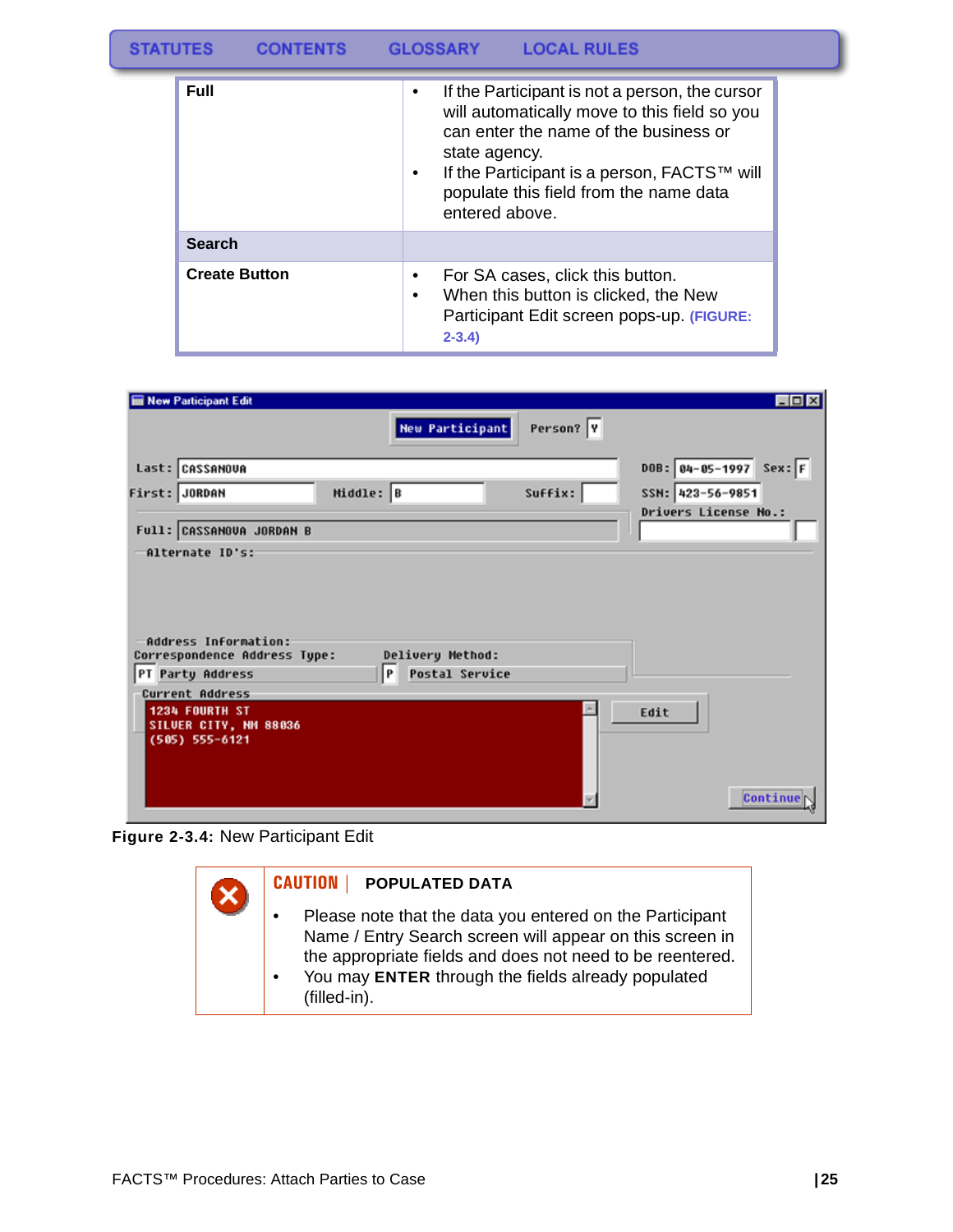| <b>Full</b>          | If the Participant is not a person, the cursor<br>$\bullet$<br>will automatically move to this field so you<br>can enter the name of the business or<br>state agency.<br>If the Participant is a person, FACTS™ will<br>٠<br>populate this field from the name data<br>entered above. |
|----------------------|---------------------------------------------------------------------------------------------------------------------------------------------------------------------------------------------------------------------------------------------------------------------------------------|
| <b>Search</b>        |                                                                                                                                                                                                                                                                                       |
| <b>Create Button</b> | For SA cases, click this button.<br>٠<br>When this button is clicked, the New<br>$\bullet$<br>Participant Edit screen pops-up. (FIGURE:<br>$2 - 3.4$                                                                                                                                  |

| <b>New Participant Edit</b>                                                    |           |                                           |           | $\Box$ D $\times$             |
|--------------------------------------------------------------------------------|-----------|-------------------------------------------|-----------|-------------------------------|
|                                                                                |           | <b>New Participant</b>                    | Person? Y |                               |
| Last: CASSANOVA                                                                |           |                                           |           | $DOB: 84-85-1997$<br>$Sex:$ F |
| First: JORDAN                                                                  | Middle: B |                                           | Suffix:   | SSN: 423-56-9851              |
|                                                                                |           |                                           |           | <b>Drivers License No.:</b>   |
| Full: CASSANOVA JORDAN B                                                       |           |                                           |           |                               |
| -Alternate ID's:                                                               |           |                                           |           |                               |
| Address Information:<br>Correspondence Address Type:<br>PT Party Address       | P         | Delivery Method:<br><b>Postal Service</b> |           |                               |
|                                                                                |           |                                           |           |                               |
| Current Address<br>1234 FOURTH ST<br>SILUER CITY, NM 88036<br>$(505)$ 555-6121 |           |                                           |           | Edit                          |
|                                                                                |           |                                           |           | Continue                      |

**Figure 2-3.4:** New Participant Edit

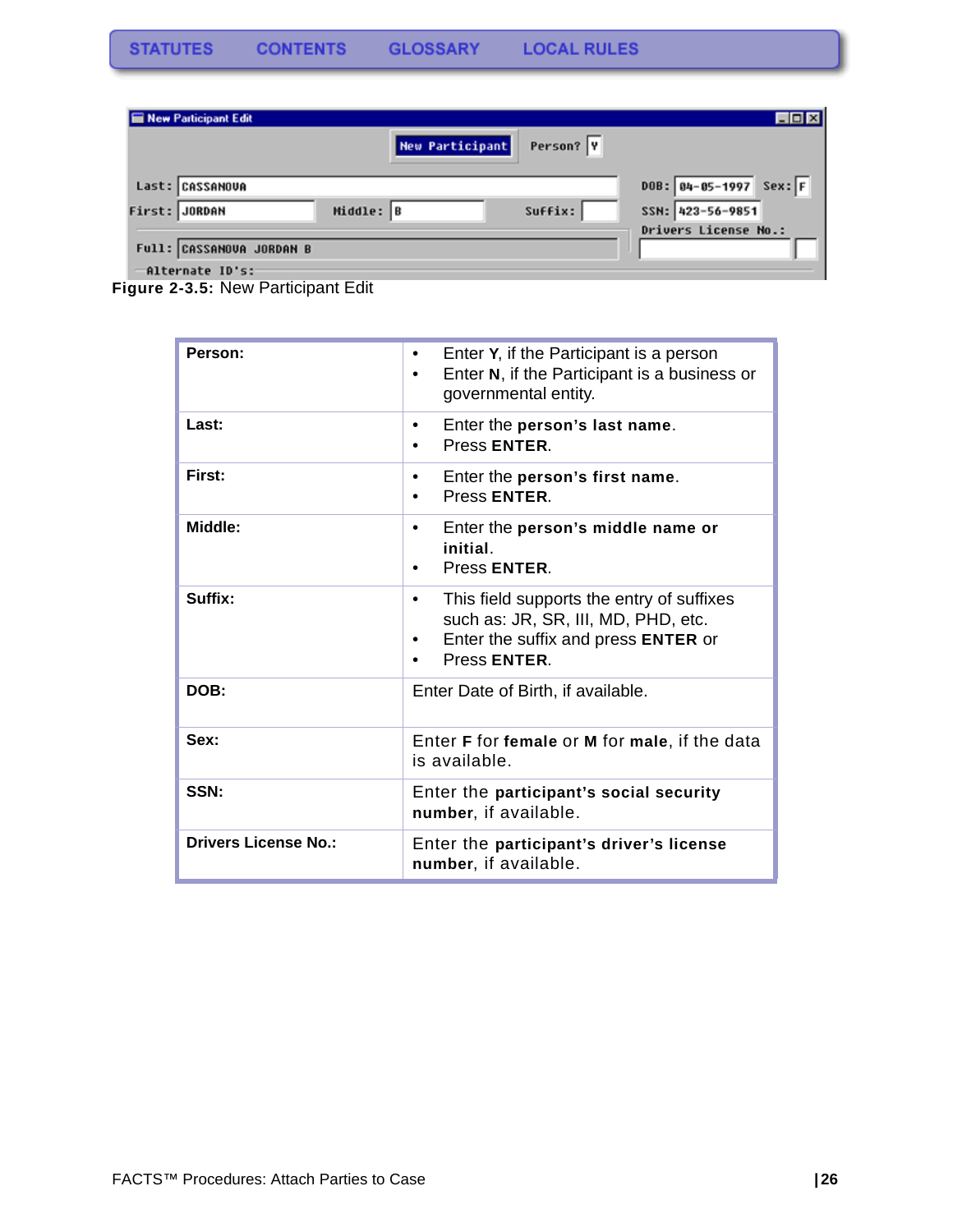| New Participant Edit     |                 |           | $\Box$ o $\times$        |
|--------------------------|-----------------|-----------|--------------------------|
|                          | New Participant | Person? Y |                          |
|                          |                 |           |                          |
| Last: CASSANOUA          |                 |           | $DOB: 04-05-1997$ Sex: F |
| First: JORDAN            | Middle: B       | Suffix:   | SSN: 423-56-9851         |
|                          |                 |           | Drivers License No.:     |
| Full: CASSANOVA JORDAN B |                 |           |                          |
| Alternate ID's:          |                 |           |                          |

**Figure 2-3.5:** New Participant Edit

| Person:                     | Enter Y, if the Participant is a person<br>$\bullet$<br>Enter N, if the Participant is a business or<br>governmental entity.                             |  |
|-----------------------------|----------------------------------------------------------------------------------------------------------------------------------------------------------|--|
| Last:                       | Enter the person's last name.<br>٠<br>Press ENTER.                                                                                                       |  |
| First:                      | Enter the person's first name.<br>٠<br>Press ENTER.                                                                                                      |  |
| Middle:                     | Enter the person's middle name or<br>$\bullet$<br><i>initial</i><br>Press ENTER.<br>٠                                                                    |  |
| Suffix:                     | This field supports the entry of suffixes<br>٠<br>such as: JR, SR, III, MD, PHD, etc.<br>Enter the suffix and press <b>ENTER</b> or<br>٠<br>Press ENTER. |  |
| DOB:                        | Enter Date of Birth, if available.                                                                                                                       |  |
| Sex:                        | Enter <b>F</b> for female or <b>M</b> for male, if the data<br>is available.                                                                             |  |
| SSN:                        | Enter the participant's social security<br>number, if available.                                                                                         |  |
| <b>Drivers License No.:</b> | Enter the participant's driver's license<br>number, if available.                                                                                        |  |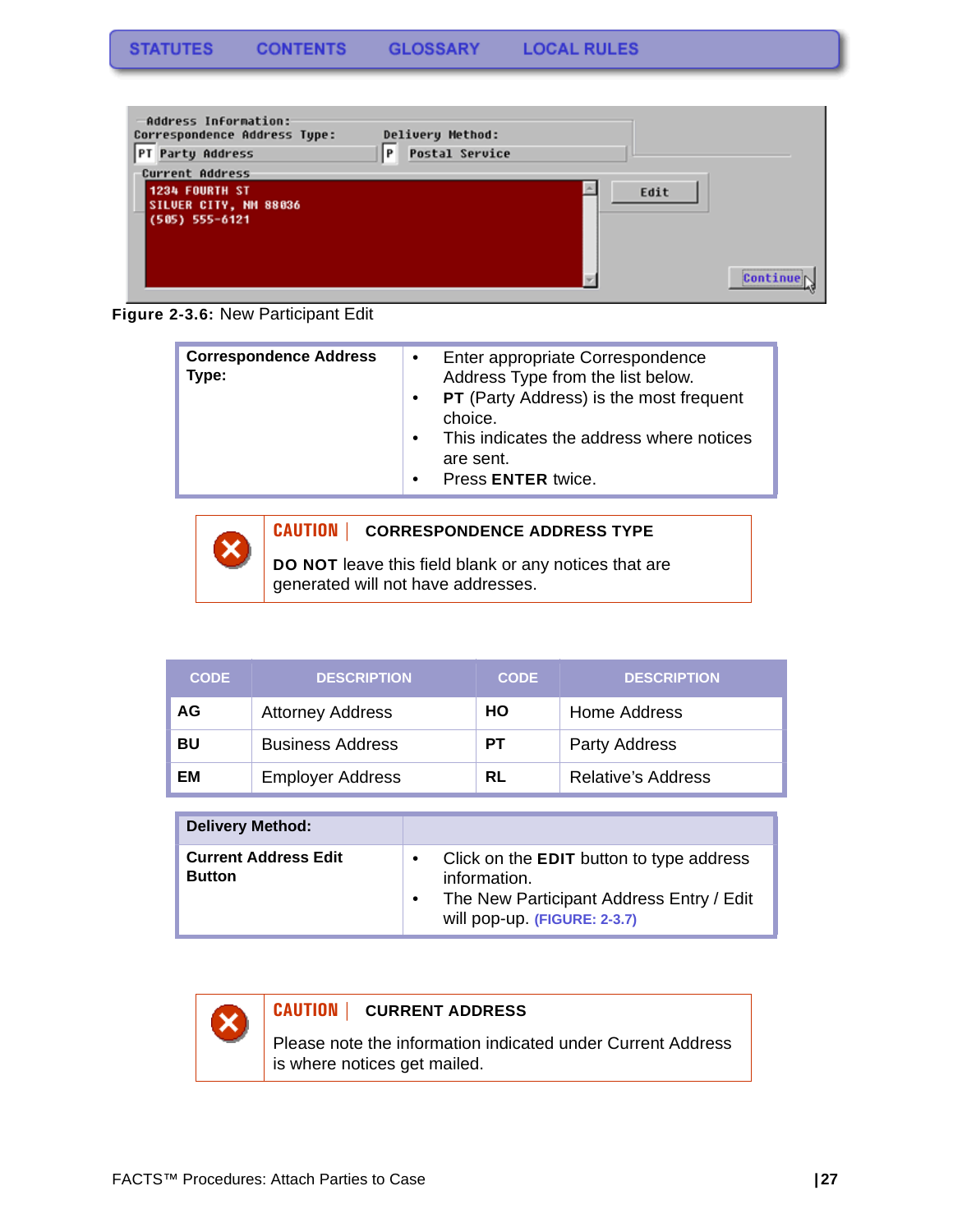

**Figure 2-3.6:** New Participant Edit

| <b>Correspondence Address</b><br>Type: | $\bullet$<br>$\bullet$<br>$\bullet$ | Enter appropriate Correspondence<br>Address Type from the list below.<br><b>PT</b> (Party Address) is the most frequent<br>choice.<br>This indicates the address where notices<br>are sent. |
|----------------------------------------|-------------------------------------|---------------------------------------------------------------------------------------------------------------------------------------------------------------------------------------------|
|                                        | $\bullet$                           | Press ENTER twice.                                                                                                                                                                          |

**CAUTION | CORRESPONDENCE ADDRESS TYPE**

**DO NOT** leave this field blank or any notices that are generated will not have addresses.

| <b>CODE</b> | <b>DESCRIPTION</b>      | <b>CODE</b> | <b>DESCRIPTION</b>        |
|-------------|-------------------------|-------------|---------------------------|
| AG          | <b>Attorney Address</b> | HO          | Home Address              |
| BU          | <b>Business Address</b> | <b>PT</b>   | <b>Party Address</b>      |
| ΕM          | <b>Employer Address</b> | RL          | <b>Relative's Address</b> |

| <b>Delivery Method:</b>                      |                                                                                                                                      |
|----------------------------------------------|--------------------------------------------------------------------------------------------------------------------------------------|
| <b>Current Address Edit</b><br><b>Button</b> | Click on the EDIT button to type address<br>information.<br>The New Participant Address Entry / Edit<br>will pop-up. (FIGURE: 2-3.7) |



### **CAUTION | CURRENT ADDRESS**

Please note the information indicated under Current Address is where notices get mailed.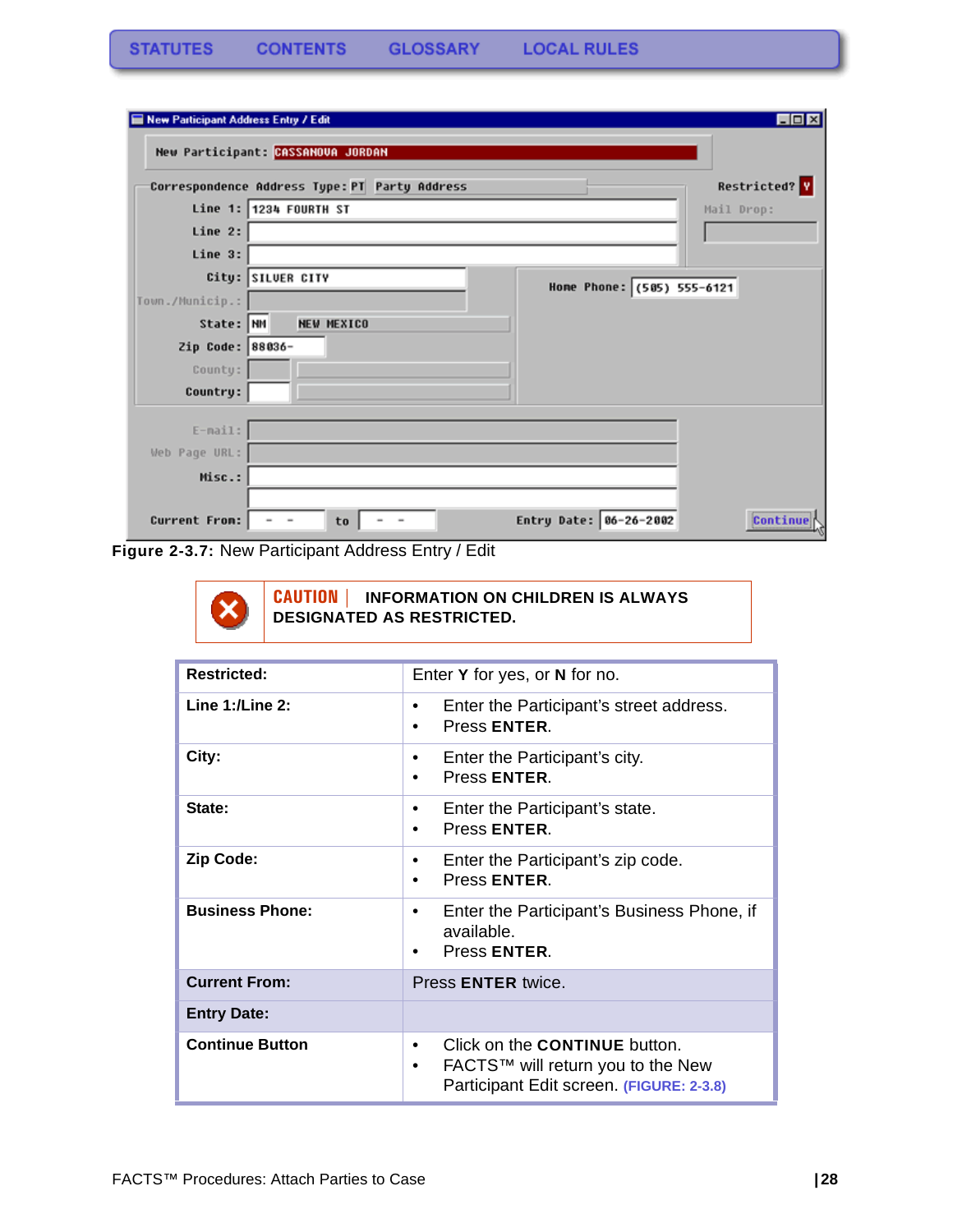| New Participant Address Entry / Edit |                                                          | $\Box$ D $\times$    |
|--------------------------------------|----------------------------------------------------------|----------------------|
|                                      | New Participant: CASSANOVA JORDAN                        |                      |
|                                      | Correspondence Address Type: PT Party Address            | <b>Restricted?</b> Y |
|                                      | Line 1: 1234 FOURTH ST                                   | Mail Drop:           |
| Line 2:                              |                                                          |                      |
| Line 3:                              |                                                          |                      |
|                                      | City: SILVER CITY<br>Home Phone: (585) 555-6121          |                      |
| Town./Municip.:                      |                                                          |                      |
| State: NM                            | <b>NEW MEXICO</b>                                        |                      |
| Zip Code: 88036-                     |                                                          |                      |
| County:                              |                                                          |                      |
| Country:                             |                                                          |                      |
| $E-mail:$                            |                                                          |                      |
| Web Page URL:                        |                                                          |                      |
| Misc.:                               |                                                          |                      |
|                                      |                                                          |                      |
| Current From:                        | Entry Date: 06-26-2002<br>to<br>$\overline{\phantom{a}}$ | Continue             |

**Figure 2-3.7:** New Participant Address Entry / Edit

**CAUTION | INFORMATION ON CHILDREN IS ALWAYS**  x **DESIGNATED AS RESTRICTED.**

| <b>Restricted:</b>     | Enter Y for yes, or N for no.                                                                                       |
|------------------------|---------------------------------------------------------------------------------------------------------------------|
| Line $1:$ /Line $2:$   | Enter the Participant's street address.<br>Press ENTER.                                                             |
| City:                  | Enter the Participant's city.<br>Press ENTER.                                                                       |
| State:                 | Enter the Participant's state.<br>٠<br>Press ENTER.<br>٠                                                            |
| <b>Zip Code:</b>       | Enter the Participant's zip code.<br>٠<br>Press ENTER.                                                              |
| <b>Business Phone:</b> | Enter the Participant's Business Phone, if<br>٠<br>available.<br>Press ENTER.                                       |
| <b>Current From:</b>   | Press <b>ENTER</b> twice.                                                                                           |
| <b>Entry Date:</b>     |                                                                                                                     |
| <b>Continue Button</b> | Click on the CONTINUE button.<br>FACTS™ will return you to the New<br>٠<br>Participant Edit screen. (FIGURE: 2-3.8) |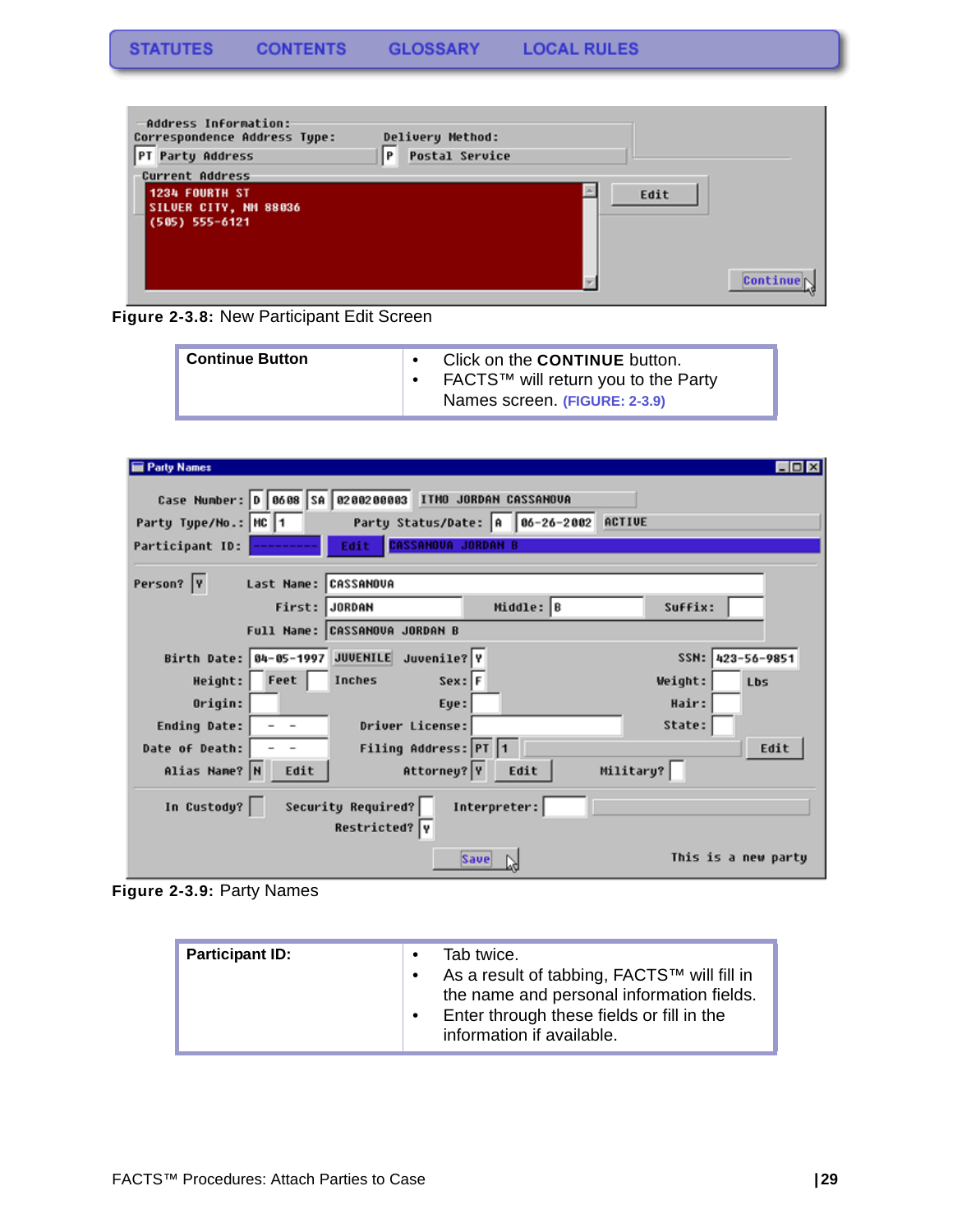

**Figure 2-3.8:** New Participant Edit Screen

| <b>Continue Button</b> | Click on the <b>CONTINUE</b> button.<br>FACTS™ will return you to the Party<br>Names screen (FIGURE: 2-3.9) |
|------------------------|-------------------------------------------------------------------------------------------------------------|
|------------------------|-------------------------------------------------------------------------------------------------------------|

| <b>Party Names</b>                                              | $\Box$ o $\times$   |
|-----------------------------------------------------------------|---------------------|
|                                                                 |                     |
| Case Number: D   0608   SA   0200200003   ITMO JORDAN CASSANOVA |                     |
| Party Type/No.: MC 1<br>Party Status/Date: A 86-26-2002 ACTIVE  |                     |
| <b>CASSANOVA JORDAN B</b><br>Edit<br>Participant ID:            |                     |
| Person?  Y<br>Last Name: CASSANOVA                              |                     |
| Middle: B<br>First: JORDAN<br>Suffix:                           |                     |
| Full Name: CASSANOVA JORDAN B                                   |                     |
| Birth Date: 84-85-1997 JUVENILE Juvenile? Y                     | SSN: 423-56-9851    |
| Height: Feet<br>$Sex:$ F<br>Inches<br>Weight:                   | Lbs                 |
| Origin:<br>Hair:<br>Eye:                                        |                     |
| State:<br>Driver License:<br>Ending Date:                       |                     |
| Filing Address: PT 1<br>Date of Death:                          | Edit                |
| Attorney? Y<br>Military?<br>Alias Name? N<br>Edit<br>Edit       |                     |
| Security Required?<br>In Custody?<br>Interpreter:               |                     |
| Restricted?  Y                                                  |                     |
| Save                                                            | This is a new party |

<span id="page-29-0"></span>**Figure 2-3.9:** Party Names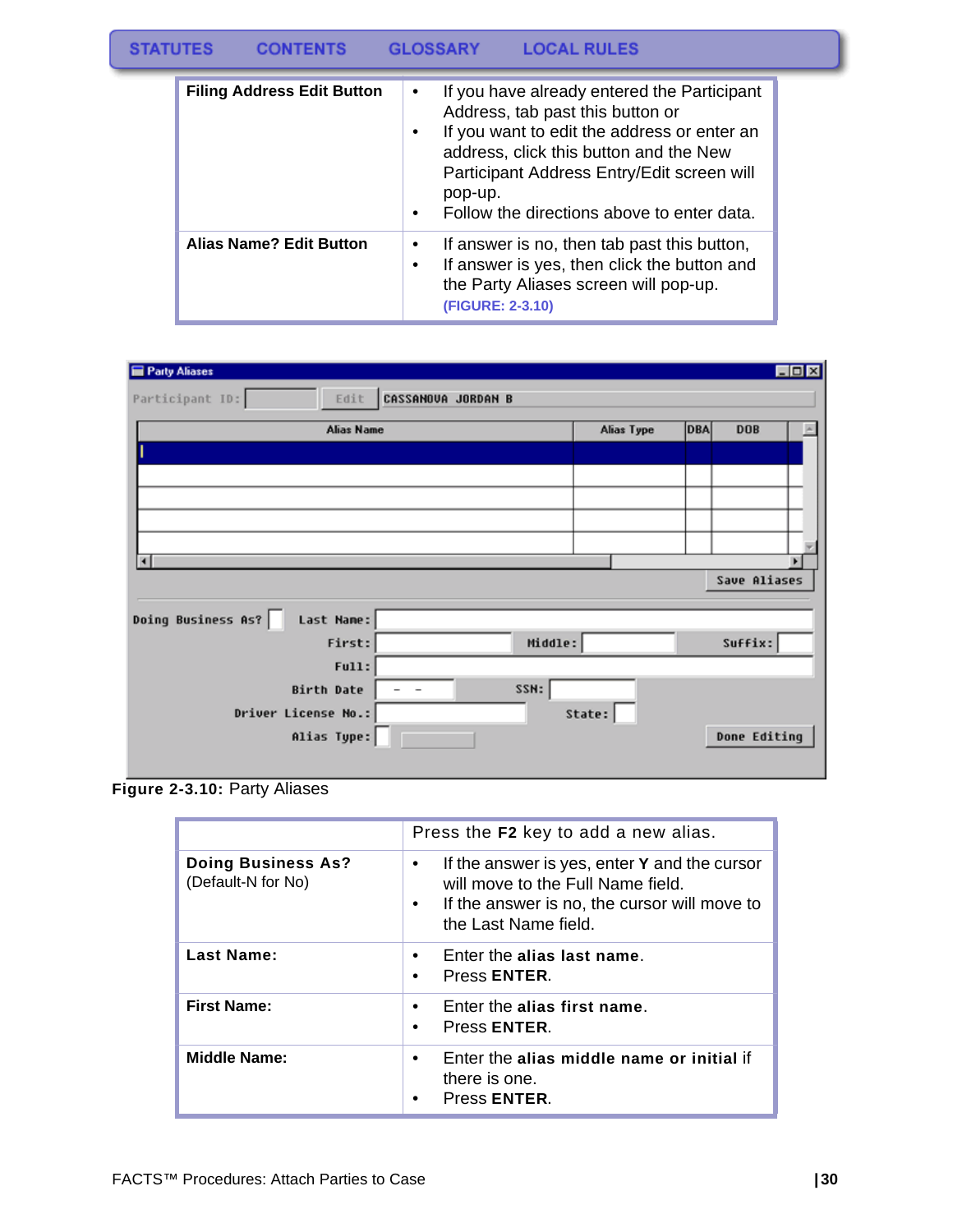#### **STATUTES CONTENTS GLOSSARY LOCAL RULES**

| <b>Filing Address Edit Button</b> | If you have already entered the Participant<br>$\bullet$<br>Address, tab past this button or<br>If you want to edit the address or enter an<br>$\bullet$<br>address, click this button and the New<br>Participant Address Entry/Edit screen will<br>pop-up.<br>Follow the directions above to enter data.<br>$\bullet$ |
|-----------------------------------|------------------------------------------------------------------------------------------------------------------------------------------------------------------------------------------------------------------------------------------------------------------------------------------------------------------------|
| <b>Alias Name? Edit Button</b>    | If answer is no, then tab past this button,<br>٠<br>If answer is yes, then click the button and<br>٠<br>the Party Aliases screen will pop-up.<br>(FIGURE: 2-3.10)                                                                                                                                                      |

| Party Aliases                    |                           |            |            |              | $\Box$ D $\times$ |
|----------------------------------|---------------------------|------------|------------|--------------|-------------------|
| Participant ID:<br>Edit          | <b>CASSANOVA JORDAN B</b> |            |            |              |                   |
| <b>Alias Name</b>                |                           | Alias Type | <b>DBA</b> | <b>DOB</b>   |                   |
|                                  |                           |            |            |              |                   |
|                                  |                           |            |            |              |                   |
|                                  |                           |            |            |              |                   |
|                                  |                           |            |            |              |                   |
|                                  |                           |            |            |              |                   |
| $\blacksquare$                   |                           |            |            | Save Aliases |                   |
|                                  |                           |            |            |              |                   |
| Doing Business As?<br>Last Name: |                           |            |            |              |                   |
| First:                           | Middle:                   |            |            | Suffix:      |                   |
| Full:                            |                           |            |            |              |                   |
| <b>Birth Date</b>                | SSN:<br>- -               |            |            |              |                   |
| Driver License No.:              |                           | State:     |            |              |                   |
| Alias Type:                      |                           |            |            | Done Editing |                   |
|                                  |                           |            |            |              |                   |

**Figure 2-3.10:** Party Aliases

|                                                 | Press the F2 key to add a new alias.                                                                                                                                                |
|-------------------------------------------------|-------------------------------------------------------------------------------------------------------------------------------------------------------------------------------------|
| <b>Doing Business As?</b><br>(Default-N for No) | If the answer is yes, enter Y and the cursor<br>$\bullet$<br>will move to the Full Name field.<br>If the answer is no, the cursor will move to<br>$\bullet$<br>the Last Name field. |
| Last Name:                                      | Enter the alias last name.<br>Press ENTER.<br>$\bullet$                                                                                                                             |
| <b>First Name:</b>                              | Enter the alias first name.<br>Press ENTER.                                                                                                                                         |
| <b>Middle Name:</b>                             | Enter the alias middle name or initial if<br>there is one.<br>Press ENTER.                                                                                                          |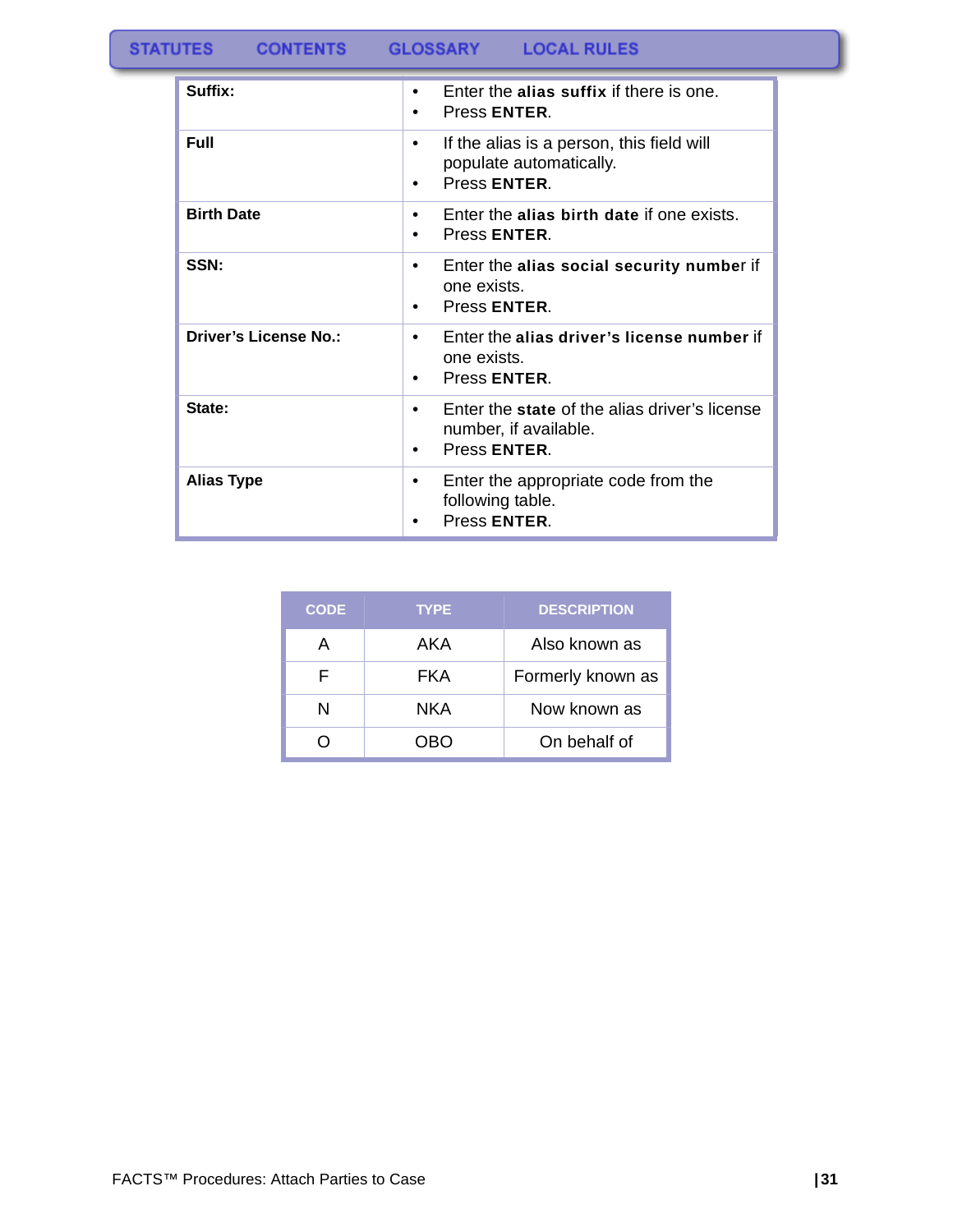**CONTENTS** 

GLOSSARY LOCAL RULES

| Suffix:                      | Enter the alias suffix if there is one.<br>$\bullet$<br>Press ENTER.                                             |
|------------------------------|------------------------------------------------------------------------------------------------------------------|
| <b>Full</b>                  | If the alias is a person, this field will<br>٠<br>populate automatically.<br>Press ENTER.<br>$\bullet$           |
| <b>Birth Date</b>            | Enter the alias birth date if one exists.<br>٠<br>Press ENTER.<br>$\bullet$                                      |
| SSN:                         | Enter the alias social security number if<br>٠<br>one exists.<br>Press ENTER.<br>$\bullet$                       |
| <b>Driver's License No.:</b> | Enter the alias driver's license number if<br>$\bullet$<br>one exists.<br>Press ENTER.<br>٠                      |
| State:                       | Enter the state of the alias driver's license<br>$\bullet$<br>number, if available.<br>Press ENTER.<br>$\bullet$ |
| <b>Alias Type</b>            | Enter the appropriate code from the<br>٠<br>following table.<br>Press ENTER.                                     |

| <b>CODE</b> | <b>TYPE</b> | <b>DESCRIPTION</b> |
|-------------|-------------|--------------------|
| А           | AKA         | Also known as      |
| F           | FKA         | Formerly known as  |
| N           | NKA         | Now known as       |
|             | ר )RC       | On behalf of       |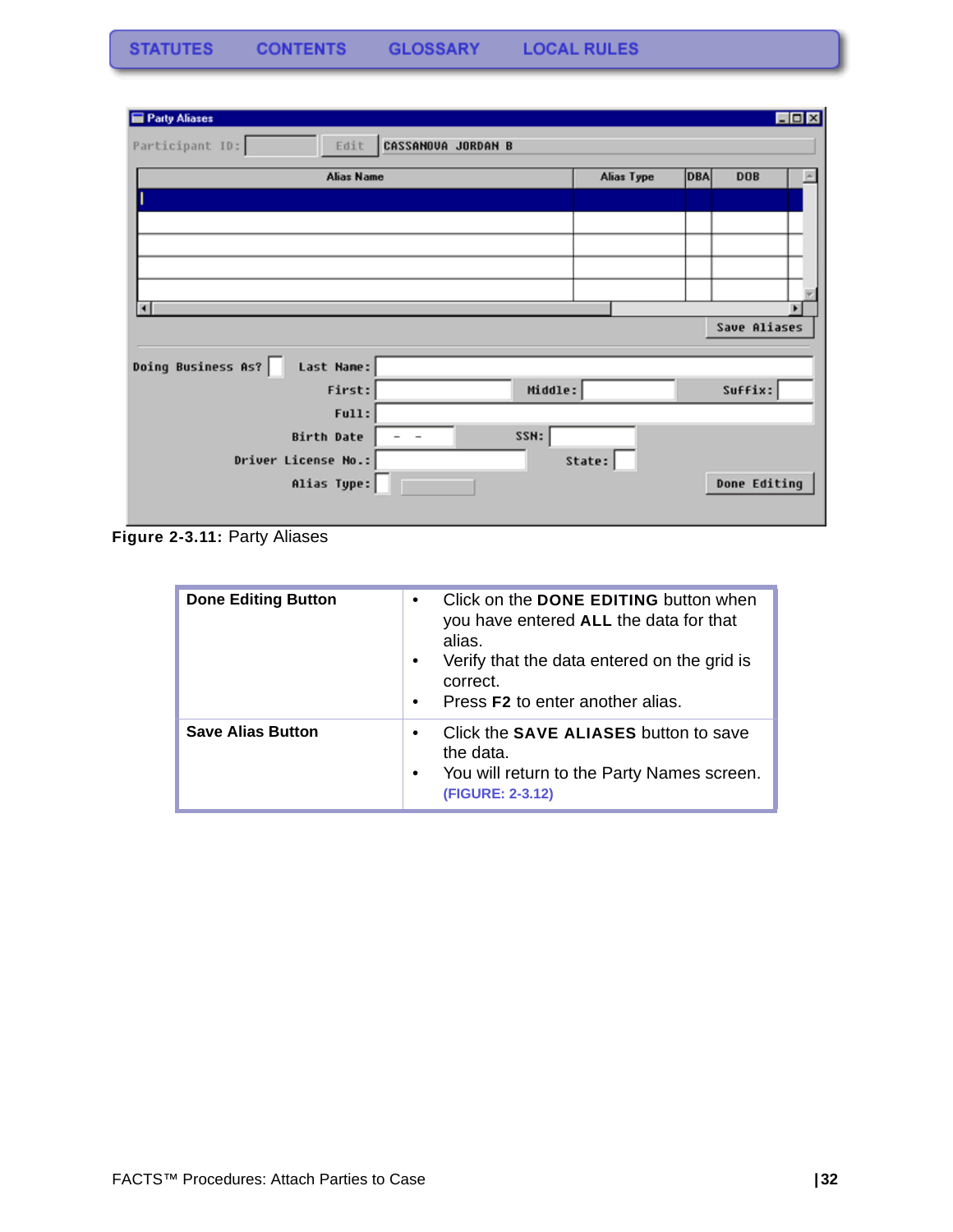| Party Aliases                    |                           |            |                   | EOX |
|----------------------------------|---------------------------|------------|-------------------|-----|
| Participant ID:<br>Edit          | <b>CASSANOVA JORDAN B</b> |            |                   |     |
| <b>Alias Name</b>                |                           | Alias Type | DBA<br><b>DOB</b> |     |
|                                  |                           |            |                   |     |
|                                  |                           |            |                   |     |
|                                  |                           |            |                   |     |
|                                  |                           |            |                   |     |
|                                  |                           |            |                   |     |
| $\blacksquare$                   |                           |            |                   |     |
|                                  |                           |            | Save Aliases      |     |
| Doing Business As?<br>Last Name: |                           |            |                   |     |
| First:                           | Middle:                   |            | Suffix:           |     |
| Full:                            |                           |            |                   |     |
| Birth Date                       | SSN:                      |            |                   |     |
| Driver License No.:              |                           | State:     |                   |     |
| Alias Type:                      |                           |            | Done Editing      |     |
|                                  |                           |            |                   |     |

**Figure 2-3.11:** Party Aliases

| <b>Done Editing Button</b> | Click on the <b>DONE EDITING</b> button when<br>$\bullet$<br>you have entered ALL the data for that<br>alias.<br>Verify that the data entered on the grid is<br>$\bullet$<br>correct.<br>Press <b>F2</b> to enter another alias.<br>$\bullet$ |
|----------------------------|-----------------------------------------------------------------------------------------------------------------------------------------------------------------------------------------------------------------------------------------------|
| <b>Save Alias Button</b>   | Click the <b>SAVE ALIASES</b> button to save<br>$\bullet$<br>the data.<br>You will return to the Party Names screen.<br>$\bullet$<br>(FIGURE: 2-3.12)                                                                                         |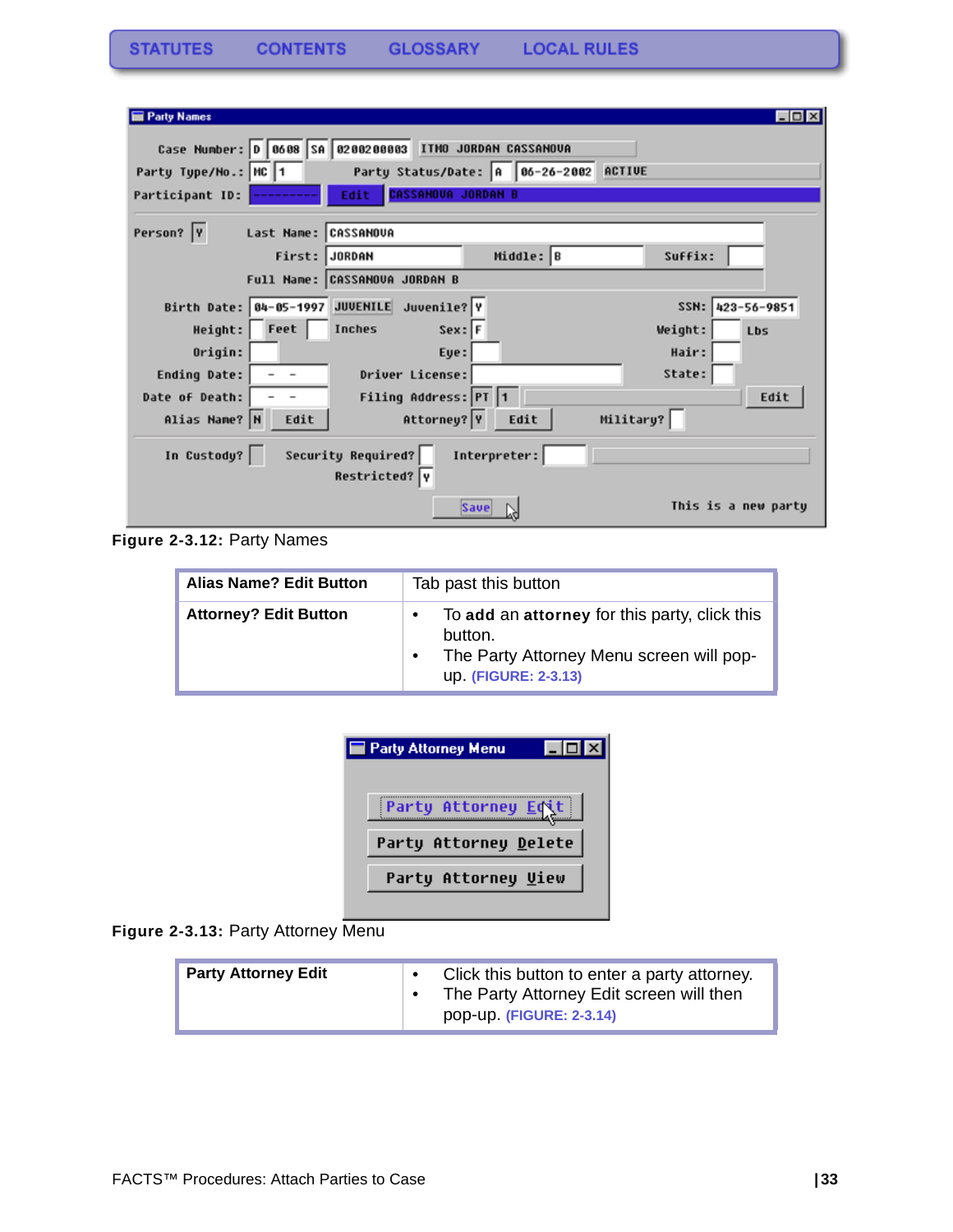| $\Box$ olx<br><b>Party Names</b>                                |
|-----------------------------------------------------------------|
| Case Number: 0 0608 SA 0200200003 ITMO JORDAN CASSANOVA         |
|                                                                 |
| Party Status/Date: A 86-26-2002 ACTIVE<br>Party Type/No.: MC 1  |
| <b>CASSANOVA JORDAN B</b><br>Edit<br>Participant ID:            |
| Person?  Y<br>Last Name: CASSANOVA                              |
| Middle: B<br>First: JORDAN<br>Suffix:                           |
| Full Name: CASSANOVA JORDAN B                                   |
| Birth Date: 04-05-1997 JUVENILE Juvenile? Y<br>SSN: 423-56-9851 |
| Feet<br>Inches<br>$Sex:$ F<br>Height:<br>Weight:<br>Lbs         |
| Hair:<br>Origin:<br>Eye:                                        |
| State:<br>Driver License:<br>Ending Date:                       |
| Filing Address: PT 1<br>Date of Death:<br>Edit                  |
| Military?<br>Attorney? Y<br>Alias Name? N<br>Edit<br>Edit       |
| Security Required?<br>In Custody?<br>Interpreter:               |
| Restricted? Y                                                   |
| This is a new party<br>Save                                     |

**Figure 2-3.12:** Party Names

| <b>Alias Name? Edit Button</b> | Tab past this button                                                                                                                      |
|--------------------------------|-------------------------------------------------------------------------------------------------------------------------------------------|
| <b>Attorney? Edit Button</b>   | To add an attorney for this party, click this<br>$\bullet$<br>button.<br>The Party Attorney Menu screen will pop-<br>up. (FIGURE: 2-3.13) |

| Party Attorney Menu   |  |
|-----------------------|--|
| Party Attorney Edit   |  |
| Party Attorney Delete |  |
| Party Attorney Uiew   |  |
|                       |  |

**Figure 2-3.13:** Party Attorney Menu

| <b>Party Attorney Edit</b> |  | Click this button to enter a party attorney.<br>The Party Attorney Edit screen will then<br>pop-up. (FIGURE: 2-3.14) |
|----------------------------|--|----------------------------------------------------------------------------------------------------------------------|
|----------------------------|--|----------------------------------------------------------------------------------------------------------------------|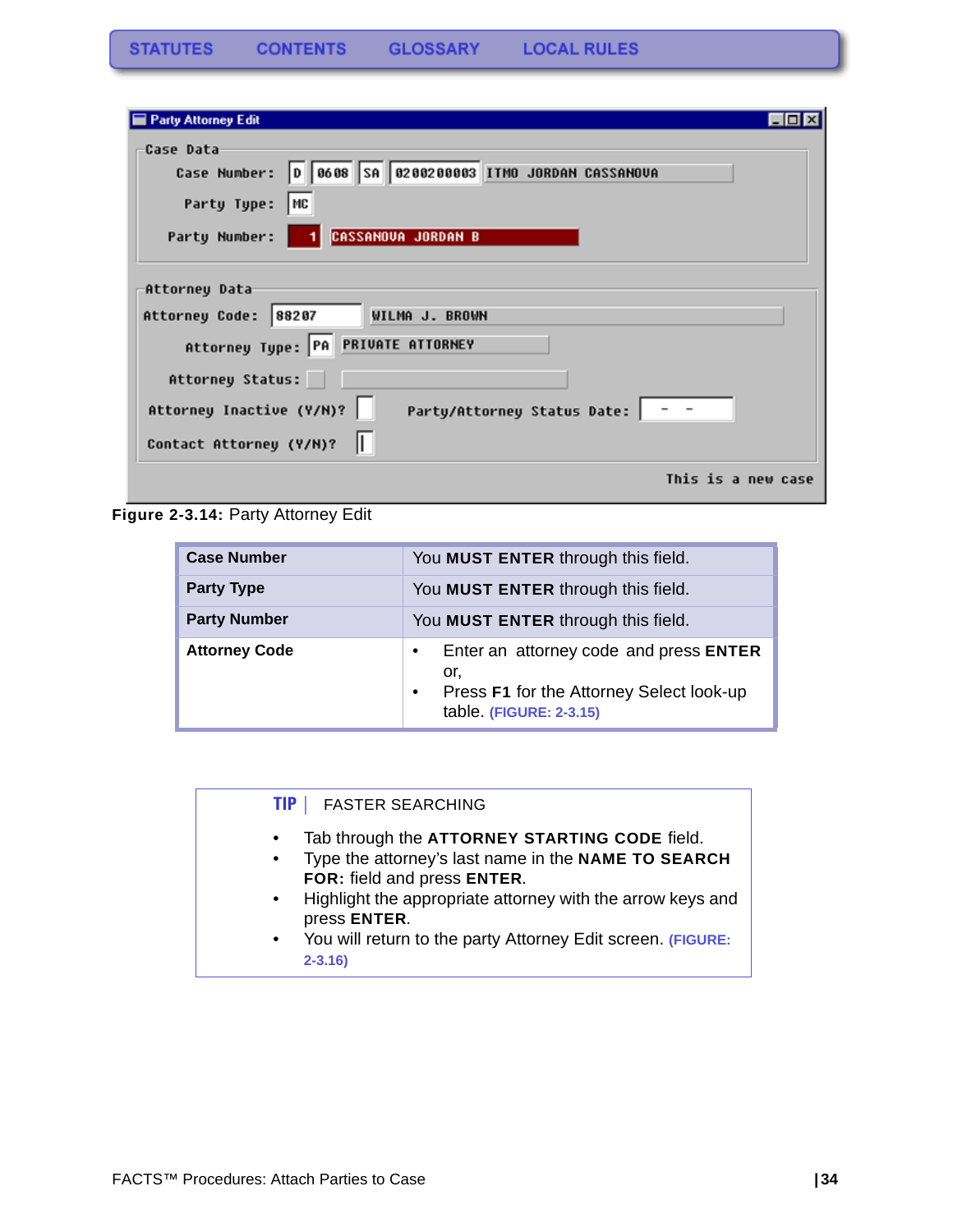| <b>Party Attorney Edit</b>                                                                                                                |  |
|-------------------------------------------------------------------------------------------------------------------------------------------|--|
| Case Data<br>Case Number: 0 0608 SA 0200200003 ITMO JORDAN CASSANOUA<br>Party Type:<br>  MC<br><b>CASSANOVA JORDAN B</b><br>Party Number: |  |
| Attorney Data<br>88207<br>WILMA J. BROWN<br>Attorney Code:<br>Attorney Type: PA PRIVATE ATTORNEY                                          |  |
| Attorney Status:<br>Attorney Inactive (Y/N)?<br>Party/Attorney Status Date:   - -<br>Contact Attorney (Y/N)?                              |  |
| This is a new case                                                                                                                        |  |

**Figure 2-3.14:** Party Attorney Edit

| <b>Case Number</b>   | You MUST ENTER through this field.                                                                                                             |
|----------------------|------------------------------------------------------------------------------------------------------------------------------------------------|
| <b>Party Type</b>    | You MUST ENTER through this field.                                                                                                             |
| <b>Party Number</b>  | You MUST ENTER through this field.                                                                                                             |
| <b>Attorney Code</b> | Enter an attorney code and press ENTER<br>$\bullet$<br>or.<br>Press F1 for the Attorney Select look-up<br>$\bullet$<br>table. (FIGURE: 2-3.15) |

#### **TIP |** FASTER SEARCHING

- Tab through the **ATTORNEY STARTING CODE** field.
- Type the attorney's last name in the **NAME TO SEARCH FOR:** field and press **ENTER**.
- Highlight the appropriate attorney with the arrow keys and press **ENTER**.
- You will return to the party Attorney Edit screen. **(FIGURE: 2-3.16)**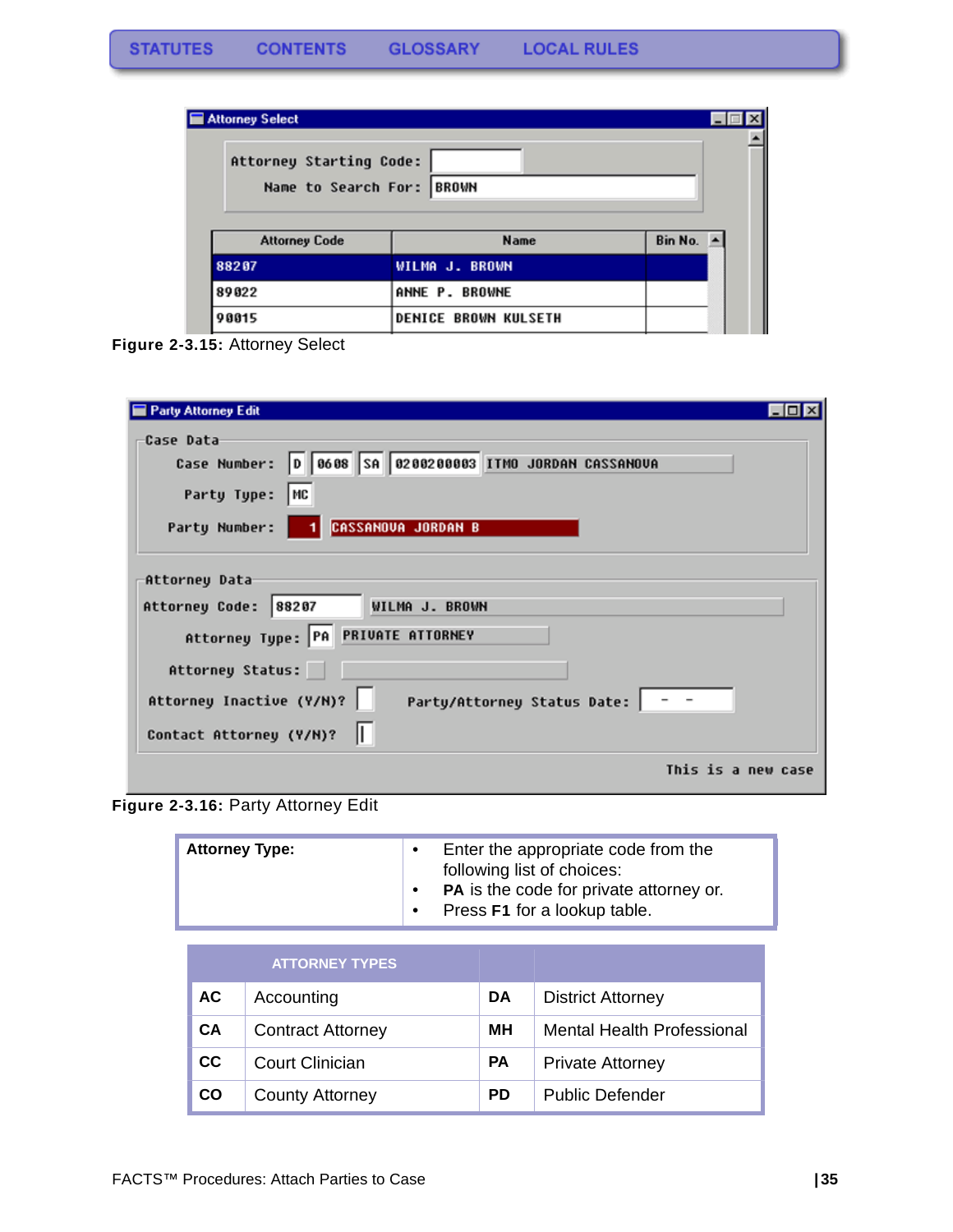| Attorney Select<br>Attorney Starting Code:<br>Name to Search For: BROWN |                             |         |  |
|-------------------------------------------------------------------------|-----------------------------|---------|--|
| <b>Attorney Code</b>                                                    | <b>Name</b>                 | Bin No. |  |
| 88207                                                                   | WILMA J. BROWN              |         |  |
| 89022                                                                   | ANNE P. BROWNE              |         |  |
| 90015                                                                   | <b>DENICE BROWN KULSETH</b> |         |  |

**Figure 2-3.15:** Attorney Select

| Party Attorney Edit                                                                                                                       |  |
|-------------------------------------------------------------------------------------------------------------------------------------------|--|
| Case Data<br>Case Number: 0 0608 SA 0200200003 ITMO JORDAN CASSANOUA<br>Party Type:<br>  MC<br><b>CASSANOVA JORDAN B</b><br>Party Number: |  |
| Attorney Data<br>Attorney Code: 88207<br>WILMA J. BROWN<br>Attorney Type: PA PRIVATE ATTORNEY                                             |  |
| Attorney Status:<br>Attorney Inactive (Y/N)?<br>Party/Attorney Status Date:   - -<br>Contact Attorney (Y/N)?                              |  |
| This is a new case                                                                                                                        |  |

**Figure 2-3.16:** Party Attorney Edit

| <b>Attorney Type:</b> |                       | Enter the appropriate code from the<br>$\bullet$<br>following list of choices:<br>PA is the code for private attorney or.<br>Press F1 for a lookup table.<br>$\bullet$ |  |    |                          |
|-----------------------|-----------------------|------------------------------------------------------------------------------------------------------------------------------------------------------------------------|--|----|--------------------------|
|                       | <b>ATTORNEY TYPES</b> |                                                                                                                                                                        |  |    |                          |
| AC.                   | Accounting            |                                                                                                                                                                        |  | DA | <b>District Attorney</b> |

| <b>CA</b> | Contract Attorney      | MН        | <b>Mental Health Professional</b> |
|-----------|------------------------|-----------|-----------------------------------|
| CC.       | Court Clinician        | PA        | <b>Private Attorney</b>           |
| <b>CO</b> | <b>County Attorney</b> | <b>PD</b> | <b>Public Defender</b>            |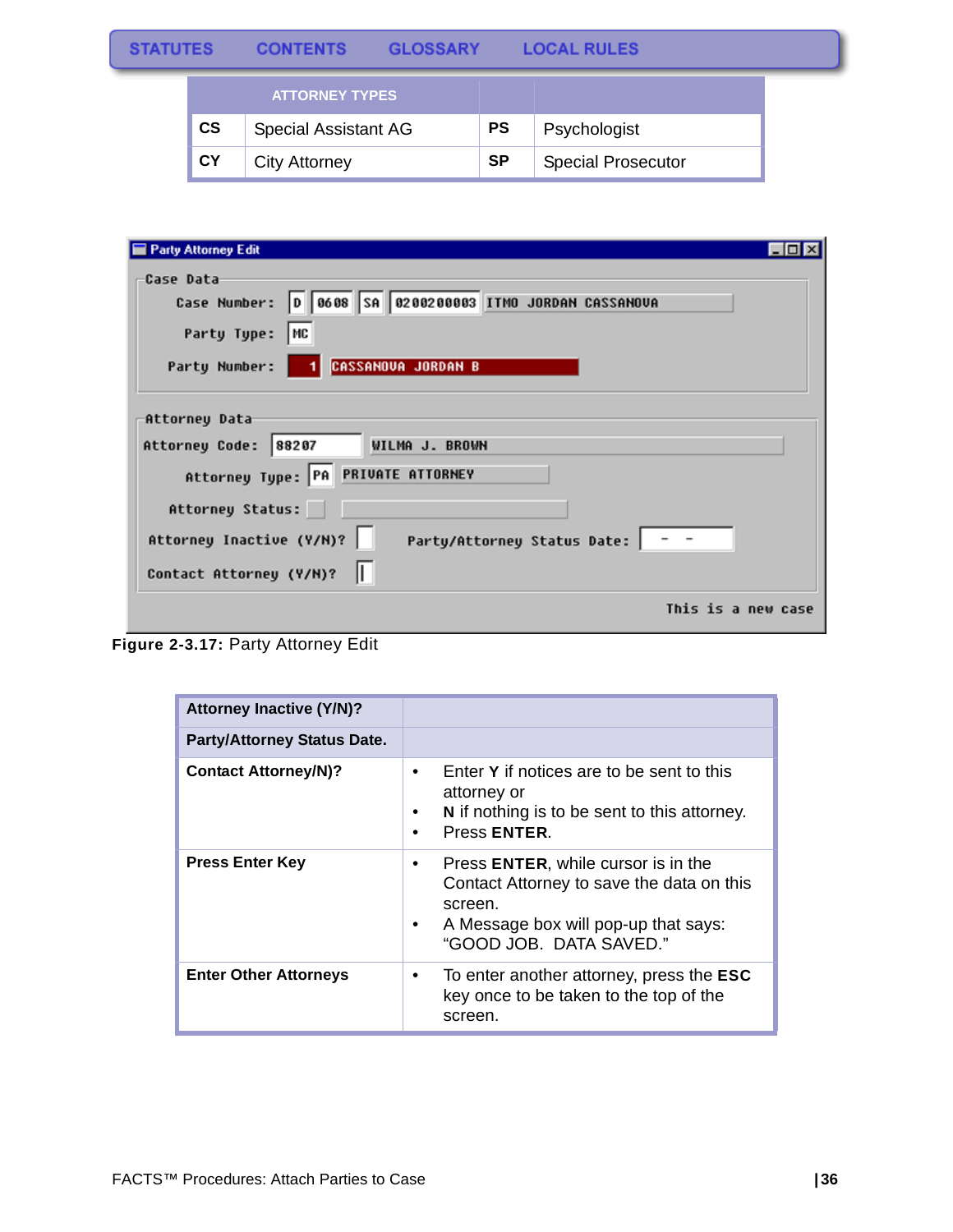|                        | <b>ATTORNEY TYPES</b>       |           |                           |
|------------------------|-----------------------------|-----------|---------------------------|
| $\mathbf{c}\mathbf{s}$ | <b>Special Assistant AG</b> | <b>PS</b> | Psychologist              |
| <b>CY</b>              | <b>City Attorney</b>        | <b>SP</b> | <b>Special Prosecutor</b> |

| <b>Party Attorney Edit</b>                                                                                                                                                                                    |
|---------------------------------------------------------------------------------------------------------------------------------------------------------------------------------------------------------------|
| Case Data<br>Case Number: 0 0608 SA 0200200003 ITMO JORDAN CASSANOUA<br>Party Type:<br>   MC<br><b>CASSANOVA JORDAN B</b><br>Party Number:                                                                    |
| Attorney Data<br>WILMA J. BROWN<br>Attorney Code: 88207<br>Attorney Type: PA PRIVATE ATTORNEY<br>Attorney Status:<br>Attorney Inactive (Y/N)?<br>Party/Attorney Status Date:   - -<br>Contact Attorney (Y/M)? |
| This is a new case                                                                                                                                                                                            |

**Figure 2-3.17:** Party Attorney Edit

| <b>Attorney Inactive (Y/N)?</b>    |                                                                                                                                                                                  |
|------------------------------------|----------------------------------------------------------------------------------------------------------------------------------------------------------------------------------|
| <b>Party/Attorney Status Date.</b> |                                                                                                                                                                                  |
| <b>Contact Attorney/N)?</b>        | Enter Y if notices are to be sent to this<br>$\bullet$<br>attorney or<br>N if nothing is to be sent to this attorney.<br>Press ENTER.<br>$\bullet$                               |
| <b>Press Enter Key</b>             | Press <b>ENTER</b> , while cursor is in the<br>٠<br>Contact Attorney to save the data on this<br>screen.<br>A Message box will pop-up that says:<br>٠<br>"GOOD JOB. DATA SAVED." |
| <b>Enter Other Attorneys</b>       | To enter another attorney, press the <b>ESC</b><br>٠<br>key once to be taken to the top of the<br>screen.                                                                        |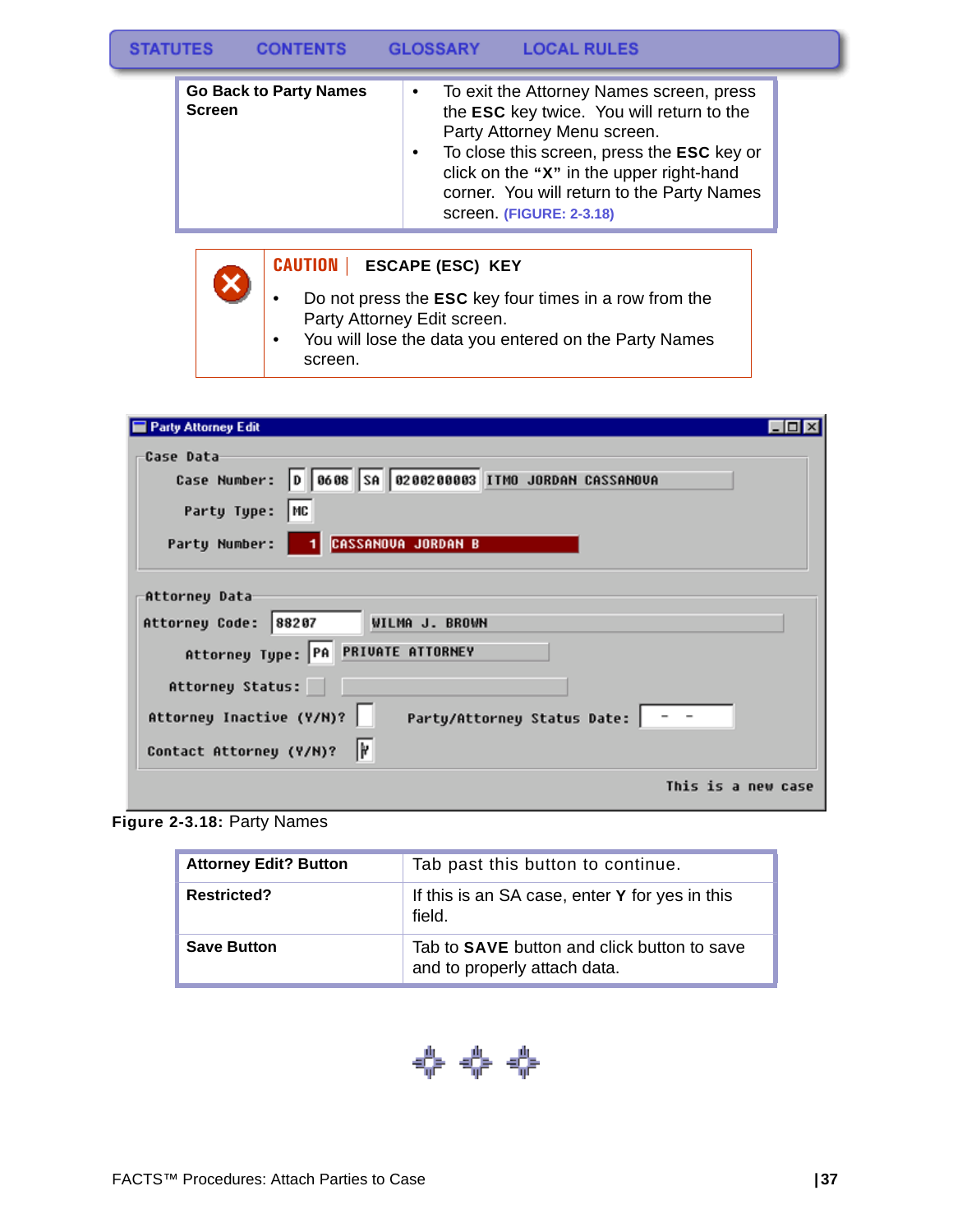#### **STATUTES GLOSSARY LOCAL RULES CONTENTS**

| <b>Go Back to Party Names</b><br><b>Screen</b> | $\bullet$ | To exit the Attorney Names screen, press<br>the ESC key twice. You will return to the<br>Party Attorney Menu screen.<br>To close this screen, press the ESC key or<br>click on the "X" in the upper right-hand<br>corner. You will return to the Party Names |
|------------------------------------------------|-----------|--------------------------------------------------------------------------------------------------------------------------------------------------------------------------------------------------------------------------------------------------------------|
|                                                |           | screen. (FIGURE: 2-3.18)                                                                                                                                                                                                                                     |

### **CAUTION | ESCAPE (ESC) KEY**

- Do not press the **ESC** key four times in a row from the Party Attorney Edit screen.
- You will lose the data you entered on the Party Names screen.

| <b>Party Attorney Edit</b>                                                                                                              |  |
|-----------------------------------------------------------------------------------------------------------------------------------------|--|
| Case Data<br>Case Number: 0 0608 SA 0200200003 ITMO JORDAN CASSANOUA<br>Party Type:<br>MC<br><b>CASSANOVA JORDAN B</b><br>Party Number: |  |
| Attorney Data<br>WILMA J. BROWN<br>88207<br>Attorney Code:<br>Attorney Type: PA PRIVATE ATTORNEY                                        |  |
| Attorney Status:<br>Attorney Inactive (Y/N)?<br>Party/Attorney Status Date:   - -<br>I۲<br>Contact Attorney (Y/N)?                      |  |
| This is a new case                                                                                                                      |  |

**Figure 2-3.18:** Party Names

X

| <b>Attorney Edit? Button</b> | Tab past this button to continue.                                           |
|------------------------------|-----------------------------------------------------------------------------|
| <b>Restricted?</b>           | If this is an SA case, enter Y for yes in this<br>field.                    |
| <b>Save Button</b>           | Tab to SAVE button and click button to save<br>and to properly attach data. |

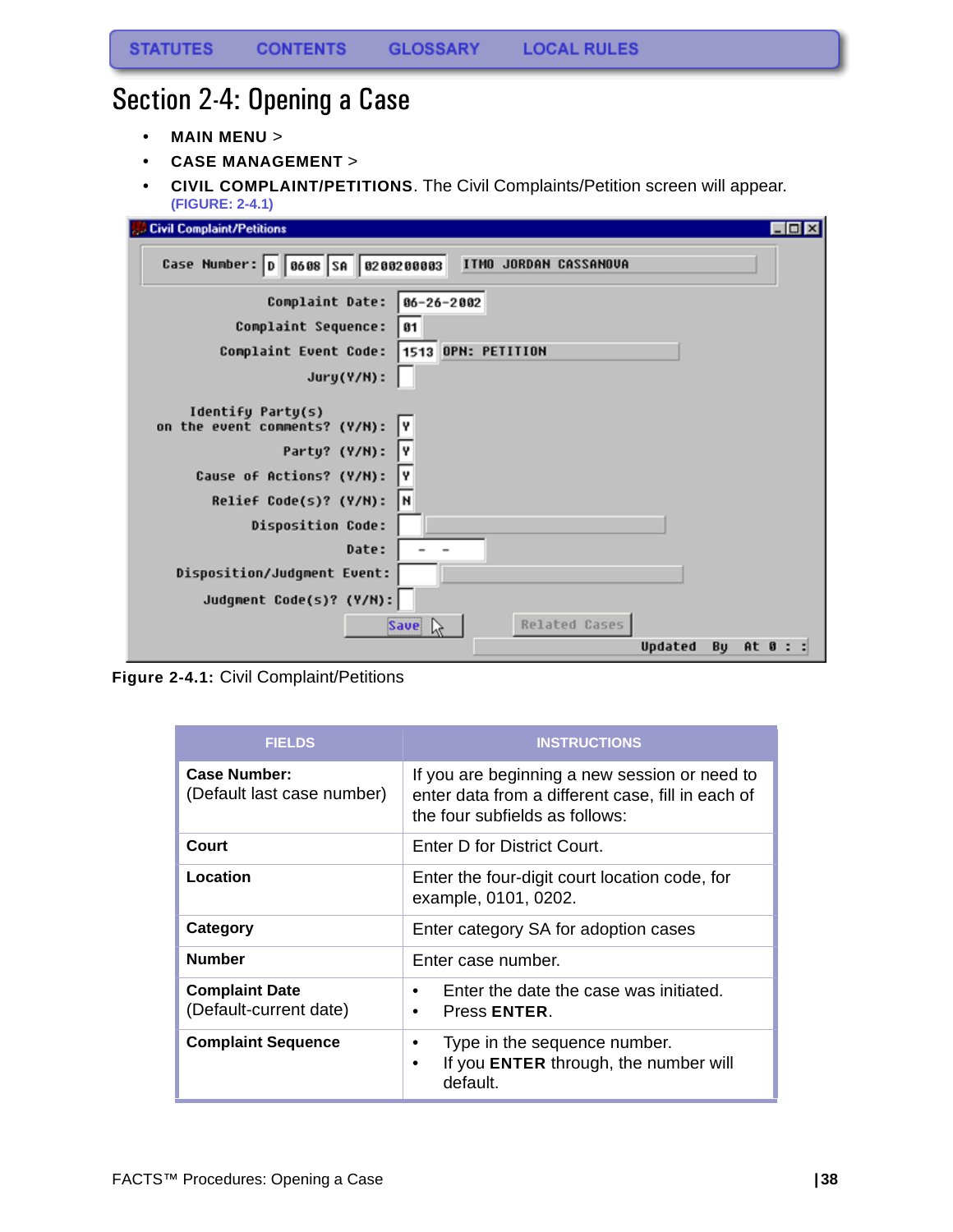# <span id="page-38-0"></span>Section 2-4: Opening a Case

- **MAIN MENU** >
- **CASE MANAGEMENT** >
- **CIVIL COMPLAINT/PETITIONS**. The Civil Complaints/Petition screen will appear. **(FIGURE: 2-4.1)**

| $\Box$ o $\boxtimes$<br><b>Civil Complaint/Petitions</b>   |
|------------------------------------------------------------|
| Case Number: 0 0608 SA 0200200003<br>ITMO JORDAN CASSANOVA |
| Complaint Date:<br>$06 - 26 - 2002$                        |
| Complaint Sequence:<br>81                                  |
| 1513 OPN: PETITION<br>Complaint Event Code:                |
| Jury(Y/N):                                                 |
| Identify Party(s)<br>on the event comments? (Y/N):<br>I٧   |
| I۷<br>Party? (Y/N):                                        |
| Y<br>Cause of Actions? (Y/N):                              |
| N<br>Relief Code(s)? (Y/N):                                |
| <b>Disposition Code:</b>                                   |
| Date:                                                      |
| Disposition/Judgment Event:                                |
| Judgment Code(s)? (Y/N):                                   |
| Related Cases<br><b>Save</b><br>ld                         |
| Updated<br>By<br>At 0 : :                                  |

**Figure 2-4.1:** Civil Complaint/Petitions

| <b>FIELDS</b>                                     | <b>INSTRUCTIONS</b>                                                                                                                  |  |
|---------------------------------------------------|--------------------------------------------------------------------------------------------------------------------------------------|--|
| <b>Case Number:</b><br>(Default last case number) | If you are beginning a new session or need to<br>enter data from a different case, fill in each of<br>the four subfields as follows: |  |
| Court                                             | Enter D for District Court.                                                                                                          |  |
| Location                                          | Enter the four-digit court location code, for<br>example, 0101, 0202.                                                                |  |
| Category                                          | Enter category SA for adoption cases                                                                                                 |  |
| <b>Number</b>                                     | Enter case number.                                                                                                                   |  |
| <b>Complaint Date</b><br>(Default-current date)   | Enter the date the case was initiated.<br>٠<br>Press ENTER.<br>٠                                                                     |  |
| <b>Complaint Sequence</b>                         | Type in the sequence number.<br>$\bullet$<br>If you ENTER through, the number will<br>٠<br>default.                                  |  |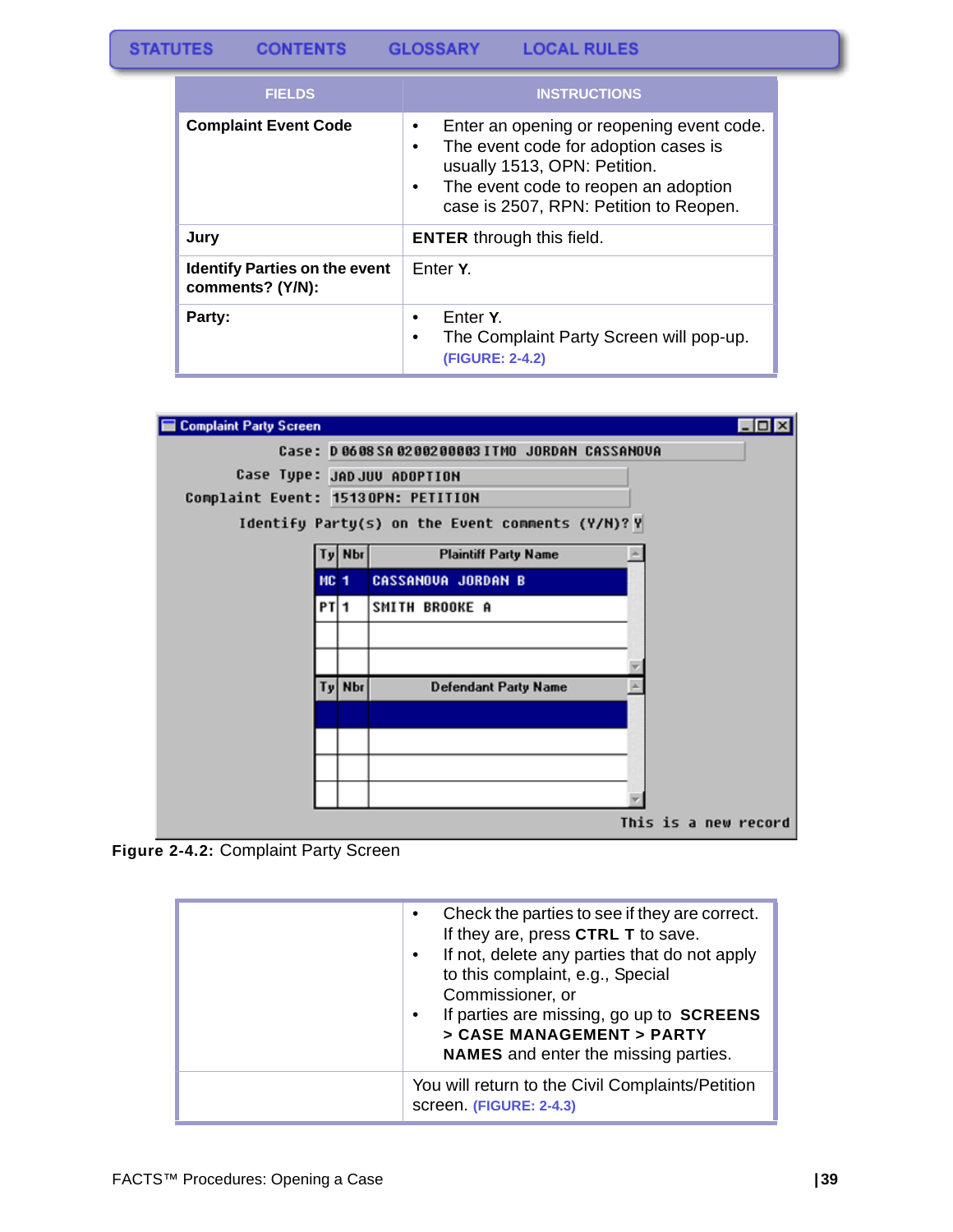| <b>FIELDS</b>                                            | <b>INSTRUCTIONS</b>                                                                                                                                                                                                                |  |
|----------------------------------------------------------|------------------------------------------------------------------------------------------------------------------------------------------------------------------------------------------------------------------------------------|--|
| <b>Complaint Event Code</b>                              | Enter an opening or reopening event code.<br>$\bullet$<br>The event code for adoption cases is<br>$\bullet$<br>usually 1513, OPN: Petition.<br>The event code to reopen an adoption<br>٠<br>case is 2507, RPN: Petition to Reopen. |  |
| Jury                                                     | <b>ENTER</b> through this field.                                                                                                                                                                                                   |  |
| <b>Identify Parties on the event</b><br>comments? (Y/N): | Enter Y.                                                                                                                                                                                                                           |  |
| Party:                                                   | Enter Y.<br>The Complaint Party Screen will pop-up.<br>(FIGURE: 2-4.2)                                                                                                                                                             |  |



**Figure 2-4.2:** Complaint Party Screen

| Check the parties to see if they are correct.<br>$\bullet$<br>If they are, press CTRL T to save.<br>If not, delete any parties that do not apply<br>$\bullet$<br>to this complaint, e.g., Special<br>Commissioner, or<br>If parties are missing, go up to SCREENS<br>$\bullet$<br>> CASE MANAGEMENT > PARTY<br><b>NAMES</b> and enter the missing parties. |
|------------------------------------------------------------------------------------------------------------------------------------------------------------------------------------------------------------------------------------------------------------------------------------------------------------------------------------------------------------|
| You will return to the Civil Complaints/Petition<br>screen. (FIGURE: 2-4.3)                                                                                                                                                                                                                                                                                |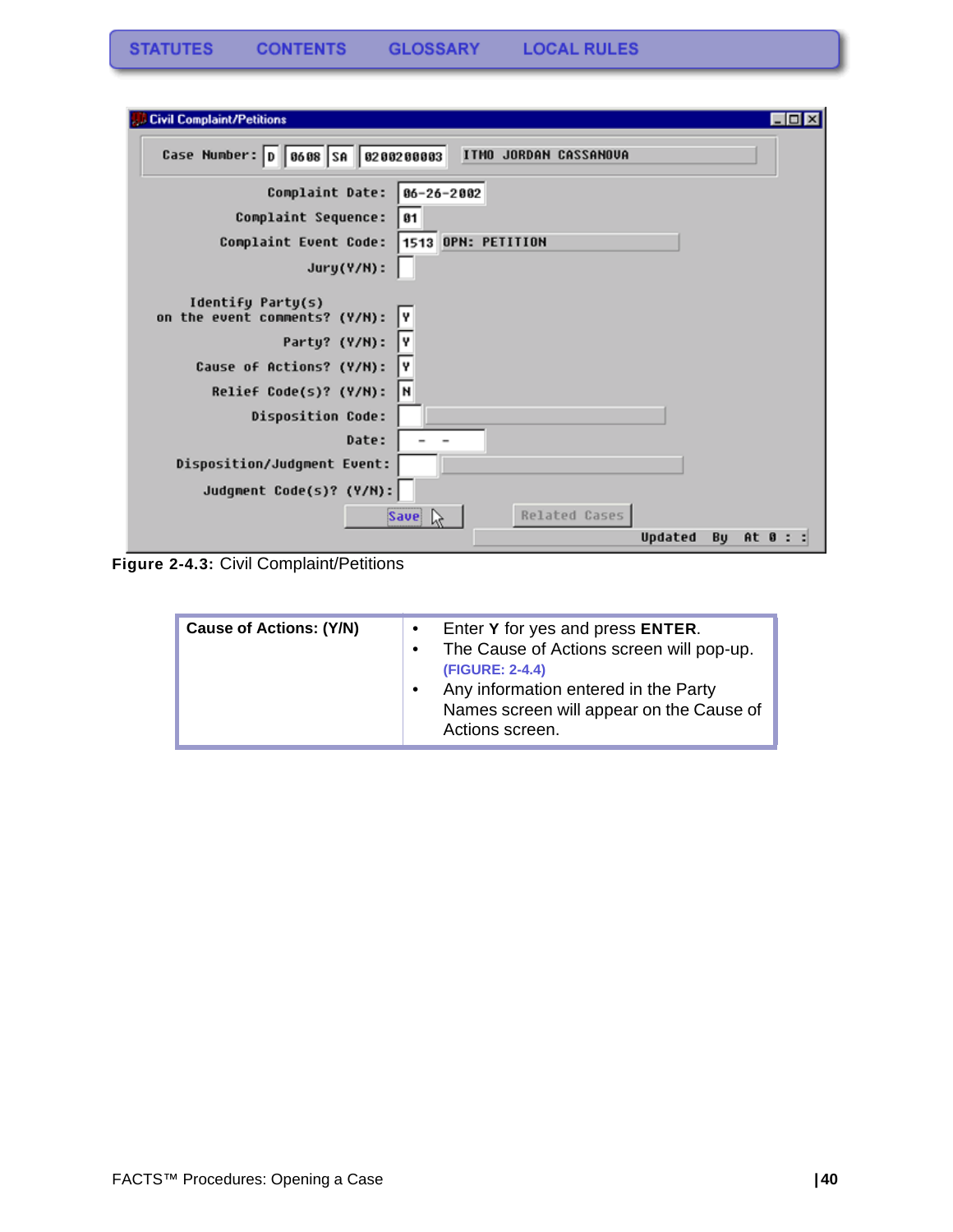| $\Box$ olx<br><b>Civil Complaint/Petitions</b>                                                            |
|-----------------------------------------------------------------------------------------------------------|
| Case Number: 0 0608 SA 0200200003<br>ITMO JORDAN CASSANOVA                                                |
| Complaint Date:<br>86-26-2002<br>Complaint Sequence:<br>81<br>1513 OPN: PETITION<br>Complaint Event Code: |
| $Jury(Y/N)$ :                                                                                             |
| Identify Party(s)<br>on the event comments? (Y/N):<br>I۷                                                  |
| Party? (Y/N):<br>I۷                                                                                       |
| Cause of Actions? (Y/N):<br>I٧                                                                            |
| I۲<br>Relief Code(s)? (Y/N):                                                                              |
| <b>Disposition Code:</b>                                                                                  |
| Date:                                                                                                     |
| Disposition/Judgment Event:                                                                               |
| Judgment Code(s)? (Y/N):                                                                                  |
| Related Cases<br><b>Save</b><br>l.e<br>Bu<br>Updated<br>At 0:                                             |

**Figure 2-4.3:** Civil Complaint/Petitions

| <b>Cause of Actions: (Y/N)</b> | $\bullet$<br>$\bullet$<br>$\bullet$ | Enter Y for yes and press ENTER.<br>The Cause of Actions screen will pop-up.<br>(FIGURE: 2-4.4)<br>Any information entered in the Party<br>Names screen will appear on the Cause of<br>Actions screen. |
|--------------------------------|-------------------------------------|--------------------------------------------------------------------------------------------------------------------------------------------------------------------------------------------------------|
|--------------------------------|-------------------------------------|--------------------------------------------------------------------------------------------------------------------------------------------------------------------------------------------------------|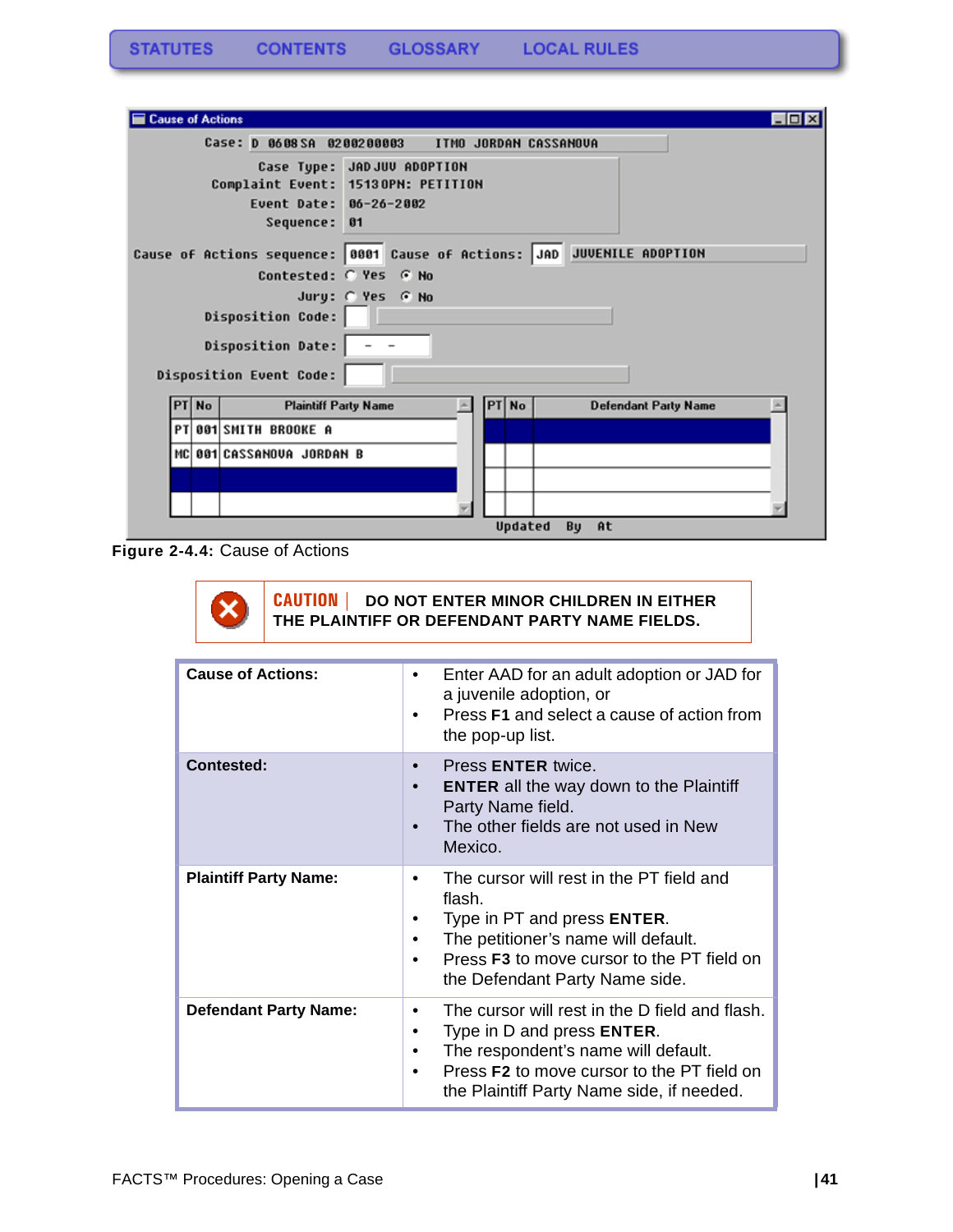| $\Box$ o $\mathbf{x}$<br><b>Cause of Actions</b>                                                              |  |
|---------------------------------------------------------------------------------------------------------------|--|
| Case: D 0608 SA 0200200003<br>ITMO JORDAN CASSANOVA                                                           |  |
| Case Type: JADJUV ADOPTION<br>Complaint Event: 15130PN: PETITION<br>Event Date: 06-26-2002<br>Sequence:<br>61 |  |
| Cause of Actions sequence: 0001 Cause of Actions: JAD JUVENILE ADOPTION                                       |  |
| Contested: C Yes G No                                                                                         |  |
| Jury: @ Yes @ No                                                                                              |  |
| <b>Disposition Code:</b>                                                                                      |  |
| <b>Disposition Date:</b>                                                                                      |  |
| Disposition Event Code:                                                                                       |  |
| PT No<br><b>Plaintiff Party Name</b><br>PT No<br><b>Defendant Party Name</b>                                  |  |
| PT 001 SMITH BROOKE A                                                                                         |  |
| MC 001 CASSANOVA JORDAN B                                                                                     |  |
|                                                                                                               |  |
|                                                                                                               |  |
| Updated<br>By<br>At                                                                                           |  |

**Figure 2-4.4:** Cause of Actions



| <b>Cause of Actions:</b>     | Enter AAD for an adult adoption or JAD for<br>a juvenile adoption, or<br>Press <b>F1</b> and select a cause of action from<br>$\bullet$<br>the pop-up list.                                                                                   |
|------------------------------|-----------------------------------------------------------------------------------------------------------------------------------------------------------------------------------------------------------------------------------------------|
| <b>Contested:</b>            | Press <b>ENTER</b> twice.<br>$\bullet$<br><b>ENTER</b> all the way down to the Plaintiff<br>$\bullet$<br>Party Name field.<br>The other fields are not used in New<br>Mexico.                                                                 |
| <b>Plaintiff Party Name:</b> | The cursor will rest in the PT field and<br>flash.<br>Type in PT and press <b>ENTER</b> .<br>The petitioner's name will default.<br>٠<br>Press <b>F3</b> to move cursor to the PT field on<br>the Defendant Party Name side.                  |
| <b>Defendant Party Name:</b> | The cursor will rest in the D field and flash.<br>٠<br>Type in D and press <b>ENTER</b> .<br>٠<br>The respondent's name will default.<br>Press F2 to move cursor to the PT field on<br>$\bullet$<br>the Plaintiff Party Name side, if needed. |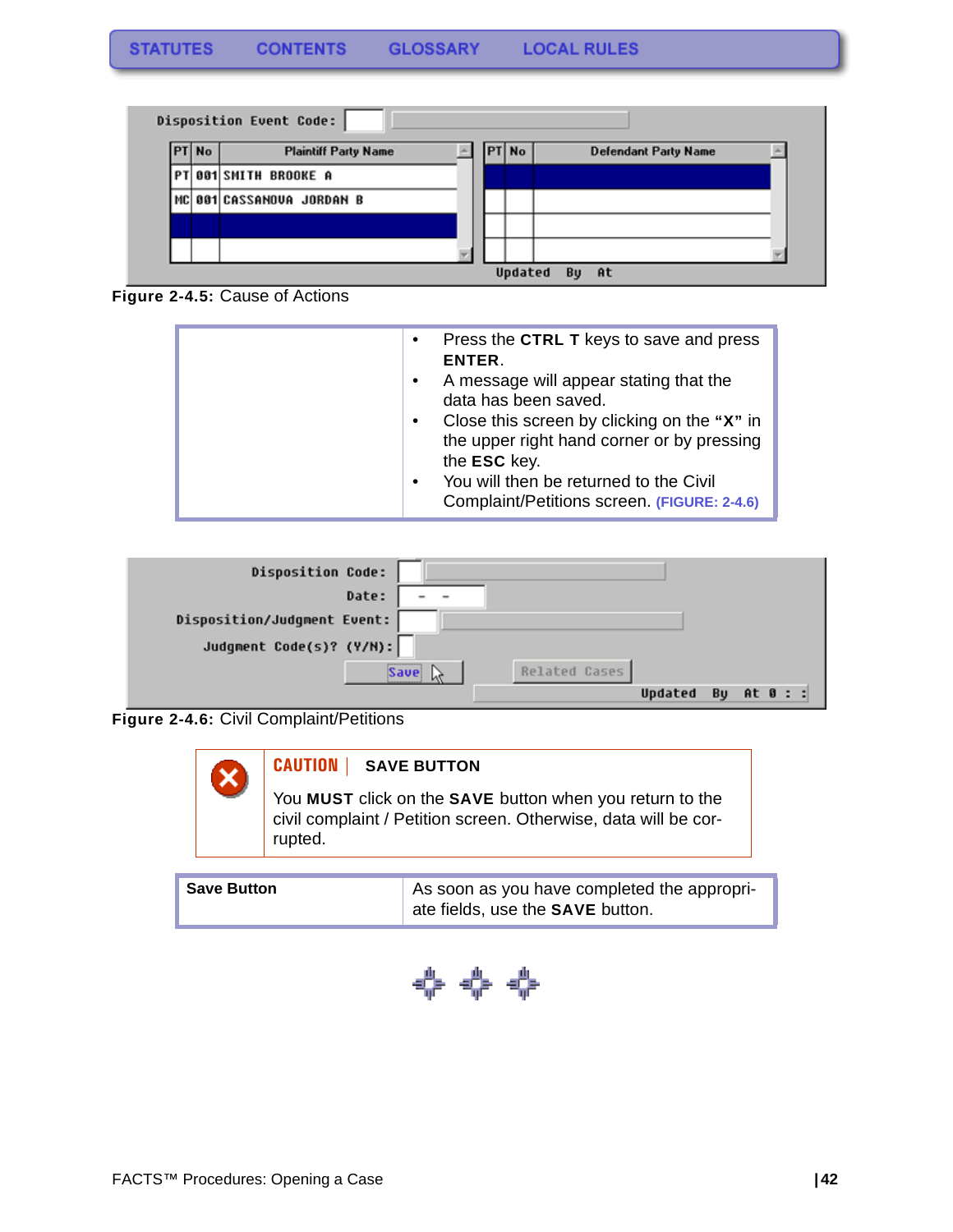

**Figure 2-4.5:** Cause of Actions

| Press the CTRL T keys to save and press<br>$\bullet$     |
|----------------------------------------------------------|
| ENTER.                                                   |
| A message will appear stating that the                   |
| data has been saved.                                     |
| Close this screen by clicking on the "X" in<br>$\bullet$ |
| the upper right hand corner or by pressing               |
| the ESC key.                                             |
| You will then be returned to the Civil<br>$\bullet$      |
| Complaint/Petitions screen. (FIGURE: 2-4.6)              |
|                                                          |

| <b>Disposition Code:</b>              |                           |
|---------------------------------------|---------------------------|
| Date:<br>$\qquad \qquad \blacksquare$ |                           |
| Disposition/Judgment Event:           |                           |
| Judgment Code(s)? (Y/N):              |                           |
| -------------<br>Save!                | Related Cases             |
|                                       | At 0 : :<br>Updated<br>Bu |





| <b>Save Button</b> | As soon as you have completed the appropri-     |
|--------------------|-------------------------------------------------|
|                    | $\perp$ ate fields, use the <b>SAVE</b> button. |

$$
\Leftrightarrow\Leftrightarrow\Leftrightarrow
$$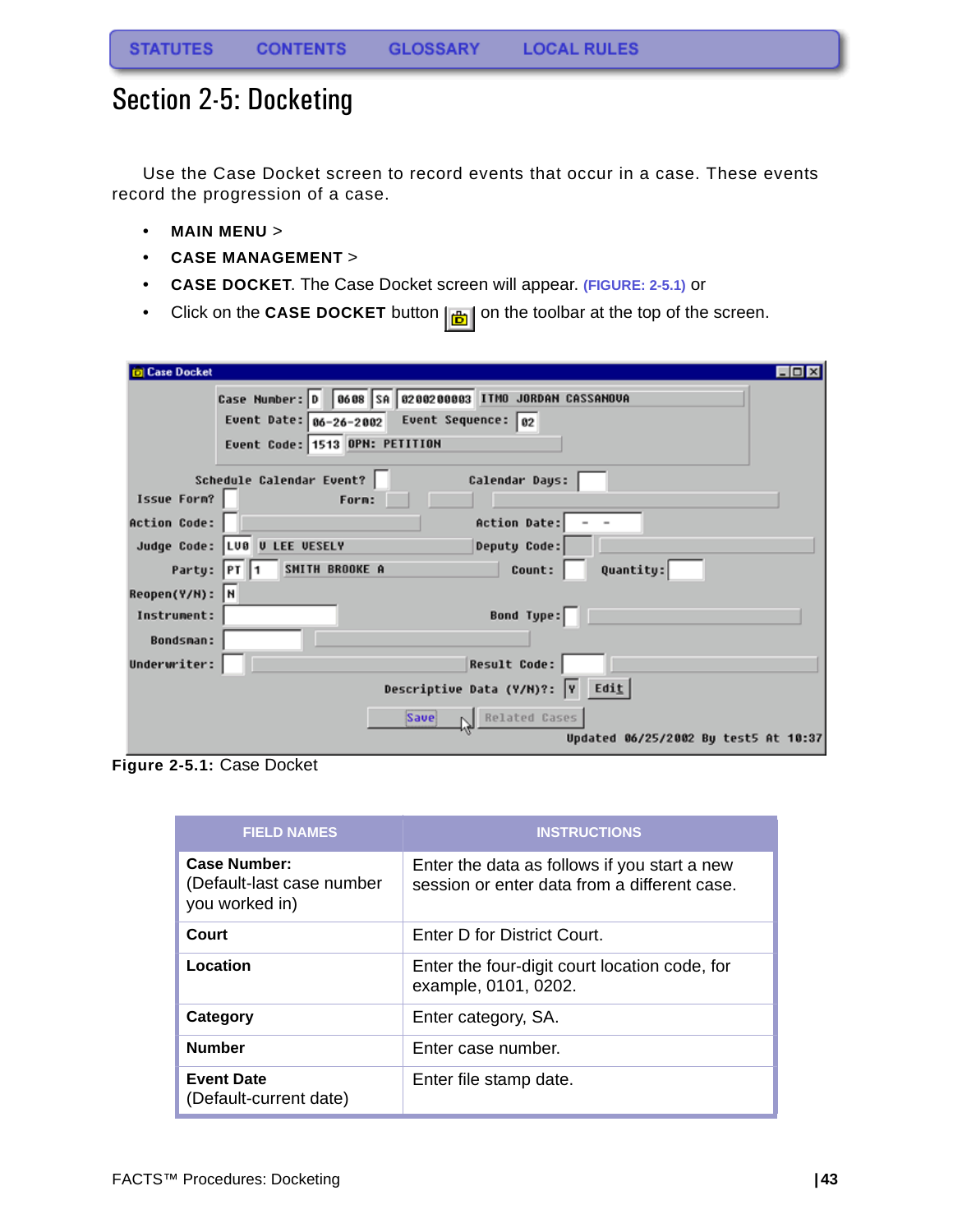## <span id="page-43-0"></span>Section 2-5: Docketing

Use the Case Docket screen to record events that occur in a case. These events record the progression of a case.

- **MAIN MENU** >
- **CASE MANAGEMENT** >
- **CASE DOCKET**. The Case Docket screen will appear. **(FIGURE: 2-5.1)** or
- Click on the **CASE DOCKET** button  $\left| \frac{1}{\mathbf{b}} \right|$  on the toolbar at the top of the screen.

| <b>Case Docket</b>  |                                                         |  |  |
|---------------------|---------------------------------------------------------|--|--|
|                     | Case Number: 0 0608 SA 0200200003 ITMO JORDAN CASSANOVA |  |  |
|                     | Event Date: $06-26-2002$ Event Sequence: 02             |  |  |
|                     | Event Code: 1513 OPN: PETITION                          |  |  |
|                     |                                                         |  |  |
|                     | Schedule Calendar Event?<br>Calendar Days:              |  |  |
| Issue Form?         | Form:                                                   |  |  |
| <b>Action Code:</b> | Action Date:                                            |  |  |
|                     | Judge Code: LUB U LEE VESELY<br>Deputy Code:            |  |  |
| Party:              | SMITH BROOKE A<br>Quantity:<br>Count:<br> PT    1       |  |  |
| $Reopen(Y/N):$ N    |                                                         |  |  |
| Instrument:         | Bond Type:                                              |  |  |
| <b>Bondsman:</b>    |                                                         |  |  |
| Underwriter:        | <b>Result Code:</b>                                     |  |  |
|                     | Descriptive Data (Y/M)?: $\boxed{v}$ Edit               |  |  |
|                     | Related Cases<br>Save                                   |  |  |
|                     | Updated 06/25/2002 By test5 At 10:37                    |  |  |

**Figure 2-5.1:** Case Docket

| <b>FIELD NAMES</b>                                          | <b>INSTRUCTIONS</b>                                                                          |
|-------------------------------------------------------------|----------------------------------------------------------------------------------------------|
| Case Number:<br>(Default-last case number<br>you worked in) | Enter the data as follows if you start a new<br>session or enter data from a different case. |
| Court                                                       | Enter D for District Court.                                                                  |
| Location                                                    | Enter the four-digit court location code, for<br>example, 0101, 0202.                        |
| Category                                                    | Enter category, SA.                                                                          |
| <b>Number</b>                                               | Enter case number.                                                                           |
| <b>Event Date</b><br>(Default-current date)                 | Enter file stamp date.                                                                       |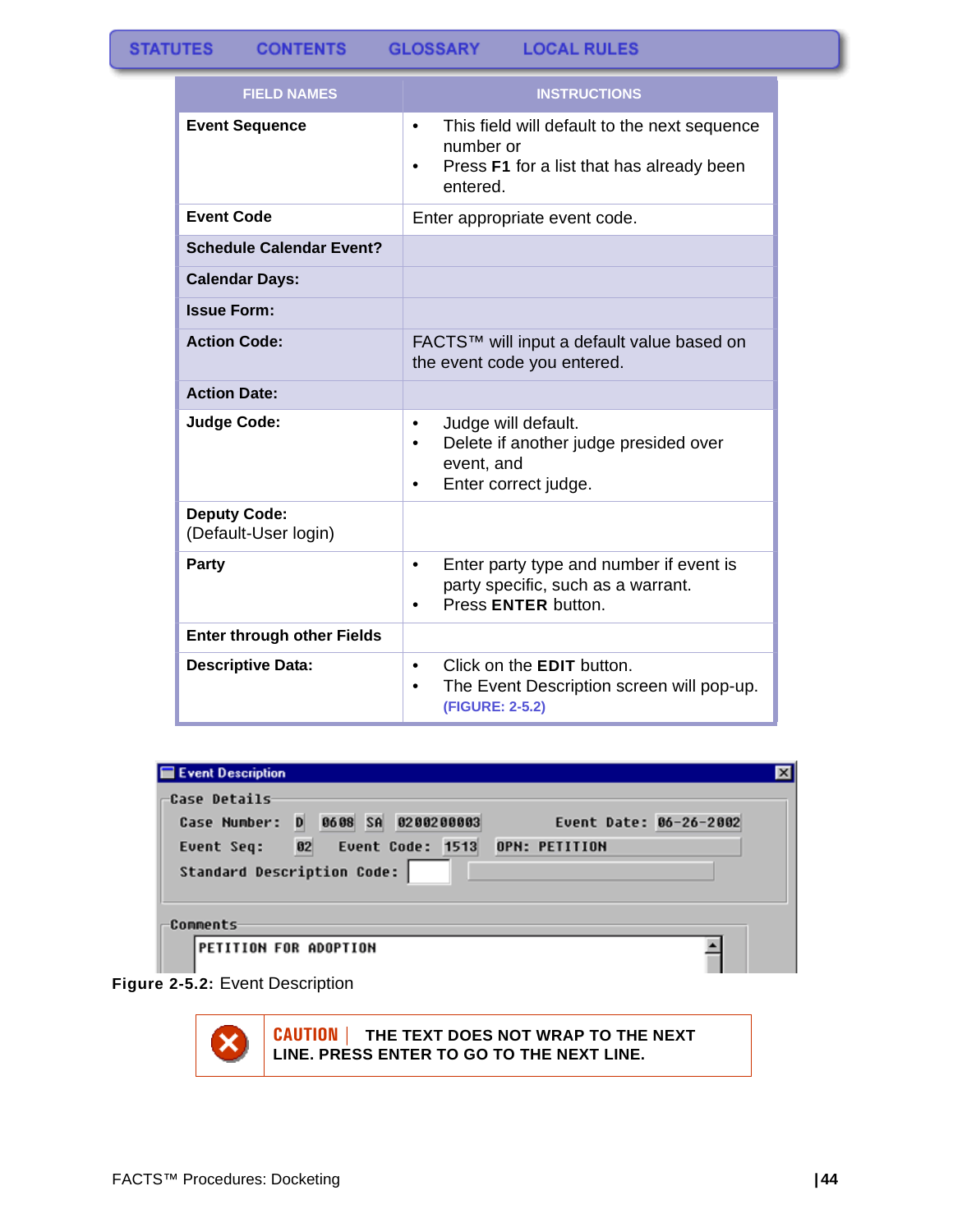| <b>FIELD NAMES</b>                          | <b>INSTRUCTIONS</b>                                                                                                                  |
|---------------------------------------------|--------------------------------------------------------------------------------------------------------------------------------------|
| <b>Event Sequence</b>                       | This field will default to the next sequence<br>٠<br>number or<br>Press F1 for a list that has already been<br>$\bullet$<br>entered. |
| <b>Event Code</b>                           | Enter appropriate event code.                                                                                                        |
| <b>Schedule Calendar Event?</b>             |                                                                                                                                      |
| <b>Calendar Days:</b>                       |                                                                                                                                      |
| <b>Issue Form:</b>                          |                                                                                                                                      |
| <b>Action Code:</b>                         | FACTS™ will input a default value based on<br>the event code you entered.                                                            |
| <b>Action Date:</b>                         |                                                                                                                                      |
| <b>Judge Code:</b>                          | Judge will default.<br>$\bullet$<br>Delete if another judge presided over<br>$\bullet$<br>event, and<br>Enter correct judge.<br>٠    |
| <b>Deputy Code:</b><br>(Default-User login) |                                                                                                                                      |
| <b>Party</b>                                | Enter party type and number if event is<br>$\bullet$<br>party specific, such as a warrant.<br>Press ENTER button.<br>٠               |
| <b>Enter through other Fields</b>           |                                                                                                                                      |
| <b>Descriptive Data:</b>                    | Click on the <b>EDIT</b> button.<br>$\bullet$<br>The Event Description screen will pop-up.<br>$\bullet$<br>(FIGURE: 2-5.2)           |

| <b>Event Description</b>          |                        |
|-----------------------------------|------------------------|
| Case Details                      |                        |
| Case Number: D 0608 SA 0200200003 | Event Date: 06-26-2002 |
| Event Seq: 02 Event Code: 1513    | OPN: PETITION          |
| <b>Standard Description Code:</b> |                        |
| Comments                          |                        |
| PETITION FOR ADOPTION             |                        |
|                                   |                        |



**CAUTION | THE TEXT DOES NOT WRAP TO THE NEXT LINE. PRESS ENTER TO GO TO THE NEXT LINE.**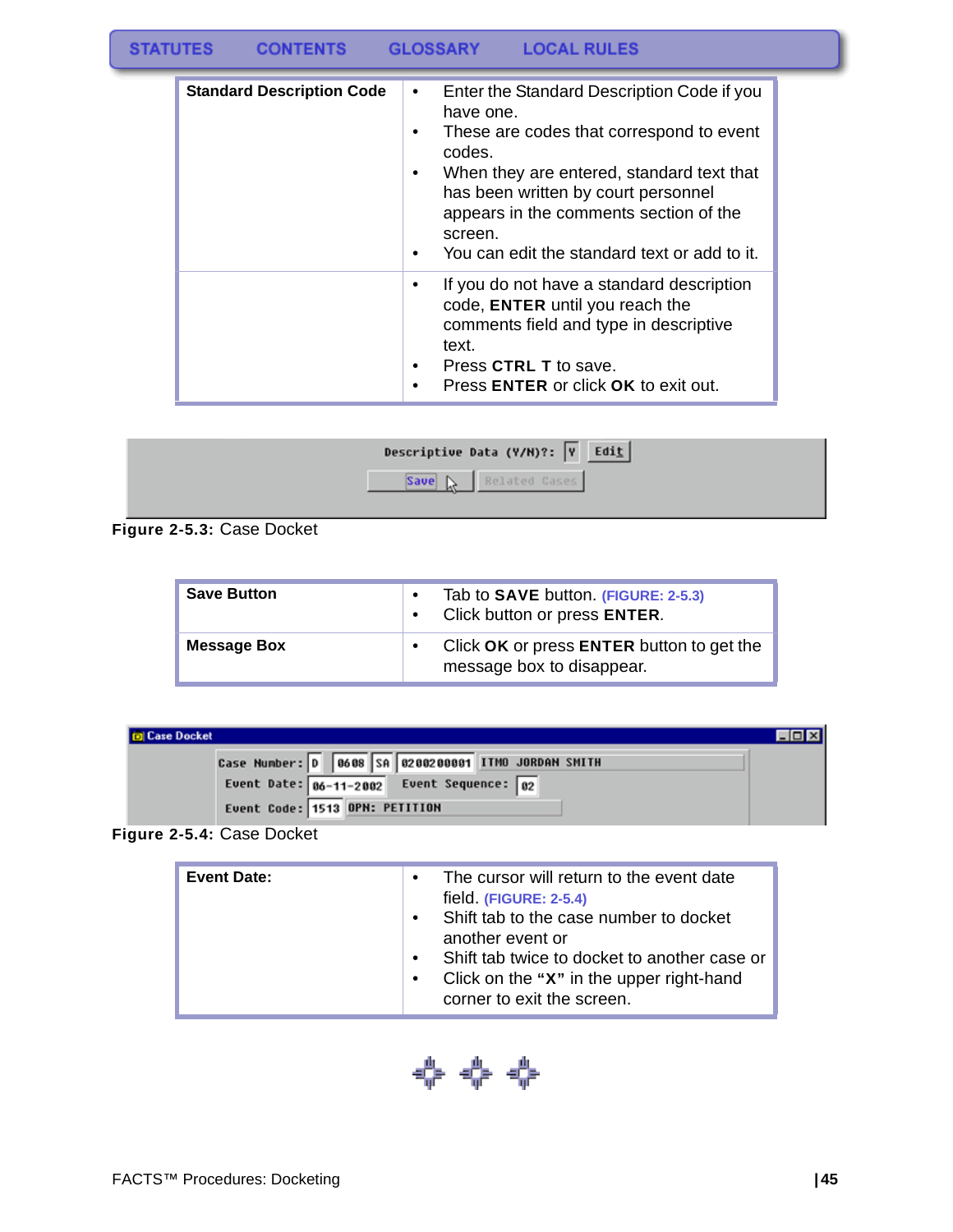#### **STATUTES GLOSSARY LOCAL RULES CONTENTS**

| <b>Standard Description Code</b> | Enter the Standard Description Code if you<br>$\bullet$<br>have one.<br>These are codes that correspond to event<br>codes.<br>When they are entered, standard text that<br>has been written by court personnel<br>appears in the comments section of the<br>screen.<br>You can edit the standard text or add to it.<br>٠ |
|----------------------------------|--------------------------------------------------------------------------------------------------------------------------------------------------------------------------------------------------------------------------------------------------------------------------------------------------------------------------|
|                                  | If you do not have a standard description<br>code, ENTER until you reach the<br>comments field and type in descriptive<br>text.<br>Press CTRL T to save.<br>Press ENTER or click OK to exit out.                                                                                                                         |

| Descriptive Data (Y/H)?: $\boxed{v}$ Edit |  |
|-------------------------------------------|--|
| Related Cases                             |  |
|                                           |  |

**Figure 2-5.3:** Case Docket

| <b>Save Button</b> | Tab to <b>SAVE</b> button. (FIGURE: 2-5.3)<br>$\bullet$<br>Click button or press ENTER.<br>$\bullet$ |
|--------------------|------------------------------------------------------------------------------------------------------|
| <b>Message Box</b> | Click OK or press ENTER button to get the<br>message box to disappear.                               |

| <b>D</b> Case Docket                                                                                 |  |
|------------------------------------------------------------------------------------------------------|--|
| Case Number: 0 0608 SA 0200200001 ITMO JORDAN SMITH<br>Event Date: $06-11-2002$ Event Sequence: $02$ |  |
| Event Code: 1513 OPN: PETITION                                                                       |  |

**Figure 2-5.4:** Case Docket

| <b>Event Date:</b> | The cursor will return to the event date<br>$\bullet$<br>field. (FIGURE: 2-5.4)<br>Shift tab to the case number to docket<br>$\bullet$<br>another event or<br>Shift tab twice to docket to another case or<br>Click on the "X" in the upper right-hand<br>$\bullet$ |
|--------------------|---------------------------------------------------------------------------------------------------------------------------------------------------------------------------------------------------------------------------------------------------------------------|
|                    | corner to exit the screen.                                                                                                                                                                                                                                          |

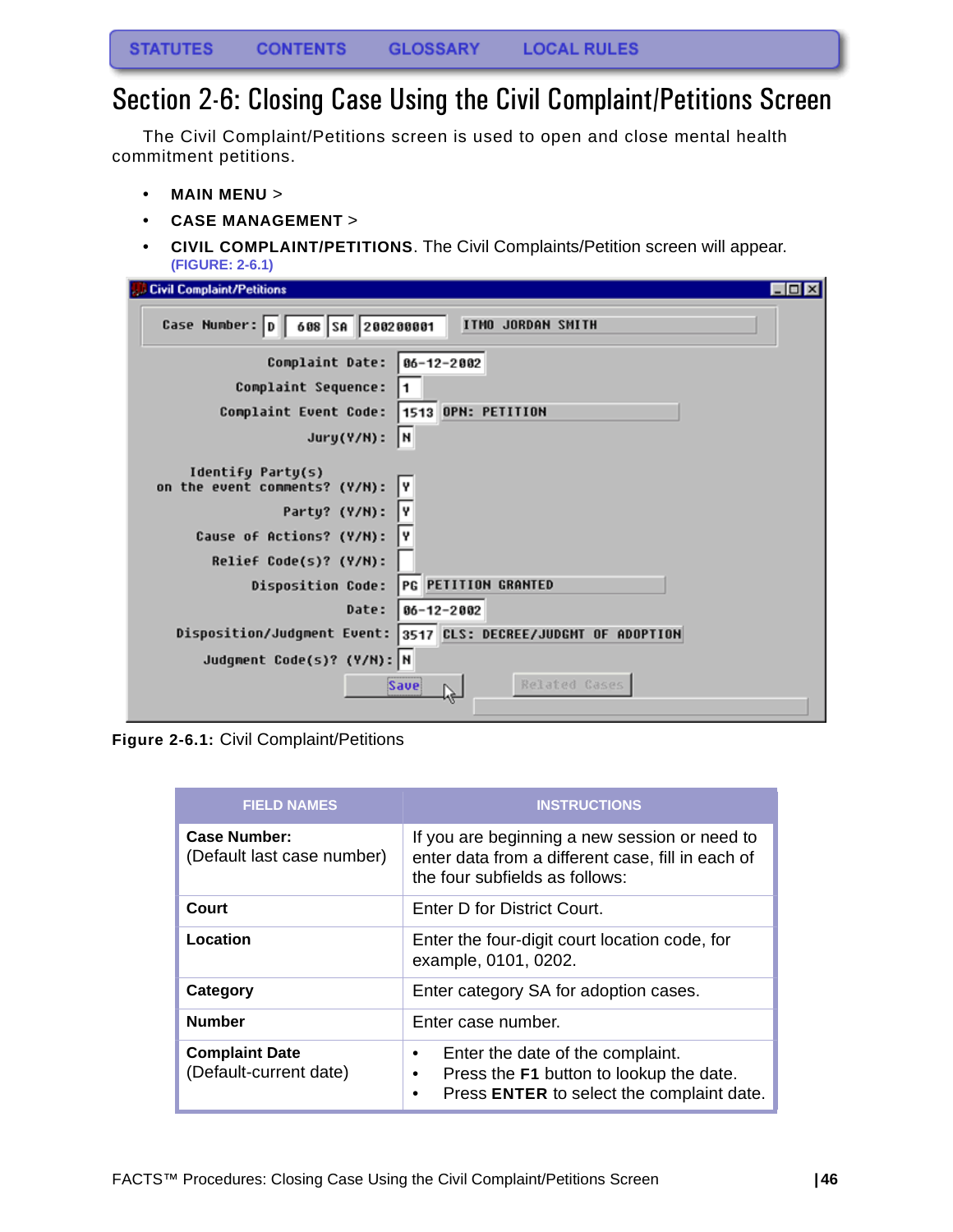## <span id="page-46-0"></span>Section 2-6: Closing Case Using the Civil Complaint/Petitions Screen

The Civil Complaint/Petitions screen is used to open and close mental health commitment petitions.

- **MAIN MENU** >
- **CASE MANAGEMENT** >
- **CIVIL COMPLAINT/PETITIONS**. The Civil Complaints/Petition screen will appear. **(FIGURE: 2-6.1)**

| $\Box$ o $\times$<br><b>J.B Civil Complaint/Petitions</b>                                                                                                                                                                                                                                        |
|--------------------------------------------------------------------------------------------------------------------------------------------------------------------------------------------------------------------------------------------------------------------------------------------------|
| Case Number:  D   608   SA   200200001<br>ITMO JORDAN SMITH                                                                                                                                                                                                                                      |
| Complaint Date:<br>$06 - 12 - 2002$                                                                                                                                                                                                                                                              |
| Complaint Sequence:                                                                                                                                                                                                                                                                              |
| 1513 OPN: PETITION<br>Complaint Event Code:                                                                                                                                                                                                                                                      |
| I۲<br>$Jury(Y/N)$ :                                                                                                                                                                                                                                                                              |
| Identify Party(s)<br>on the event comments? (Y/N):<br>I۷<br>Y<br>Party? (Y/N):<br>Cause of Actions? (Y/N):<br>I۷<br>Relief Code(s)? (Y/N):<br>PG PETITION GRANTED<br><b>Disposition Code:</b><br>Date:<br>$06 - 12 - 2002$<br>Disposition/Judgment Event:<br>3517 CLS: DECREE/JUDGHT OF ADOPTION |
| Judgment Code(s)? (Y/N): N                                                                                                                                                                                                                                                                       |
| Related Cases<br>Save<br>by.                                                                                                                                                                                                                                                                     |

**Figure 2-6.1:** Civil Complaint/Petitions

| <b>FIELD NAMES</b>                                | <b>INSTRUCTIONS</b>                                                                                                                             |
|---------------------------------------------------|-------------------------------------------------------------------------------------------------------------------------------------------------|
| <b>Case Number:</b><br>(Default last case number) | If you are beginning a new session or need to<br>enter data from a different case, fill in each of<br>the four subfields as follows:            |
| Court                                             | Enter D for District Court.                                                                                                                     |
| Location                                          | Enter the four-digit court location code, for<br>example, 0101, 0202.                                                                           |
| Category                                          | Enter category SA for adoption cases.                                                                                                           |
| <b>Number</b>                                     | Enter case number.                                                                                                                              |
| <b>Complaint Date</b><br>(Default-current date)   | Enter the date of the complaint.<br>٠<br>Press the F1 button to lookup the date.<br>$\bullet$<br>Press ENTER to select the complaint date.<br>٠ |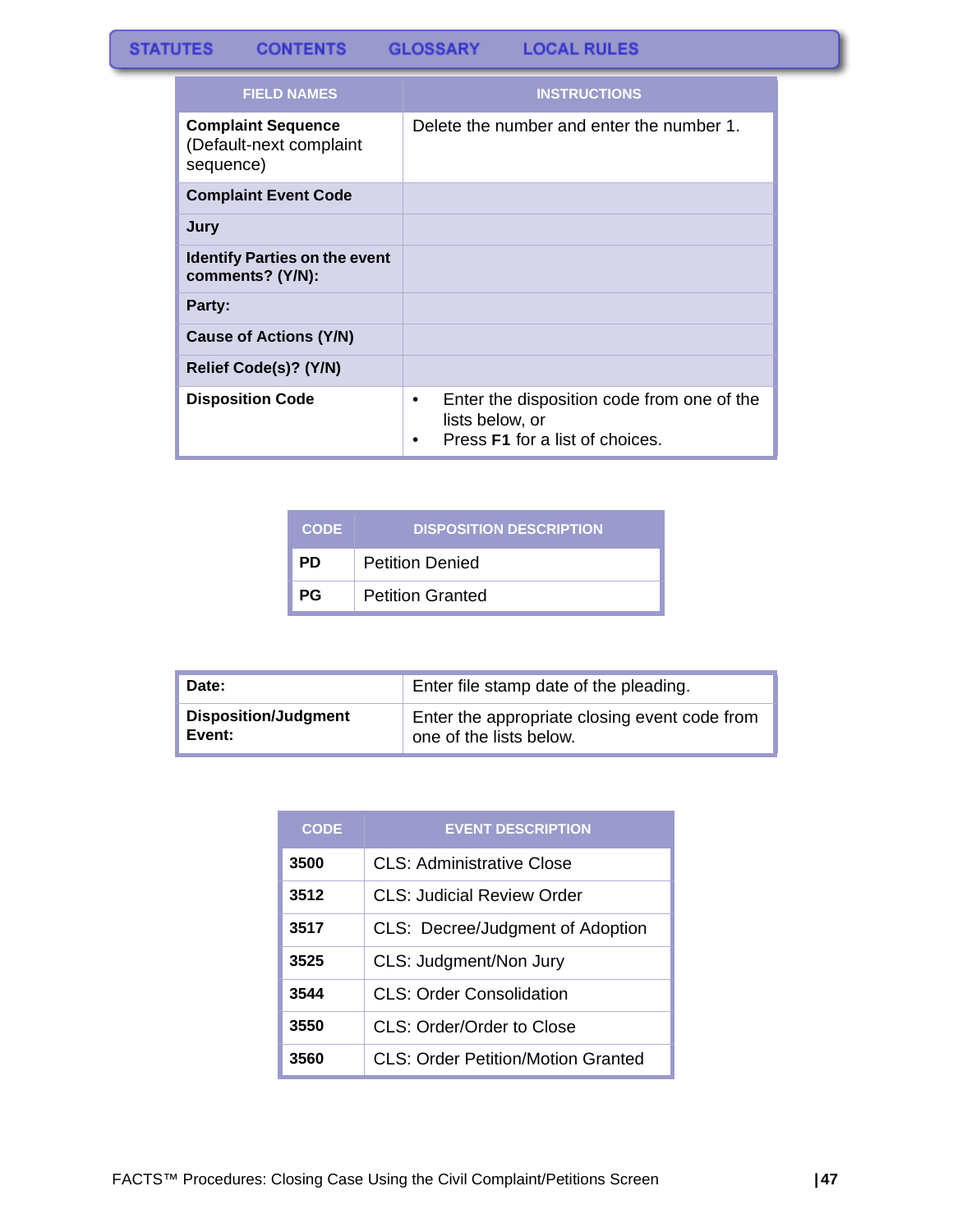#### **STATUTES CONTENTS GLOSSARY LOCAL RULES**

| <b>FIELD NAMES</b>                                                | <b>INSTRUCTIONS</b>                                                                                   |
|-------------------------------------------------------------------|-------------------------------------------------------------------------------------------------------|
| <b>Complaint Sequence</b><br>(Default-next complaint<br>sequence) | Delete the number and enter the number 1.                                                             |
| <b>Complaint Event Code</b>                                       |                                                                                                       |
| Jury                                                              |                                                                                                       |
| <b>Identify Parties on the event</b><br>comments? (Y/N):          |                                                                                                       |
| Party:                                                            |                                                                                                       |
| Cause of Actions (Y/N)                                            |                                                                                                       |
| Relief Code(s)? (Y/N)                                             |                                                                                                       |
| <b>Disposition Code</b>                                           | Enter the disposition code from one of the<br>٠<br>lists below, or<br>Press F1 for a list of choices. |

| <b>CODE</b> | <b>DISPOSITION DESCRIPTION</b> |
|-------------|--------------------------------|
| <b>PD</b>   | <b>Petition Denied</b>         |
| <b>PG</b>   | <b>Petition Granted</b>        |

| Date:                       | Enter file stamp date of the pleading.        |
|-----------------------------|-----------------------------------------------|
| <b>Disposition/Judgment</b> | Enter the appropriate closing event code from |
| Event:                      | one of the lists below.                       |

| <b>CODE</b> | <b>EVENT DESCRIPTION</b>           |
|-------------|------------------------------------|
| 3500        | CLS: Administrative Close          |
| 3512        | <b>CLS: Judicial Review Order</b>  |
| 3517        | CLS: Decree/Judgment of Adoption   |
| 3525        | CLS: Judgment/Non Jury             |
| 3544        | CLS: Order Consolidation           |
| 3550        | CLS: Order/Order to Close          |
| 3560        | CLS: Order Petition/Motion Granted |